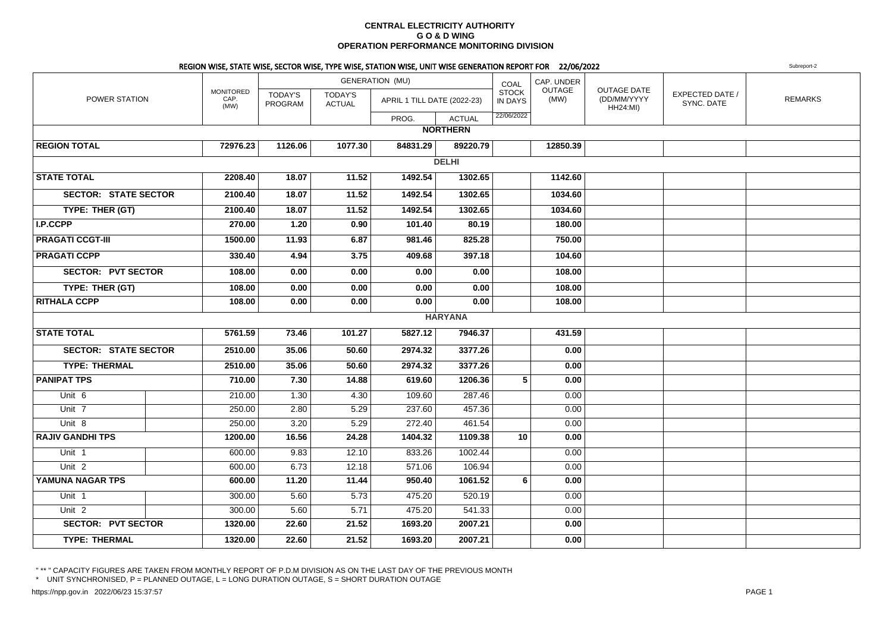### **CENTRAL ELECTRICITY AUTHORITY G O & D WING OPERATION PERFORMANCE MONITORING DIVISION**

### REGION WISE, STATE WISE, SECTOR WISE, TYPE WISE, STATION WISE, UNIT WISE GENERATION REPORT FOR 22/06/2022

**2** Subreport-2 POWER STATIONMONITOREDCAP. (MW)TODAY'S PROGRAMGENERATION (MU)TODAY'S ACTUALPROG.**ACTUAL** COAL STOCK IN DAYSCAP. UNDER**OUTAGE** (MW)OUTAGE DATE (DD/MM/YYYYHH24:MI) EXPECTED DATE /SYNC. DATEAPRIL 1 TILL DATE (2022-23) IN DAYS (MW) CD/MM/YYYY  $\left| \begin{array}{cc} \text{EXERCISE 1} & \text{EXERCISE 2} \\ \text{XNIC} & \text{EXERCISE 2} \end{array} \right|$ 22/06/2022**NORTHERNREGION TOTAL 72976.23 1126.06 1077.30 84831.29 89220.79 12850.39 DELHISTATE TOTAL 2208.40 18.07 11.52 1492.54 1302.65 1142.60 SECTOR: STATE SECTOR 2100.40 18.07 11.52 1492.54 1302.65 1034.60 TYPE: THER (GT) 2100.40 18.07 11.52 1492.54 1302.65 1034.60 I.P.CCPP 270.00 1.20 0.90 101.40 80.19 180.00 PRAGATI CCGT-III 1500.00 11.93 6.87 981.46 825.28 750.00 PRAGATI CCPP 330.40 4.94 3.75 409.68 397.18 104.60 SECTOR: PVT SECTOR 108.00 0.00 0.00 0.00 0.00 108.00 TYPE: THER (GT) 108.00 0.00 0.00 0.00 0.00 108.00 RITHALA CCPP 108.00 0.00 0.00 0.00 0.00 108.00 HARYANASTATE TOTAL 5761.59 73.46 101.27 5827.12 7946.37 431.59 SECTOR: STATE SECTOR 2510.00 35.06 50.60 2974.32 3377.26 0.00 TYPE: THERMAL 2510.00 35.06 50.60 2974.32 3377.26 0.00 PANIPAT TPS 710.00 7.30 14.88 619.60 1206.36 <sup>5</sup> 0.00** Unit 66 | | 210.00 | 1.30 | 4.30 | 109.60 | 287.46 | | 0.00 Unit 77 | | 250.00 | 2.80 | 5.29 | 237.60 | 457.36 | | 0.00 Unit 88 | | 250.00 | 3.20 | 5.29 | 272.40 | 461.54 | | 0.00 **RAJIV GANDHI TPS 1200.00 16.56 24.28 1404.32 1109.38 <sup>10</sup> 0.00** Unit 11 | | 600.00| 9.83| 12.10| 833.26| 1002.44| | 0.00 Unit 2 600.00 6.73 12.18 571.06 106.94 0.00 **YAMUNA NAGAR TPS 600.00 11.20 11.44 950.40 1061.52 <sup>6</sup> 0.00** Unit 11 300.00 | 5.60 | 5.73 | 475.20 | 520.19 | 0.00 Unit 2 300.00 5.60 5.71 475.20 541.33 0.00  **SECTOR: PVT SECTOR 1320.00 22.60 21.52 1693.20 2007.21 0.00 TYPE: THERMAL1320.00 22.60 21.52 1693.20 2007.21 0.00**

" \*\* " CAPACITY FIGURES ARE TAKEN FROM MONTHLY REPORT OF P.D.M DIVISION AS ON THE LAST DAY OF THE PREVIOUS MONTH

\* UNIT SYNCHRONISED, P = PLANNED OUTAGE, L = LONG DURATION OUTAGE, S = SHORT DURATION OUTAGE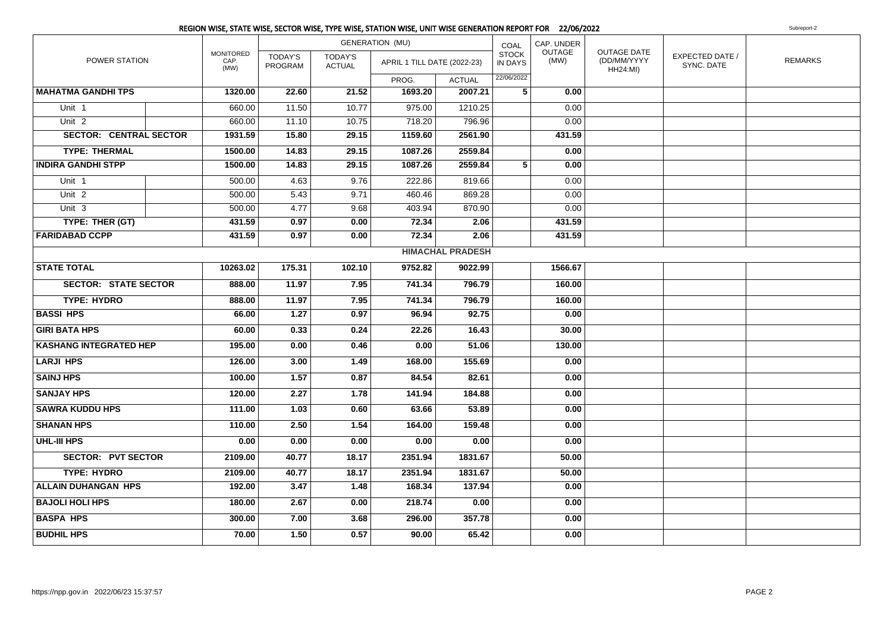|                               |                                  |                           |                                 | <b>GENERATION (MU)</b>      |                         | COAL                           | CAP. UNDER     |                                                      |                               |                |
|-------------------------------|----------------------------------|---------------------------|---------------------------------|-----------------------------|-------------------------|--------------------------------|----------------|------------------------------------------------------|-------------------------------|----------------|
| POWER STATION                 | <b>MONITORED</b><br>CAP.<br>(MW) | <b>TODAY'S</b><br>PROGRAM | <b>TODAY'S</b><br><b>ACTUAL</b> | APRIL 1 TILL DATE (2022-23) |                         | <b>STOCK</b><br><b>IN DAYS</b> | OUTAGE<br>(MW) | <b>OUTAGE DATE</b><br>(DD/MM/YYYY<br><b>HH24:MI)</b> | EXPECTED DATE /<br>SYNC. DATE | <b>REMARKS</b> |
|                               |                                  |                           |                                 | PROG.                       | <b>ACTUAL</b>           | 22/06/2022                     |                |                                                      |                               |                |
| <b>MAHATMA GANDHI TPS</b>     | 1320.00                          | 22.60                     | 21.52                           | 1693.20                     | 2007.21                 | 5                              | 0.00           |                                                      |                               |                |
| Unit <sub>1</sub>             | 660.00                           | 11.50                     | 10.77                           | 975.00                      | 1210.25                 |                                | 0.00           |                                                      |                               |                |
| Unit <sub>2</sub>             | 660.00                           | 11.10                     | 10.75                           | 718.20                      | 796.96                  |                                | 0.00           |                                                      |                               |                |
| <b>SECTOR: CENTRAL SECTOR</b> | 1931.59                          | 15.80                     | 29.15                           | 1159.60                     | 2561.90                 |                                | 431.59         |                                                      |                               |                |
| <b>TYPE: THERMAL</b>          | 1500.00                          | 14.83                     | 29.15                           | 1087.26                     | 2559.84                 |                                | 0.00           |                                                      |                               |                |
| <b>INDIRA GANDHI STPP</b>     | 1500.00                          | 14.83                     | 29.15                           | 1087.26                     | 2559.84                 | 5                              | 0.00           |                                                      |                               |                |
| Unit 1                        | 500.00                           | 4.63                      | 9.76                            | 222.86                      | 819.66                  |                                | 0.00           |                                                      |                               |                |
| Unit <sub>2</sub>             | 500.00                           | 5.43                      | 9.71                            | 460.46                      | 869.28                  |                                | 0.00           |                                                      |                               |                |
| Unit <sub>3</sub>             | 500.00                           | 4.77                      | 9.68                            | 403.94                      | 870.90                  |                                | 0.00           |                                                      |                               |                |
| TYPE: THER (GT)               | 431.59                           | 0.97                      | 0.00                            | 72.34                       | 2.06                    |                                | 431.59         |                                                      |                               |                |
| <b>FARIDABAD CCPP</b>         | 431.59                           | 0.97                      | 0.00                            | 72.34                       | 2.06                    |                                | 431.59         |                                                      |                               |                |
|                               |                                  |                           |                                 |                             | <b>HIMACHAL PRADESH</b> |                                |                |                                                      |                               |                |
| <b>STATE TOTAL</b>            | 10263.02                         | 175.31                    | 102.10                          | 9752.82                     | 9022.99                 |                                | 1566.67        |                                                      |                               |                |
| <b>SECTOR: STATE SECTOR</b>   | 888.00                           | 11.97                     | 7.95                            | 741.34                      | 796.79                  |                                | 160.00         |                                                      |                               |                |
| <b>TYPE: HYDRO</b>            | 888.00                           | 11.97                     | 7.95                            | 741.34                      | 796.79                  |                                | 160.00         |                                                      |                               |                |
| <b>BASSI HPS</b>              | 66.00                            | $\overline{1.27}$         | 0.97                            | 96.94                       | 92.75                   |                                | 0.00           |                                                      |                               |                |
| <b>GIRI BATA HPS</b>          | 60.00                            | 0.33                      | 0.24                            | 22.26                       | 16.43                   |                                | 30.00          |                                                      |                               |                |
| <b>KASHANG INTEGRATED HEP</b> | 195.00                           | 0.00                      | 0.46                            | 0.00                        | 51.06                   |                                | 130.00         |                                                      |                               |                |
| <b>LARJI HPS</b>              | 126.00                           | 3.00                      | 1.49                            | 168.00                      | 155.69                  |                                | 0.00           |                                                      |                               |                |
| <b>SAINJ HPS</b>              | 100.00                           | 1.57                      | 0.87                            | 84.54                       | 82.61                   |                                | 0.00           |                                                      |                               |                |
| <b>SANJAY HPS</b>             | 120.00                           | 2.27                      | 1.78                            | 141.94                      | 184.88                  |                                | 0.00           |                                                      |                               |                |
| <b>SAWRA KUDDU HPS</b>        | 111.00                           | 1.03                      | 0.60                            | 63.66                       | 53.89                   |                                | 0.00           |                                                      |                               |                |
| <b>SHANAN HPS</b>             | 110.00                           | 2.50                      | 1.54                            | 164.00                      | 159.48                  |                                | 0.00           |                                                      |                               |                |
| UHL-III HPS                   | 0.00                             | 0.00                      | 0.00                            | 0.00                        | 0.00                    |                                | 0.00           |                                                      |                               |                |
| <b>SECTOR: PVT SECTOR</b>     | 2109.00                          | 40.77                     | 18.17                           | 2351.94                     | 1831.67                 |                                | 50.00          |                                                      |                               |                |
| <b>TYPE: HYDRO</b>            | 2109.00                          | 40.77                     | 18.17                           | 2351.94                     | 1831.67                 |                                | 50.00          |                                                      |                               |                |
| <b>ALLAIN DUHANGAN HPS</b>    | 192.00                           | 3.47                      | 1.48                            | 168.34                      | 137.94                  |                                | 0.00           |                                                      |                               |                |
| <b>BAJOLI HOLI HPS</b>        | 180.00                           | 2.67                      | 0.00                            | 218.74                      | 0.00                    |                                | 0.00           |                                                      |                               |                |
| <b>BASPA HPS</b>              | 300.00                           | 7.00                      | 3.68                            | 296.00                      | 357.78                  |                                | 0.00           |                                                      |                               |                |
| <b>BUDHIL HPS</b>             | 70.00                            | 1.50                      | 0.57                            | 90.00                       | 65.42                   |                                | 0.00           |                                                      |                               |                |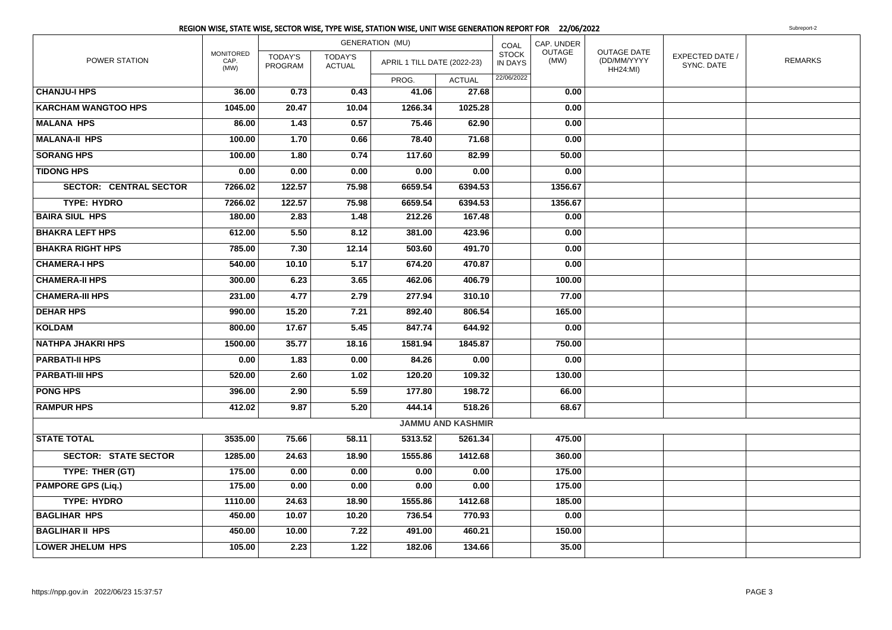|                               |                                  |                           |                                 | REGION WISE, STATE WISE, SECTOR WISE, TYPE WISE, STATION WISE, UNIT WISE GENERATION REPORT FOR 22/06/2022 |                          |                         |                |                                                      |                               | Subreport-2    |
|-------------------------------|----------------------------------|---------------------------|---------------------------------|-----------------------------------------------------------------------------------------------------------|--------------------------|-------------------------|----------------|------------------------------------------------------|-------------------------------|----------------|
|                               |                                  |                           |                                 | <b>GENERATION (MU)</b>                                                                                    |                          | COAL                    | CAP. UNDER     |                                                      |                               |                |
| POWER STATION                 | <b>MONITORED</b><br>CAP.<br>(MW) | <b>TODAY'S</b><br>PROGRAM | <b>TODAY'S</b><br><b>ACTUAL</b> | APRIL 1 TILL DATE (2022-23)                                                                               |                          | <b>STOCK</b><br>IN DAYS | OUTAGE<br>(MW) | <b>OUTAGE DATE</b><br>(DD/MM/YYYY<br><b>HH24:MI)</b> | EXPECTED DATE /<br>SYNC. DATE | <b>REMARKS</b> |
|                               |                                  |                           |                                 | PROG.                                                                                                     | <b>ACTUAL</b>            | 22/06/2022              |                |                                                      |                               |                |
| <b>CHANJU-I HPS</b>           | 36.00                            | 0.73                      | 0.43                            | 41.06                                                                                                     | 27.68                    |                         | 0.00           |                                                      |                               |                |
| <b>KARCHAM WANGTOO HPS</b>    | 1045.00                          | 20.47                     | 10.04                           | 1266.34                                                                                                   | 1025.28                  |                         | 0.00           |                                                      |                               |                |
| <b>MALANA HPS</b>             | 86.00                            | 1.43                      | 0.57                            | 75.46                                                                                                     | 62.90                    |                         | 0.00           |                                                      |                               |                |
| <b>MALANA-II HPS</b>          | 100.00                           | 1.70                      | 0.66                            | 78.40                                                                                                     | 71.68                    |                         | 0.00           |                                                      |                               |                |
| <b>SORANG HPS</b>             | 100.00                           | 1.80                      | 0.74                            | 117.60                                                                                                    | 82.99                    |                         | 50.00          |                                                      |                               |                |
| <b>TIDONG HPS</b>             | 0.00                             | 0.00                      | 0.00                            | 0.00                                                                                                      | 0.00                     |                         | 0.00           |                                                      |                               |                |
| <b>SECTOR: CENTRAL SECTOR</b> | 7266.02                          | 122.57                    | 75.98                           | 6659.54                                                                                                   | 6394.53                  |                         | 1356.67        |                                                      |                               |                |
| <b>TYPE: HYDRO</b>            | 7266.02                          | 122.57                    | 75.98                           | 6659.54                                                                                                   | 6394.53                  |                         | 1356.67        |                                                      |                               |                |
| <b>BAIRA SIUL HPS</b>         | 180.00                           | 2.83                      | 1.48                            | 212.26                                                                                                    | 167.48                   |                         | 0.00           |                                                      |                               |                |
| <b>BHAKRA LEFT HPS</b>        | 612.00                           | 5.50                      | 8.12                            | 381.00                                                                                                    | 423.96                   |                         | 0.00           |                                                      |                               |                |
| <b>BHAKRA RIGHT HPS</b>       | 785.00                           | 7.30                      | 12.14                           | 503.60                                                                                                    | 491.70                   |                         | 0.00           |                                                      |                               |                |
| <b>CHAMERA-I HPS</b>          | 540.00                           | 10.10                     | 5.17                            | 674.20                                                                                                    | 470.87                   |                         | 0.00           |                                                      |                               |                |
| <b>CHAMERA-II HPS</b>         | 300.00                           | 6.23                      | 3.65                            | 462.06                                                                                                    | 406.79                   |                         | 100.00         |                                                      |                               |                |
| <b>CHAMERA-III HPS</b>        | 231.00                           | 4.77                      | 2.79                            | 277.94                                                                                                    | 310.10                   |                         | 77.00          |                                                      |                               |                |
| <b>DEHAR HPS</b>              | 990.00                           | 15.20                     | 7.21                            | 892.40                                                                                                    | 806.54                   |                         | 165.00         |                                                      |                               |                |
| <b>KOLDAM</b>                 | 800.00                           | 17.67                     | 5.45                            | 847.74                                                                                                    | 644.92                   |                         | 0.00           |                                                      |                               |                |
| <b>NATHPA JHAKRI HPS</b>      | 1500.00                          | 35.77                     | 18.16                           | 1581.94                                                                                                   | 1845.87                  |                         | 750.00         |                                                      |                               |                |
| <b>PARBATI-II HPS</b>         | 0.00                             | 1.83                      | 0.00                            | 84.26                                                                                                     | 0.00                     |                         | 0.00           |                                                      |                               |                |
| <b>PARBATI-III HPS</b>        | 520.00                           | 2.60                      | 1.02                            | 120.20                                                                                                    | 109.32                   |                         | 130.00         |                                                      |                               |                |
| <b>PONG HPS</b>               | 396.00                           | 2.90                      | 5.59                            | 177.80                                                                                                    | 198.72                   |                         | 66.00          |                                                      |                               |                |
| <b>RAMPUR HPS</b>             | 412.02                           | 9.87                      | 5.20                            | 444.14                                                                                                    | 518.26                   |                         | 68.67          |                                                      |                               |                |
|                               |                                  |                           |                                 |                                                                                                           | <b>JAMMU AND KASHMIR</b> |                         |                |                                                      |                               |                |
| <b>STATE TOTAL</b>            | 3535.00                          | 75.66                     | 58.11                           | 5313.52                                                                                                   | 5261.34                  |                         | 475.00         |                                                      |                               |                |
| <b>SECTOR: STATE SECTOR</b>   | 1285.00                          | 24.63                     | 18.90                           | 1555.86                                                                                                   | 1412.68                  |                         | 360.00         |                                                      |                               |                |
| TYPE: THER (GT)               | 175.00                           | 0.00                      | 0.00                            | 0.00                                                                                                      | 0.00                     |                         | 175.00         |                                                      |                               |                |
| <b>PAMPORE GPS (Liq.)</b>     | 175.00                           | 0.00                      | 0.00                            | 0.00                                                                                                      | 0.00                     |                         | 175.00         |                                                      |                               |                |
| <b>TYPE: HYDRO</b>            | 1110.00                          | 24.63                     | 18.90                           | 1555.86                                                                                                   | 1412.68                  |                         | 185.00         |                                                      |                               |                |
| <b>BAGLIHAR HPS</b>           | 450.00                           | 10.07                     | 10.20                           | 736.54                                                                                                    | 770.93                   |                         | 0.00           |                                                      |                               |                |
| <b>BAGLIHAR II HPS</b>        | 450.00                           | 10.00                     | 7.22                            | 491.00                                                                                                    | 460.21                   |                         | 150.00         |                                                      |                               |                |
| <b>LOWER JHELUM HPS</b>       | 105.00                           | 2.23                      | 1.22                            | 182.06                                                                                                    | 134.66                   |                         | 35.00          |                                                      |                               |                |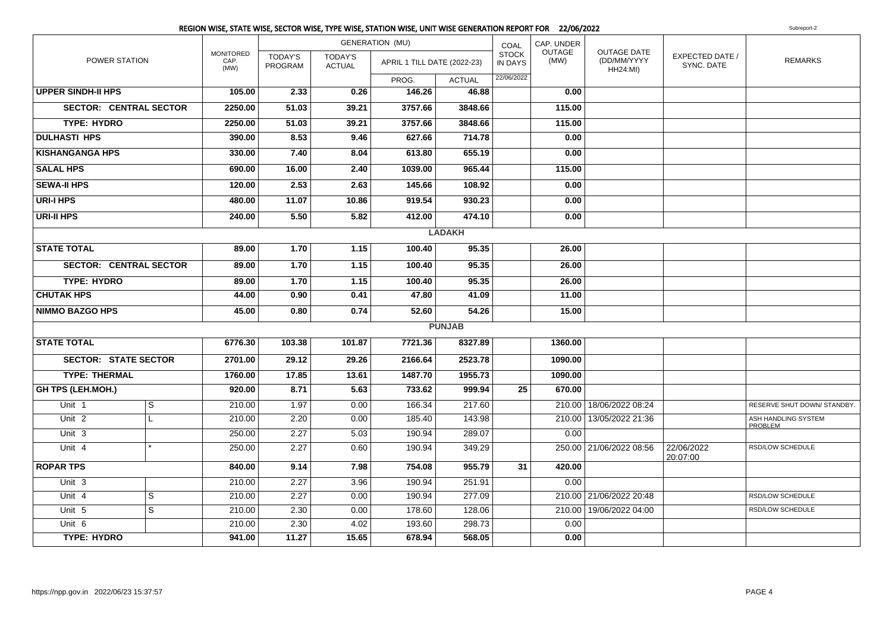|                             |                               |                                  |                           |                                 | <b>GENERATION (MU)</b>      |               | COAL                           | CAP. UNDER     |                                               |                                      |                                       |
|-----------------------------|-------------------------------|----------------------------------|---------------------------|---------------------------------|-----------------------------|---------------|--------------------------------|----------------|-----------------------------------------------|--------------------------------------|---------------------------------------|
| <b>POWER STATION</b>        |                               | <b>MONITORED</b><br>CAP.<br>(MW) | <b>TODAY'S</b><br>PROGRAM | <b>TODAY'S</b><br><b>ACTUAL</b> | APRIL 1 TILL DATE (2022-23) |               | <b>STOCK</b><br><b>IN DAYS</b> | OUTAGE<br>(MW) | OUTAGE DATE<br>(DD/MM/YYYY<br><b>HH24:MI)</b> | <b>EXPECTED DATE /</b><br>SYNC. DATE | <b>REMARKS</b>                        |
|                             |                               |                                  |                           |                                 | PROG.                       | <b>ACTUAL</b> | 22/06/2022                     |                |                                               |                                      |                                       |
| <b>UPPER SINDH-II HPS</b>   |                               | 105.00                           | 2.33                      | 0.26                            | 146.26                      | 46.88         |                                | 0.00           |                                               |                                      |                                       |
|                             | <b>SECTOR: CENTRAL SECTOR</b> | 2250.00                          | 51.03                     | 39.21                           | 3757.66                     | 3848.66       |                                | 115.00         |                                               |                                      |                                       |
| <b>TYPE: HYDRO</b>          |                               | 2250.00                          | 51.03                     | 39.21                           | 3757.66                     | 3848.66       |                                | 115.00         |                                               |                                      |                                       |
| <b>DULHASTI HPS</b>         |                               | 390.00                           | 8.53                      | 9.46                            | 627.66                      | 714.78        |                                | 0.00           |                                               |                                      |                                       |
| <b>KISHANGANGA HPS</b>      |                               | 330.00                           | 7.40                      | 8.04                            | 613.80                      | 655.19        |                                | 0.00           |                                               |                                      |                                       |
| <b>SALAL HPS</b>            |                               | 690.00                           | 16.00                     | 2.40                            | 1039.00                     | 965.44        |                                | 115.00         |                                               |                                      |                                       |
| <b>SEWA-II HPS</b>          |                               | 120.00                           | 2.53                      | 2.63                            | 145.66                      | 108.92        |                                | 0.00           |                                               |                                      |                                       |
| <b>URI-I HPS</b>            |                               | 480.00                           | 11.07                     | 10.86                           | 919.54                      | 930.23        |                                | 0.00           |                                               |                                      |                                       |
| <b>URI-II HPS</b>           |                               | 240.00                           | 5.50                      | 5.82                            | 412.00                      | 474.10        |                                | 0.00           |                                               |                                      |                                       |
|                             |                               |                                  |                           |                                 |                             | <b>LADAKH</b> |                                |                |                                               |                                      |                                       |
| <b>STATE TOTAL</b>          |                               | 89.00                            | 1.70                      | 1.15                            | 100.40                      | 95.35         |                                | 26.00          |                                               |                                      |                                       |
|                             | <b>SECTOR: CENTRAL SECTOR</b> | 89.00                            | 1.70                      | 1.15                            | 100.40                      | 95.35         |                                | 26.00          |                                               |                                      |                                       |
| <b>TYPE: HYDRO</b>          |                               | 89.00                            | 1.70                      | 1.15                            | 100.40                      | 95.35         |                                | 26.00          |                                               |                                      |                                       |
| <b>CHUTAK HPS</b>           |                               | 44.00                            | 0.90                      | 0.41                            | 47.80                       | 41.09         |                                | 11.00          |                                               |                                      |                                       |
| <b>NIMMO BAZGO HPS</b>      |                               | 45.00                            | 0.80                      | 0.74                            | 52.60                       | 54.26         |                                | 15.00          |                                               |                                      |                                       |
|                             |                               |                                  |                           |                                 |                             | <b>PUNJAB</b> |                                |                |                                               |                                      |                                       |
| <b>STATE TOTAL</b>          |                               | 6776.30                          | 103.38                    | 101.87                          | 7721.36                     | 8327.89       |                                | 1360.00        |                                               |                                      |                                       |
| <b>SECTOR: STATE SECTOR</b> |                               | 2701.00                          | 29.12                     | 29.26                           | 2166.64                     | 2523.78       |                                | 1090.00        |                                               |                                      |                                       |
| <b>TYPE: THERMAL</b>        |                               | 1760.00                          | 17.85                     | 13.61                           | 1487.70                     | 1955.73       |                                | 1090.00        |                                               |                                      |                                       |
| <b>GH TPS (LEH.MOH.)</b>    |                               | 920.00                           | 8.71                      | 5.63                            | 733.62                      | 999.94        | 25                             | 670.00         |                                               |                                      |                                       |
| Unit 1                      | S                             | 210.00                           | 1.97                      | 0.00                            | 166.34                      | 217.60        |                                |                | 210.00 18/06/2022 08:24                       |                                      | RESERVE SHUT DOWN/ STANDBY.           |
| Unit <sub>2</sub>           | L.                            | 210.00                           | 2.20                      | 0.00                            | 185.40                      | 143.98        |                                |                | 210.00   13/05/2022 21:36                     |                                      | ASH HANDLING SYSTEM<br><b>PROBLEM</b> |
| Unit <sub>3</sub>           |                               | 250.00                           | 2.27                      | 5.03                            | 190.94                      | 289.07        |                                | 0.00           |                                               |                                      |                                       |
| Unit 4                      | $\star$                       | 250.00                           | 2.27                      | 0.60                            | 190.94                      | 349.29        |                                |                | 250.00 21/06/2022 08:56                       | 22/06/2022<br>20:07:00               | RSD/LOW SCHEDULE                      |
| <b>ROPAR TPS</b>            |                               | 840.00                           | 9.14                      | 7.98                            | 754.08                      | 955.79        | 31                             | 420.00         |                                               |                                      |                                       |
| Unit 3                      |                               | 210.00                           | 2.27                      | 3.96                            | 190.94                      | 251.91        |                                | 0.00           |                                               |                                      |                                       |
| Unit 4                      | $\overline{s}$                | 210.00                           | 2.27                      | 0.00                            | 190.94                      | 277.09        |                                |                | 210.00 21/06/2022 20:48                       |                                      | RSD/LOW SCHEDULE                      |
| Unit 5                      | S                             | 210.00                           | 2.30                      | 0.00                            | 178.60                      | 128.06        |                                |                | 210.00   19/06/2022 04:00                     |                                      | RSD/LOW SCHEDULE                      |
| Unit 6                      |                               | 210.00                           | 2.30                      | 4.02                            | 193.60                      | 298.73        |                                | 0.00           |                                               |                                      |                                       |
| <b>TYPE: HYDRO</b>          |                               | 941.00                           | 11.27                     | 15.65                           | 678.94                      | 568.05        |                                | 0.00           |                                               |                                      |                                       |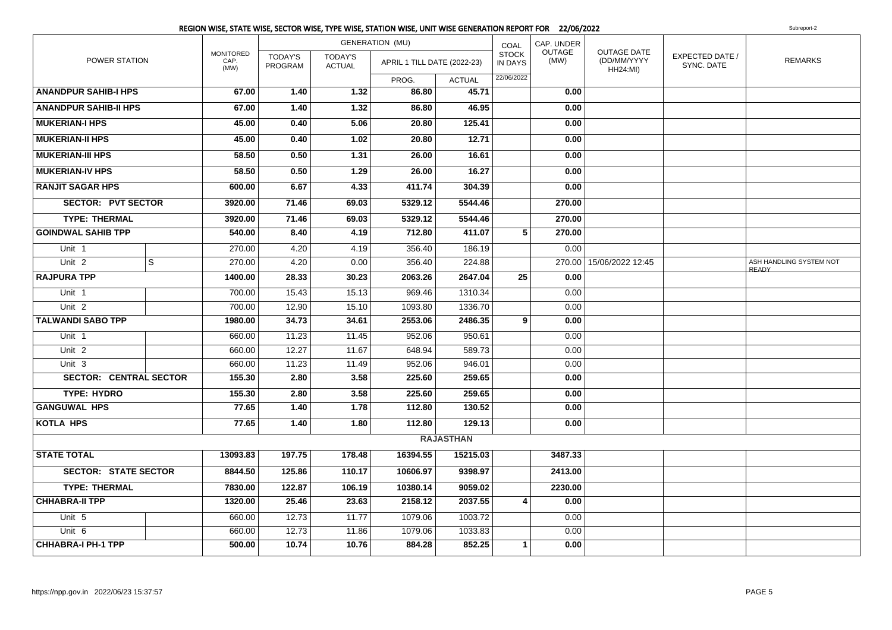|                               |   |                                  |                           |                                 | <b>GENERATION (MU)</b>      |                  | COAL                    | CAP. UNDER            |                                                      |                               |                                         |
|-------------------------------|---|----------------------------------|---------------------------|---------------------------------|-----------------------------|------------------|-------------------------|-----------------------|------------------------------------------------------|-------------------------------|-----------------------------------------|
| POWER STATION                 |   | <b>MONITORED</b><br>CAP.<br>(MW) | <b>TODAY'S</b><br>PROGRAM | <b>TODAY'S</b><br><b>ACTUAL</b> | APRIL 1 TILL DATE (2022-23) |                  | <b>STOCK</b><br>IN DAYS | <b>OUTAGE</b><br>(MW) | <b>OUTAGE DATE</b><br>(DD/MM/YYYY<br><b>HH24:MI)</b> | EXPECTED DATE /<br>SYNC. DATE | <b>REMARKS</b>                          |
|                               |   |                                  |                           |                                 | PROG.                       | <b>ACTUAL</b>    | 22/06/2022              |                       |                                                      |                               |                                         |
| <b>ANANDPUR SAHIB-I HPS</b>   |   | 67.00                            | 1.40                      | 1.32                            | 86.80                       | 45.71            |                         | 0.00                  |                                                      |                               |                                         |
| <b>ANANDPUR SAHIB-II HPS</b>  |   | 67.00                            | 1.40                      | 1.32                            | 86.80                       | 46.95            |                         | 0.00                  |                                                      |                               |                                         |
| <b>MUKERIAN-I HPS</b>         |   | 45.00                            | 0.40                      | 5.06                            | 20.80                       | 125.41           |                         | 0.00                  |                                                      |                               |                                         |
| <b>MUKERIAN-II HPS</b>        |   | 45.00                            | 0.40                      | 1.02                            | 20.80                       | 12.71            |                         | 0.00                  |                                                      |                               |                                         |
| <b>MUKERIAN-III HPS</b>       |   | 58.50                            | 0.50                      | 1.31                            | 26.00                       | 16.61            |                         | 0.00                  |                                                      |                               |                                         |
| <b>MUKERIAN-IV HPS</b>        |   | 58.50                            | 0.50                      | 1.29                            | 26.00                       | 16.27            |                         | 0.00                  |                                                      |                               |                                         |
| <b>RANJIT SAGAR HPS</b>       |   | 600.00                           | 6.67                      | 4.33                            | 411.74                      | 304.39           |                         | 0.00                  |                                                      |                               |                                         |
| <b>SECTOR: PVT SECTOR</b>     |   | 3920.00                          | 71.46                     | 69.03                           | 5329.12                     | 5544.46          |                         | 270.00                |                                                      |                               |                                         |
| <b>TYPE: THERMAL</b>          |   | 3920.00                          | 71.46                     | 69.03                           | 5329.12                     | 5544.46          |                         | 270.00                |                                                      |                               |                                         |
| <b>GOINDWAL SAHIB TPP</b>     |   | 540.00                           | 8.40                      | 4.19                            | 712.80                      | 411.07           | 5                       | 270.00                |                                                      |                               |                                         |
| Unit 1                        |   | 270.00                           | 4.20                      | 4.19                            | 356.40                      | 186.19           |                         | 0.00                  |                                                      |                               |                                         |
| Unit 2                        | S | 270.00                           | 4.20                      | 0.00                            | 356.40                      | 224.88           |                         |                       | 270.00   15/06/2022 12:45                            |                               | ASH HANDLING SYSTEM NOT<br><b>READY</b> |
| <b>RAJPURA TPP</b>            |   | 1400.00                          | 28.33                     | 30.23                           | 2063.26                     | 2647.04          | 25                      | 0.00                  |                                                      |                               |                                         |
| Unit 1                        |   | 700.00                           | 15.43                     | 15.13                           | 969.46                      | 1310.34          |                         | 0.00                  |                                                      |                               |                                         |
| Unit 2                        |   | 700.00                           | 12.90                     | 15.10                           | 1093.80                     | 1336.70          |                         | 0.00                  |                                                      |                               |                                         |
| <b>TALWANDI SABO TPP</b>      |   | 1980.00                          | 34.73                     | 34.61                           | 2553.06                     | 2486.35          | 9                       | 0.00                  |                                                      |                               |                                         |
| Unit 1                        |   | 660.00                           | 11.23                     | 11.45                           | 952.06                      | 950.61           |                         | 0.00                  |                                                      |                               |                                         |
| Unit <sub>2</sub>             |   | 660.00                           | 12.27                     | 11.67                           | 648.94                      | 589.73           |                         | 0.00                  |                                                      |                               |                                         |
| Unit <sub>3</sub>             |   | 660.00                           | 11.23                     | 11.49                           | 952.06                      | 946.01           |                         | 0.00                  |                                                      |                               |                                         |
| <b>SECTOR: CENTRAL SECTOR</b> |   | 155.30                           | 2.80                      | 3.58                            | 225.60                      | 259.65           |                         | 0.00                  |                                                      |                               |                                         |
| <b>TYPE: HYDRO</b>            |   | 155.30                           | 2.80                      | 3.58                            | 225.60                      | 259.65           |                         | 0.00                  |                                                      |                               |                                         |
| <b>GANGUWAL HPS</b>           |   | 77.65                            | 1.40                      | 1.78                            | 112.80                      | 130.52           |                         | 0.00                  |                                                      |                               |                                         |
| <b>KOTLA HPS</b>              |   | 77.65                            | 1.40                      | 1.80                            | 112.80                      | 129.13           |                         | 0.00                  |                                                      |                               |                                         |
|                               |   |                                  |                           |                                 |                             | <b>RAJASTHAN</b> |                         |                       |                                                      |                               |                                         |
| <b>STATE TOTAL</b>            |   | 13093.83                         | 197.75                    | 178.48                          | 16394.55                    | 15215.03         |                         | 3487.33               |                                                      |                               |                                         |
| <b>SECTOR: STATE SECTOR</b>   |   | 8844.50                          | 125.86                    | 110.17                          | 10606.97                    | 9398.97          |                         | 2413.00               |                                                      |                               |                                         |
| <b>TYPE: THERMAL</b>          |   | 7830.00                          | 122.87                    | 106.19                          | 10380.14                    | 9059.02          |                         | 2230.00               |                                                      |                               |                                         |
| <b>CHHABRA-II TPP</b>         |   | 1320.00                          | 25.46                     | 23.63                           | 2158.12                     | 2037.55          | 4                       | 0.00                  |                                                      |                               |                                         |
| Unit 5                        |   | 660.00                           | 12.73                     | 11.77                           | 1079.06                     | 1003.72          |                         | 0.00                  |                                                      |                               |                                         |
| Unit 6                        |   | 660.00                           | 12.73                     | 11.86                           | 1079.06                     | 1033.83          |                         | 0.00                  |                                                      |                               |                                         |
| <b>CHHABRA-I PH-1 TPP</b>     |   | 500.00                           | 10.74                     | 10.76                           | 884.28                      | 852.25           | 1                       | 0.00                  |                                                      |                               |                                         |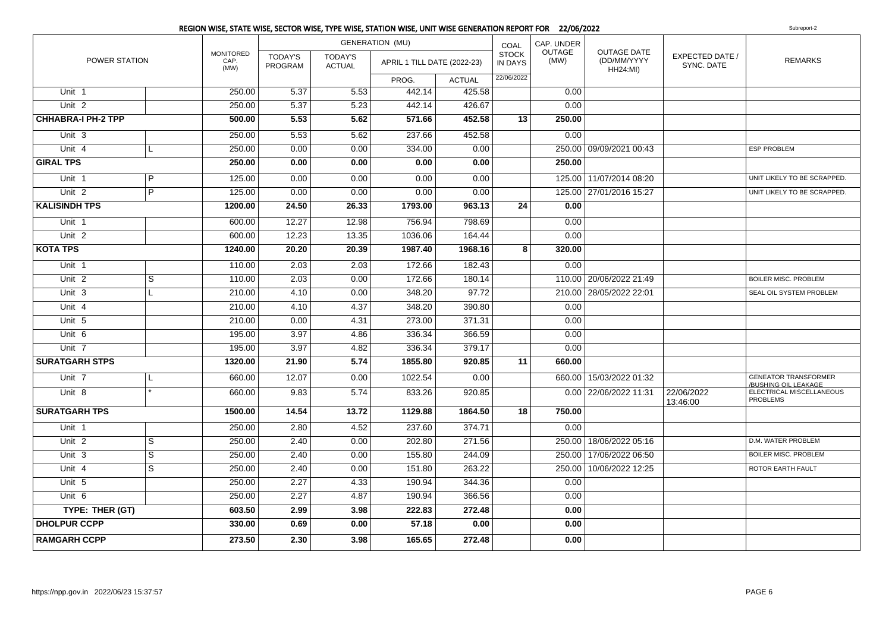|                           |                |                                  |                           |                                 | REGION WISE, STATE WISE, SECTOR WISE, TYPE WISE, STATION WISE, UNIT WISE GENERATION REPORT FOR 22/06/2022 |               |                                |                       |                                               |                               | Subreport-2                                        |
|---------------------------|----------------|----------------------------------|---------------------------|---------------------------------|-----------------------------------------------------------------------------------------------------------|---------------|--------------------------------|-----------------------|-----------------------------------------------|-------------------------------|----------------------------------------------------|
|                           |                |                                  |                           | <b>GENERATION (MU)</b>          |                                                                                                           | COAL          | CAP. UNDER                     |                       |                                               |                               |                                                    |
| POWER STATION             |                | <b>MONITORED</b><br>CAP.<br>(MW) | <b>TODAY'S</b><br>PROGRAM | <b>TODAY'S</b><br><b>ACTUAL</b> | APRIL 1 TILL DATE (2022-23)                                                                               |               | <b>STOCK</b><br><b>IN DAYS</b> | <b>OUTAGE</b><br>(MW) | OUTAGE DATE<br>(DD/MM/YYYY<br><b>HH24:MI)</b> | EXPECTED DATE /<br>SYNC. DATE | <b>REMARKS</b>                                     |
|                           |                |                                  |                           |                                 | PROG.                                                                                                     | <b>ACTUAL</b> | 22/06/2022                     |                       |                                               |                               |                                                    |
| Unit 1                    |                | 250.00                           | 5.37                      | 5.53                            | 442.14                                                                                                    | 425.58        |                                | 0.00                  |                                               |                               |                                                    |
| Unit <sub>2</sub>         |                | 250.00                           | 5.37                      | 5.23                            | 442.14                                                                                                    | 426.67        |                                | 0.00                  |                                               |                               |                                                    |
| <b>CHHABRA-I PH-2 TPP</b> |                | 500.00                           | 5.53                      | 5.62                            | 571.66                                                                                                    | 452.58        | 13                             | 250.00                |                                               |                               |                                                    |
| Unit 3                    |                | 250.00                           | 5.53                      | 5.62                            | 237.66                                                                                                    | 452.58        |                                | 0.00                  |                                               |                               |                                                    |
| Unit $4$                  | L              | 250.00                           | 0.00                      | 0.00                            | 334.00                                                                                                    | 0.00          |                                |                       | 250.00 09/09/2021 00:43                       |                               | <b>ESP PROBLEM</b>                                 |
| <b>GIRAL TPS</b>          |                | 250.00                           | 0.00                      | 0.00                            | 0.00                                                                                                      | 0.00          |                                | 250.00                |                                               |                               |                                                    |
| Unit 1                    | P              | 125.00                           | 0.00                      | 0.00                            | 0.00                                                                                                      | 0.00          |                                |                       | 125.00 11/07/2014 08:20                       |                               | UNIT LIKELY TO BE SCRAPPED.                        |
| Unit <sub>2</sub>         | $\overline{P}$ | 125.00                           | 0.00                      | 0.00                            | 0.00                                                                                                      | 0.00          |                                |                       | 125.00 27/01/2016 15:27                       |                               | UNIT LIKELY TO BE SCRAPPED.                        |
| <b>KALISINDH TPS</b>      |                | 1200.00                          | 24.50                     | 26.33                           | 1793.00                                                                                                   | 963.13        | 24                             | 0.00                  |                                               |                               |                                                    |
| Unit 1                    |                | 600.00                           | 12.27                     | 12.98                           | 756.94                                                                                                    | 798.69        |                                | 0.00                  |                                               |                               |                                                    |
| Unit <sub>2</sub>         |                | 600.00                           | 12.23                     | 13.35                           | 1036.06                                                                                                   | 164.44        |                                | 0.00                  |                                               |                               |                                                    |
| <b>KOTA TPS</b>           |                | 1240.00                          | 20.20                     | 20.39                           | 1987.40                                                                                                   | 1968.16       | 8                              | 320.00                |                                               |                               |                                                    |
| Unit 1                    |                | 110.00                           | 2.03                      | 2.03                            | 172.66                                                                                                    | 182.43        |                                | 0.00                  |                                               |                               |                                                    |
| Unit <sub>2</sub>         | S              | 110.00                           | 2.03                      | 0.00                            | 172.66                                                                                                    | 180.14        |                                |                       | 110.00 20/06/2022 21:49                       |                               | <b>BOILER MISC. PROBLEM</b>                        |
| Unit 3                    | L.             | 210.00                           | 4.10                      | 0.00                            | 348.20                                                                                                    | 97.72         |                                |                       | 210.00 28/05/2022 22:01                       |                               | SEAL OIL SYSTEM PROBLEM                            |
| Unit 4                    |                | 210.00                           | 4.10                      | 4.37                            | 348.20                                                                                                    | 390.80        |                                | 0.00                  |                                               |                               |                                                    |
| Unit 5                    |                | 210.00                           | 0.00                      | 4.31                            | 273.00                                                                                                    | 371.31        |                                | 0.00                  |                                               |                               |                                                    |
| Unit 6                    |                | 195.00                           | 3.97                      | 4.86                            | 336.34                                                                                                    | 366.59        |                                | 0.00                  |                                               |                               |                                                    |
| Unit 7                    |                | 195.00                           | 3.97                      | 4.82                            | 336.34                                                                                                    | 379.17        |                                | 0.00                  |                                               |                               |                                                    |
| <b>SURATGARH STPS</b>     |                | 1320.00                          | 21.90                     | 5.74                            | 1855.80                                                                                                   | 920.85        | 11                             | 660.00                |                                               |                               |                                                    |
| Unit 7                    | L              | 660.00                           | 12.07                     | 0.00                            | 1022.54                                                                                                   | 0.00          |                                |                       | 660.00 15/03/2022 01:32                       |                               | <b>GENEATOR TRANSFORMER</b><br>BUSHING OIL LEAKAGE |
| Unit <sub>8</sub>         |                | 660.00                           | 9.83                      | 5.74                            | 833.26                                                                                                    | 920.85        |                                |                       | 0.00 22/06/2022 11:31                         | 22/06/2022<br>13:46:00        | ELECTRICAL MISCELLANEOUS<br><b>PROBLEMS</b>        |
| <b>SURATGARH TPS</b>      |                | 1500.00                          | 14.54                     | 13.72                           | 1129.88                                                                                                   | 1864.50       | 18                             | 750.00                |                                               |                               |                                                    |
| Unit 1                    |                | 250.00                           | 2.80                      | 4.52                            | 237.60                                                                                                    | 374.71        |                                | 0.00                  |                                               |                               |                                                    |
| Unit $2$                  | $\overline{s}$ | 250.00                           | 2.40                      | 0.00                            | 202.80                                                                                                    | 271.56        |                                |                       | 250.00 18/06/2022 05:16                       |                               | D.M. WATER PROBLEM                                 |
| Unit 3                    | $\overline{s}$ | 250.00                           | 2.40                      | 0.00                            | 155.80                                                                                                    | 244.09        |                                |                       | 250.00 17/06/2022 06:50                       |                               | <b>BOILER MISC. PROBLEM</b>                        |
| Unit $4$                  | S              | 250.00                           | 2.40                      | 0.00                            | 151.80                                                                                                    | 263.22        |                                | 250.00                | 10/06/2022 12:25                              |                               | ROTOR EARTH FAULT                                  |
| Unit $5$                  |                | 250.00                           | 2.27                      | 4.33                            | 190.94                                                                                                    | 344.36        |                                | 0.00                  |                                               |                               |                                                    |
| Unit 6                    |                | 250.00                           | 2.27                      | 4.87                            | 190.94                                                                                                    | 366.56        |                                | 0.00                  |                                               |                               |                                                    |
| TYPE: THER (GT)           |                | 603.50                           | 2.99                      | 3.98                            | 222.83                                                                                                    | 272.48        |                                | 0.00                  |                                               |                               |                                                    |
| <b>DHOLPUR CCPP</b>       |                | 330.00                           | 0.69                      | 0.00                            | 57.18                                                                                                     | 0.00          |                                | 0.00                  |                                               |                               |                                                    |
| <b>RAMGARH CCPP</b>       |                | 273.50                           | 2.30                      | 3.98                            | 165.65                                                                                                    | 272.48        |                                | 0.00                  |                                               |                               |                                                    |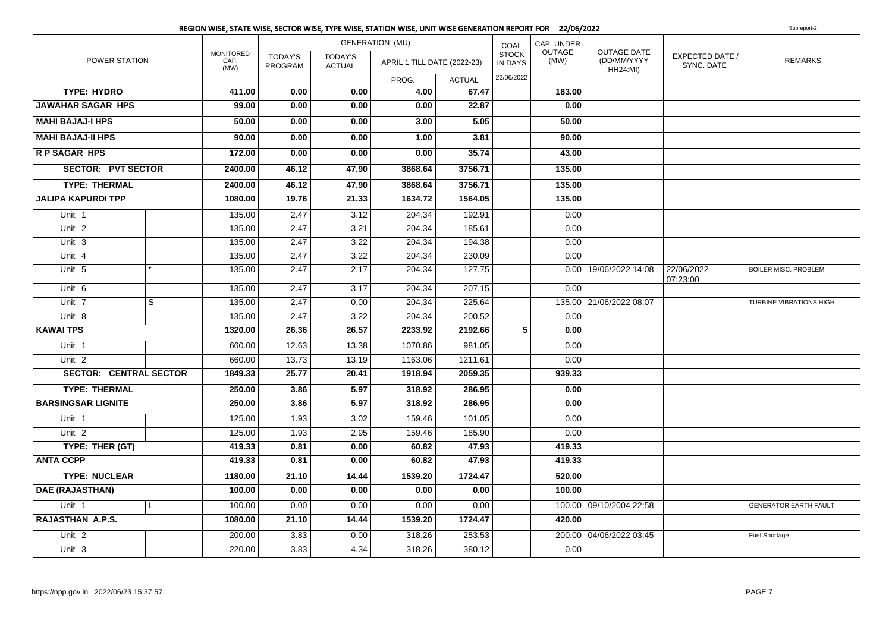|                               |                         |                                  |                           |                                 | <b>GENERATION (MU)</b>      |                | COAL                                         | CAP. UNDER            |                                                      |                               |                                |
|-------------------------------|-------------------------|----------------------------------|---------------------------|---------------------------------|-----------------------------|----------------|----------------------------------------------|-----------------------|------------------------------------------------------|-------------------------------|--------------------------------|
| POWER STATION                 |                         | <b>MONITORED</b><br>CAP.<br>(MW) | <b>TODAY'S</b><br>PROGRAM | <b>TODAY'S</b><br><b>ACTUAL</b> | APRIL 1 TILL DATE (2022-23) |                | <b>STOCK</b><br><b>IN DAYS</b><br>22/06/2022 | <b>OUTAGE</b><br>(MW) | <b>OUTAGE DATE</b><br>(DD/MM/YYYY<br><b>HH24:MI)</b> | EXPECTED DATE /<br>SYNC. DATE | <b>REMARKS</b>                 |
| <b>TYPE: HYDRO</b>            |                         |                                  |                           |                                 | PROG.<br>4.00               | <b>ACTUAL</b>  |                                              |                       |                                                      |                               |                                |
| <b>JAWAHAR SAGAR HPS</b>      |                         | 411.00<br>99.00                  | 0.00<br>0.00              | 0.00<br>0.00                    | 0.00                        | 67.47<br>22.87 |                                              | 183.00<br>0.00        |                                                      |                               |                                |
|                               |                         |                                  |                           |                                 |                             |                |                                              |                       |                                                      |                               |                                |
| <b>MAHI BAJAJ-I HPS</b>       |                         | 50.00                            | 0.00                      | 0.00                            | 3.00                        | 5.05           |                                              | 50.00                 |                                                      |                               |                                |
| <b>MAHI BAJAJ-II HPS</b>      |                         | 90.00                            | 0.00                      | 0.00                            | 1.00                        | 3.81           |                                              | 90.00                 |                                                      |                               |                                |
| <b>RP SAGAR HPS</b>           |                         | 172.00                           | 0.00                      | 0.00                            | 0.00                        | 35.74          |                                              | 43.00                 |                                                      |                               |                                |
| <b>SECTOR: PVT SECTOR</b>     |                         | 2400.00                          | 46.12                     | 47.90                           | 3868.64                     | 3756.71        |                                              | 135.00                |                                                      |                               |                                |
| <b>TYPE: THERMAL</b>          |                         | 2400.00                          | 46.12                     | 47.90                           | 3868.64                     | 3756.71        |                                              | 135.00                |                                                      |                               |                                |
| <b>JALIPA KAPURDI TPP</b>     |                         | 1080.00                          | 19.76                     | 21.33                           | 1634.72                     | 1564.05        |                                              | 135.00                |                                                      |                               |                                |
| Unit 1                        |                         | 135.00                           | 2.47                      | 3.12                            | 204.34                      | 192.91         |                                              | 0.00                  |                                                      |                               |                                |
| Unit <sub>2</sub>             |                         | 135.00                           | 2.47                      | 3.21                            | 204.34                      | 185.61         |                                              | 0.00                  |                                                      |                               |                                |
| Unit 3                        |                         | 135.00                           | 2.47                      | 3.22                            | 204.34                      | 194.38         |                                              | 0.00                  |                                                      |                               |                                |
| Unit 4                        |                         | 135.00                           | 2.47                      | 3.22                            | 204.34                      | 230.09         |                                              | 0.00                  |                                                      |                               |                                |
| Unit 5                        |                         | 135.00                           | 2.47                      | 2.17                            | 204.34                      | 127.75         |                                              |                       | 0.00   19/06/2022 14:08                              | 22/06/2022<br>07:23:00        | <b>BOILER MISC. PROBLEM</b>    |
| Unit 6                        |                         | 135.00                           | 2.47                      | 3.17                            | 204.34                      | 207.15         |                                              | 0.00                  |                                                      |                               |                                |
| Unit 7                        | $\overline{\mathbf{s}}$ | 135.00                           | 2.47                      | 0.00                            | 204.34                      | 225.64         |                                              |                       | 135.00 21/06/2022 08:07                              |                               | <b>TURBINE VIBRATIONS HIGH</b> |
| Unit 8                        |                         | 135.00                           | 2.47                      | 3.22                            | 204.34                      | 200.52         |                                              | 0.00                  |                                                      |                               |                                |
| <b>KAWAI TPS</b>              |                         | 1320.00                          | 26.36                     | 26.57                           | 2233.92                     | 2192.66        | 5                                            | 0.00                  |                                                      |                               |                                |
| Unit 1                        |                         | 660.00                           | 12.63                     | 13.38                           | 1070.86                     | 981.05         |                                              | 0.00                  |                                                      |                               |                                |
| Unit <sub>2</sub>             |                         | 660.00                           | 13.73                     | 13.19                           | 1163.06                     | 1211.61        |                                              | 0.00                  |                                                      |                               |                                |
| <b>SECTOR: CENTRAL SECTOR</b> |                         | 1849.33                          | 25.77                     | 20.41                           | 1918.94                     | 2059.35        |                                              | 939.33                |                                                      |                               |                                |
| <b>TYPE: THERMAL</b>          |                         | 250.00                           | 3.86                      | 5.97                            | 318.92                      | 286.95         |                                              | 0.00                  |                                                      |                               |                                |
| <b>BARSINGSAR LIGNITE</b>     |                         | 250.00                           | 3.86                      | 5.97                            | 318.92                      | 286.95         |                                              | 0.00                  |                                                      |                               |                                |
| Unit 1                        |                         | 125.00                           | 1.93                      | 3.02                            | 159.46                      | 101.05         |                                              | 0.00                  |                                                      |                               |                                |
| Unit <sub>2</sub>             |                         | 125.00                           | 1.93                      | 2.95                            | 159.46                      | 185.90         |                                              | 0.00                  |                                                      |                               |                                |
| TYPE: THER (GT)               |                         | 419.33                           | 0.81                      | 0.00                            | 60.82                       | 47.93          |                                              | 419.33                |                                                      |                               |                                |
| <b>ANTA CCPP</b>              |                         | 419.33                           | 0.81                      | 0.00                            | 60.82                       | 47.93          |                                              | 419.33                |                                                      |                               |                                |
| <b>TYPE: NUCLEAR</b>          |                         | 1180.00                          | 21.10                     | 14.44                           | 1539.20                     | 1724.47        |                                              | 520.00                |                                                      |                               |                                |
| <b>DAE (RAJASTHAN)</b>        |                         | 100.00                           | 0.00                      | 0.00                            | 0.00                        | 0.00           |                                              | 100.00                |                                                      |                               |                                |
| Unit 1                        | L                       | 100.00                           | 0.00                      | 0.00                            | 0.00                        | 0.00           |                                              |                       | 100.00 09/10/2004 22:58                              |                               | <b>GENERATOR EARTH FAULT</b>   |
| RAJASTHAN A.P.S.              |                         | 1080.00                          | 21.10                     | 14.44                           | 1539.20                     | 1724.47        |                                              | 420.00                |                                                      |                               |                                |
| Unit <sub>2</sub>             |                         | 200.00                           | 3.83                      | 0.00                            | 318.26                      | 253.53         |                                              |                       | 200.00 04/06/2022 03:45                              |                               | <b>Fuel Shortage</b>           |
| Unit 3                        |                         | 220.00                           | 3.83                      | 4.34                            | 318.26                      | 380.12         |                                              | 0.00                  |                                                      |                               |                                |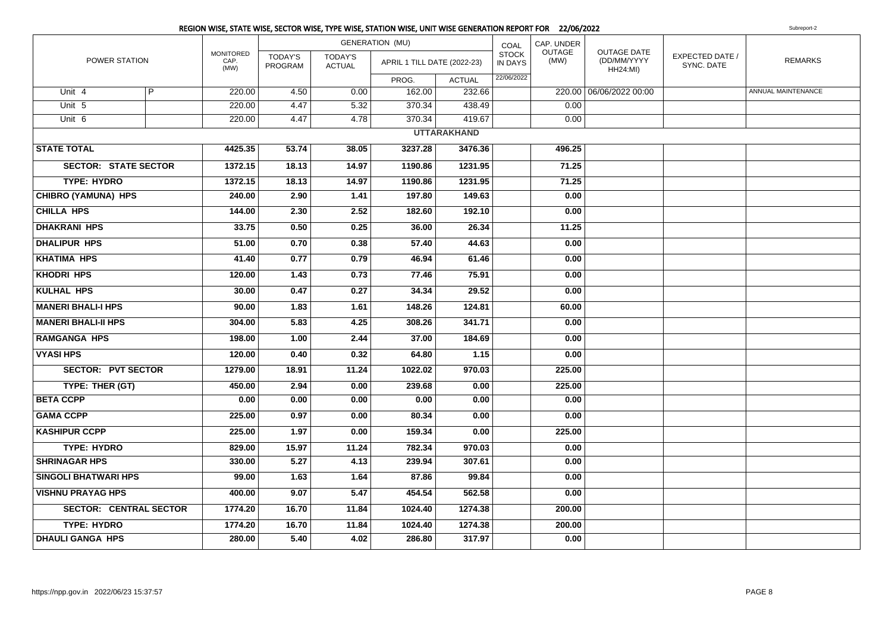|                               |                |                           |                           |                                 | REGION WISE, STATE WISE, SECTOR WISE, TYPE WISE, STATION WISE, UNIT WISE GENERATION REPORT FOR 22/06/2022 |                    |                                |                |                                                      |                               | Subreport-2        |
|-------------------------------|----------------|---------------------------|---------------------------|---------------------------------|-----------------------------------------------------------------------------------------------------------|--------------------|--------------------------------|----------------|------------------------------------------------------|-------------------------------|--------------------|
|                               |                |                           |                           |                                 | <b>GENERATION (MU)</b>                                                                                    |                    | COAL                           | CAP. UNDER     |                                                      |                               |                    |
| POWER STATION                 |                | MONITORED<br>CAP.<br>(MW) | <b>TODAY'S</b><br>PROGRAM | <b>TODAY'S</b><br><b>ACTUAL</b> | APRIL 1 TILL DATE (2022-23)                                                                               |                    | <b>STOCK</b><br><b>IN DAYS</b> | OUTAGE<br>(MW) | <b>OUTAGE DATE</b><br>(DD/MM/YYYY<br><b>HH24:MI)</b> | EXPECTED DATE /<br>SYNC. DATE | <b>REMARKS</b>     |
|                               |                |                           |                           |                                 | PROG.                                                                                                     | <b>ACTUAL</b>      | 22/06/2022                     |                |                                                      |                               |                    |
| Unit $4$                      | $\overline{P}$ | 220.00                    | 4.50                      | 0.00                            | 162.00                                                                                                    | 232.66             |                                |                | 220.00 06/06/2022 00:00                              |                               | ANNUAL MAINTENANCE |
| Unit 5                        |                | 220.00                    | 4.47                      | 5.32                            | 370.34                                                                                                    | 438.49             |                                | 0.00           |                                                      |                               |                    |
| Unit 6                        |                | 220.00                    | 4.47                      | 4.78                            | 370.34                                                                                                    | 419.67             |                                | 0.00           |                                                      |                               |                    |
|                               |                |                           |                           |                                 |                                                                                                           | <b>UTTARAKHAND</b> |                                |                |                                                      |                               |                    |
| <b>STATE TOTAL</b>            |                | 4425.35                   | 53.74                     | 38.05                           | 3237.28                                                                                                   | 3476.36            |                                | 496.25         |                                                      |                               |                    |
| <b>SECTOR: STATE SECTOR</b>   |                | 1372.15                   | 18.13                     | 14.97                           | 1190.86                                                                                                   | 1231.95            |                                | 71.25          |                                                      |                               |                    |
| <b>TYPE: HYDRO</b>            |                | 1372.15                   | 18.13                     | 14.97                           | 1190.86                                                                                                   | 1231.95            |                                | 71.25          |                                                      |                               |                    |
| <b>CHIBRO (YAMUNA) HPS</b>    |                | 240.00                    | 2.90                      | 1.41                            | 197.80                                                                                                    | 149.63             |                                | 0.00           |                                                      |                               |                    |
| <b>CHILLA HPS</b>             |                | 144.00                    | 2.30                      | 2.52                            | 182.60                                                                                                    | 192.10             |                                | 0.00           |                                                      |                               |                    |
| <b>DHAKRANI HPS</b>           |                | 33.75                     | 0.50                      | 0.25                            | 36.00                                                                                                     | 26.34              |                                | 11.25          |                                                      |                               |                    |
| <b>DHALIPUR HPS</b>           |                | 51.00                     | 0.70                      | 0.38                            | 57.40                                                                                                     | 44.63              |                                | 0.00           |                                                      |                               |                    |
| <b>KHATIMA HPS</b>            |                | 41.40                     | 0.77                      | 0.79                            | 46.94                                                                                                     | 61.46              |                                | 0.00           |                                                      |                               |                    |
| <b>KHODRI HPS</b>             |                | 120.00                    | 1.43                      | 0.73                            | 77.46                                                                                                     | 75.91              |                                | 0.00           |                                                      |                               |                    |
| <b>KULHAL HPS</b>             |                | 30.00                     | 0.47                      | 0.27                            | 34.34                                                                                                     | 29.52              |                                | 0.00           |                                                      |                               |                    |
| <b>MANERI BHALI-I HPS</b>     |                | 90.00                     | 1.83                      | 1.61                            | 148.26                                                                                                    | 124.81             |                                | 60.00          |                                                      |                               |                    |
| <b>MANERI BHALI-II HPS</b>    |                | 304.00                    | 5.83                      | 4.25                            | 308.26                                                                                                    | 341.71             |                                | 0.00           |                                                      |                               |                    |
| <b>RAMGANGA HPS</b>           |                | 198.00                    | 1.00                      | 2.44                            | 37.00                                                                                                     | 184.69             |                                | 0.00           |                                                      |                               |                    |
| <b>VYASI HPS</b>              |                | 120.00                    | 0.40                      | 0.32                            | 64.80                                                                                                     | 1.15               |                                | 0.00           |                                                      |                               |                    |
| <b>SECTOR: PVT SECTOR</b>     |                | 1279.00                   | 18.91                     | 11.24                           | 1022.02                                                                                                   | 970.03             |                                | 225.00         |                                                      |                               |                    |
| TYPE: THER (GT)               |                | 450.00                    | 2.94                      | 0.00                            | 239.68                                                                                                    | 0.00               |                                | 225.00         |                                                      |                               |                    |
| <b>BETA CCPP</b>              |                | 0.00                      | 0.00                      | 0.00                            | 0.00                                                                                                      | 0.00               |                                | 0.00           |                                                      |                               |                    |
| <b>GAMA CCPP</b>              |                | 225.00                    | 0.97                      | 0.00                            | 80.34                                                                                                     | 0.00               |                                | 0.00           |                                                      |                               |                    |
| <b>KASHIPUR CCPP</b>          |                | 225.00                    | 1.97                      | 0.00                            | 159.34                                                                                                    | 0.00               |                                | 225.00         |                                                      |                               |                    |
| <b>TYPE: HYDRO</b>            |                | 829.00                    | 15.97                     | 11.24                           | 782.34                                                                                                    | 970.03             |                                | 0.00           |                                                      |                               |                    |
| <b>SHRINAGAR HPS</b>          |                | 330.00                    | 5.27                      | 4.13                            | 239.94                                                                                                    | 307.61             |                                | 0.00           |                                                      |                               |                    |
| <b>SINGOLI BHATWARI HPS</b>   |                | 99.00                     | 1.63                      | 1.64                            | 87.86                                                                                                     | 99.84              |                                | 0.00           |                                                      |                               |                    |
| <b>VISHNU PRAYAG HPS</b>      |                | 400.00                    | 9.07                      | 5.47                            | 454.54                                                                                                    | 562.58             |                                | 0.00           |                                                      |                               |                    |
| <b>SECTOR: CENTRAL SECTOR</b> |                | 1774.20                   | 16.70                     | 11.84                           | 1024.40                                                                                                   | 1274.38            |                                | 200.00         |                                                      |                               |                    |
| <b>TYPE: HYDRO</b>            |                | 1774.20                   | 16.70                     | 11.84                           | 1024.40                                                                                                   | 1274.38            |                                | 200.00         |                                                      |                               |                    |
| <b>DHAULI GANGA HPS</b>       |                | 280.00                    | 5.40                      | 4.02                            | 286.80                                                                                                    | 317.97             |                                | 0.00           |                                                      |                               |                    |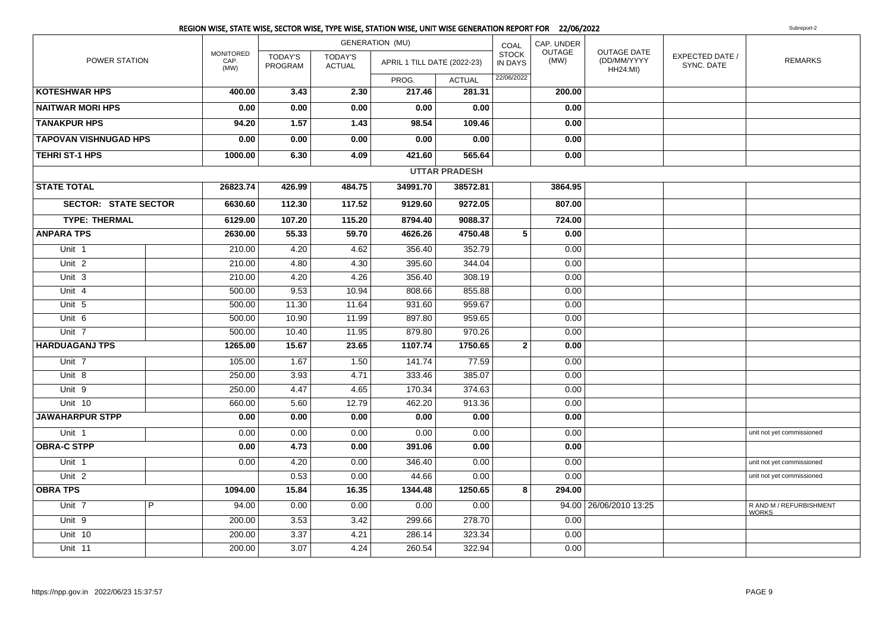|                              |   |                                  |                           |                                 | <b>GENERATION (MU)</b>      |                      | COAL                           | CAP. UNDER            |                                                      |                               |                                         |
|------------------------------|---|----------------------------------|---------------------------|---------------------------------|-----------------------------|----------------------|--------------------------------|-----------------------|------------------------------------------------------|-------------------------------|-----------------------------------------|
| POWER STATION                |   | <b>MONITORED</b><br>CAP.<br>(MW) | <b>TODAY'S</b><br>PROGRAM | <b>TODAY'S</b><br><b>ACTUAL</b> | APRIL 1 TILL DATE (2022-23) |                      | <b>STOCK</b><br><b>IN DAYS</b> | <b>OUTAGE</b><br>(MW) | <b>OUTAGE DATE</b><br>(DD/MM/YYYY<br><b>HH24:MI)</b> | EXPECTED DATE /<br>SYNC. DATE | <b>REMARKS</b>                          |
|                              |   |                                  |                           |                                 | PROG.                       | <b>ACTUAL</b>        | 22/06/2022                     |                       |                                                      |                               |                                         |
| <b>KOTESHWAR HPS</b>         |   | 400.00                           | 3.43                      | 2.30                            | 217.46                      | 281.31               |                                | 200.00                |                                                      |                               |                                         |
| <b>NAITWAR MORI HPS</b>      |   | 0.00                             | 0.00                      | 0.00                            | 0.00                        | 0.00                 |                                | 0.00                  |                                                      |                               |                                         |
| <b>TANAKPUR HPS</b>          |   | 94.20                            | 1.57                      | 1.43                            | 98.54                       | 109.46               |                                | 0.00                  |                                                      |                               |                                         |
| <b>TAPOVAN VISHNUGAD HPS</b> |   | 0.00                             | 0.00                      | 0.00                            | 0.00                        | 0.00                 |                                | 0.00                  |                                                      |                               |                                         |
| <b>TEHRI ST-1 HPS</b>        |   | 1000.00                          | 6.30                      | 4.09                            | 421.60                      | 565.64               |                                | 0.00                  |                                                      |                               |                                         |
|                              |   |                                  |                           |                                 |                             | <b>UTTAR PRADESH</b> |                                |                       |                                                      |                               |                                         |
| <b>STATE TOTAL</b>           |   | 26823.74                         | 426.99                    | 484.75                          | 34991.70                    | 38572.81             |                                | 3864.95               |                                                      |                               |                                         |
| <b>SECTOR: STATE SECTOR</b>  |   | 6630.60                          | 112.30                    | 117.52                          | 9129.60                     | 9272.05              |                                | 807.00                |                                                      |                               |                                         |
| <b>TYPE: THERMAL</b>         |   | 6129.00                          | 107.20                    | 115.20                          | 8794.40                     | 9088.37              |                                | 724.00                |                                                      |                               |                                         |
| <b>ANPARA TPS</b>            |   | 2630.00                          | 55.33                     | 59.70                           | 4626.26                     | 4750.48              | 5                              | 0.00                  |                                                      |                               |                                         |
| Unit 1                       |   | 210.00                           | 4.20                      | 4.62                            | 356.40                      | 352.79               |                                | 0.00                  |                                                      |                               |                                         |
| Unit <sub>2</sub>            |   | 210.00                           | 4.80                      | 4.30                            | 395.60                      | 344.04               |                                | 0.00                  |                                                      |                               |                                         |
| Unit <sub>3</sub>            |   | 210.00                           | 4.20                      | 4.26                            | 356.40                      | 308.19               |                                | 0.00                  |                                                      |                               |                                         |
| Unit 4                       |   | 500.00                           | 9.53                      | 10.94                           | 808.66                      | 855.88               |                                | 0.00                  |                                                      |                               |                                         |
| Unit 5                       |   | 500.00                           | 11.30                     | 11.64                           | 931.60                      | 959.67               |                                | 0.00                  |                                                      |                               |                                         |
| Unit 6                       |   | 500.00                           | 10.90                     | 11.99                           | 897.80                      | 959.65               |                                | 0.00                  |                                                      |                               |                                         |
| Unit 7                       |   | 500.00                           | 10.40                     | 11.95                           | 879.80                      | 970.26               |                                | 0.00                  |                                                      |                               |                                         |
| <b>HARDUAGANJ TPS</b>        |   | 1265.00                          | 15.67                     | 23.65                           | 1107.74                     | 1750.65              | $\mathbf{2}$                   | 0.00                  |                                                      |                               |                                         |
| Unit <sub>7</sub>            |   | 105.00                           | 1.67                      | 1.50                            | 141.74                      | 77.59                |                                | 0.00                  |                                                      |                               |                                         |
| Unit 8                       |   | 250.00                           | 3.93                      | 4.71                            | 333.46                      | 385.07               |                                | 0.00                  |                                                      |                               |                                         |
| Unit 9                       |   | 250.00                           | 4.47                      | 4.65                            | 170.34                      | 374.63               |                                | 0.00                  |                                                      |                               |                                         |
| Unit 10                      |   | 660.00                           | 5.60                      | 12.79                           | 462.20                      | 913.36               |                                | 0.00                  |                                                      |                               |                                         |
| <b>JAWAHARPUR STPP</b>       |   | 0.00                             | 0.00                      | 0.00                            | 0.00                        | 0.00                 |                                | 0.00                  |                                                      |                               |                                         |
| Unit 1                       |   | 0.00                             | 0.00                      | 0.00                            | 0.00                        | 0.00                 |                                | 0.00                  |                                                      |                               | unit not yet commissioned               |
| <b>OBRA-C STPP</b>           |   | 0.00                             | 4.73                      | 0.00                            | 391.06                      | 0.00                 |                                | 0.00                  |                                                      |                               |                                         |
| Unit 1                       |   | 0.00                             | 4.20                      | 0.00                            | 346.40                      | 0.00                 |                                | 0.00                  |                                                      |                               | unit not yet commissioned               |
| Unit <sub>2</sub>            |   |                                  | 0.53                      | 0.00                            | 44.66                       | 0.00                 |                                | 0.00                  |                                                      |                               | unit not yet commissioned               |
| <b>OBRA TPS</b>              |   | 1094.00                          | 15.84                     | 16.35                           | 1344.48                     | 1250.65              | 8                              | 294.00                |                                                      |                               |                                         |
| Unit 7                       | P | 94.00                            | 0.00                      | 0.00                            | 0.00                        | 0.00                 |                                |                       | 94.00   26/06/2010 13:25                             |                               | R AND M / REFURBISHMENT<br><b>WORKS</b> |
| Unit 9                       |   | 200.00                           | 3.53                      | 3.42                            | 299.66                      | 278.70               |                                | 0.00                  |                                                      |                               |                                         |
| Unit 10                      |   | 200.00                           | 3.37                      | 4.21                            | 286.14                      | 323.34               |                                | 0.00                  |                                                      |                               |                                         |
| Unit 11                      |   | 200.00                           | 3.07                      | 4.24                            | 260.54                      | 322.94               |                                | 0.00                  |                                                      |                               |                                         |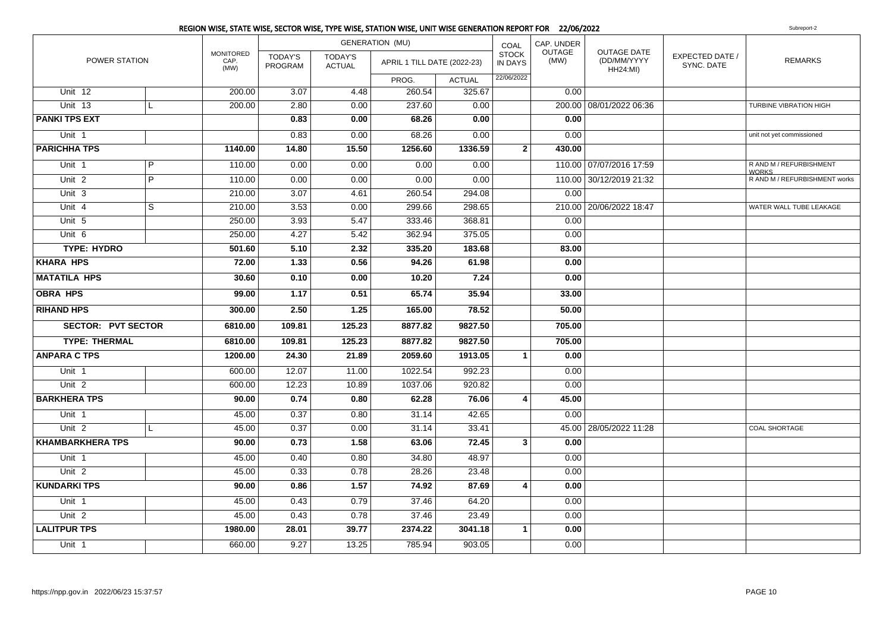|                           |                |                                  |                           |                                 | REGION WISE, STATE WISE, SECTOR WISE, TYPE WISE, STATION WISE, UNIT WISE GENERATION REPORT FOR 22/06/2022 |               |                                |                |                                               |                               | Subreport-2                             |
|---------------------------|----------------|----------------------------------|---------------------------|---------------------------------|-----------------------------------------------------------------------------------------------------------|---------------|--------------------------------|----------------|-----------------------------------------------|-------------------------------|-----------------------------------------|
|                           |                |                                  |                           |                                 | <b>GENERATION (MU)</b>                                                                                    |               | COAL                           | CAP. UNDER     |                                               |                               |                                         |
| POWER STATION             |                | <b>MONITORED</b><br>CAP.<br>(MW) | <b>TODAY'S</b><br>PROGRAM | <b>TODAY'S</b><br><b>ACTUAL</b> | APRIL 1 TILL DATE (2022-23)                                                                               |               | <b>STOCK</b><br><b>IN DAYS</b> | OUTAGE<br>(MW) | OUTAGE DATE<br>(DD/MM/YYYY<br><b>HH24:MI)</b> | EXPECTED DATE /<br>SYNC. DATE | <b>REMARKS</b>                          |
|                           |                |                                  |                           |                                 | PROG.                                                                                                     | <b>ACTUAL</b> | 22/06/2022                     |                |                                               |                               |                                         |
| Unit 12                   |                | 200.00                           | 3.07                      | 4.48                            | 260.54                                                                                                    | 325.67        |                                | 0.00           |                                               |                               |                                         |
| Unit 13                   | L              | 200.00                           | 2.80                      | 0.00                            | 237.60                                                                                                    | 0.00          |                                |                | 200.00 08/01/2022 06:36                       |                               | <b>TURBINE VIBRATION HIGH</b>           |
| <b>PANKI TPS EXT</b>      |                |                                  | 0.83                      | 0.00                            | 68.26                                                                                                     | 0.00          |                                | 0.00           |                                               |                               |                                         |
| Unit 1                    |                |                                  | 0.83                      | 0.00                            | 68.26                                                                                                     | 0.00          |                                | 0.00           |                                               |                               | unit not yet commissioned               |
| <b>PARICHHA TPS</b>       |                | 1140.00                          | 14.80                     | 15.50                           | 1256.60                                                                                                   | 1336.59       | $\mathbf{2}$                   | 430.00         |                                               |                               |                                         |
| Unit 1                    | $\overline{P}$ | 110.00                           | 0.00                      | 0.00                            | 0.00                                                                                                      | 0.00          |                                |                | 110.00 07/07/2016 17:59                       |                               | R AND M / REFURBISHMENT<br><b>WORKS</b> |
| Unit <sub>2</sub>         | $\overline{P}$ | 110.00                           | 0.00                      | 0.00                            | 0.00                                                                                                      | 0.00          |                                |                | 110.00 30/12/2019 21:32                       |                               | R AND M / REFURBISHMENT works           |
| Unit 3                    |                | 210.00                           | 3.07                      | 4.61                            | 260.54                                                                                                    | 294.08        |                                | 0.00           |                                               |                               |                                         |
| Unit 4                    | $\overline{s}$ | 210.00                           | 3.53                      | 0.00                            | 299.66                                                                                                    | 298.65        |                                |                | 210.00 20/06/2022 18:47                       |                               | WATER WALL TUBE LEAKAGE                 |
| Unit 5                    |                | 250.00                           | 3.93                      | 5.47                            | 333.46                                                                                                    | 368.81        |                                | 0.00           |                                               |                               |                                         |
| Unit 6                    |                | 250.00                           | 4.27                      | 5.42                            | 362.94                                                                                                    | 375.05        |                                | 0.00           |                                               |                               |                                         |
| <b>TYPE: HYDRO</b>        |                | 501.60                           | 5.10                      | 2.32                            | 335.20                                                                                                    | 183.68        |                                | 83.00          |                                               |                               |                                         |
| <b>KHARA HPS</b>          |                | 72.00                            | 1.33                      | 0.56                            | 94.26                                                                                                     | 61.98         |                                | 0.00           |                                               |                               |                                         |
| <b>MATATILA HPS</b>       |                | 30.60                            | 0.10                      | 0.00                            | 10.20                                                                                                     | 7.24          |                                | 0.00           |                                               |                               |                                         |
| <b>OBRA HPS</b>           |                | 99.00                            | 1.17                      | 0.51                            | 65.74                                                                                                     | 35.94         |                                | 33.00          |                                               |                               |                                         |
| <b>RIHAND HPS</b>         |                | 300.00                           | 2.50                      | 1.25                            | 165.00                                                                                                    | 78.52         |                                | 50.00          |                                               |                               |                                         |
| <b>SECTOR: PVT SECTOR</b> |                | 6810.00                          | 109.81                    | 125.23                          | 8877.82                                                                                                   | 9827.50       |                                | 705.00         |                                               |                               |                                         |
| <b>TYPE: THERMAL</b>      |                | 6810.00                          | 109.81                    | 125.23                          | 8877.82                                                                                                   | 9827.50       |                                | 705.00         |                                               |                               |                                         |
| <b>ANPARA C TPS</b>       |                | 1200.00                          | 24.30                     | 21.89                           | 2059.60                                                                                                   | 1913.05       | $\mathbf{1}$                   | 0.00           |                                               |                               |                                         |
| Unit 1                    |                | 600.00                           | 12.07                     | 11.00                           | 1022.54                                                                                                   | 992.23        |                                | 0.00           |                                               |                               |                                         |
| Unit <sub>2</sub>         |                | 600.00                           | 12.23                     | 10.89                           | 1037.06                                                                                                   | 920.82        |                                | 0.00           |                                               |                               |                                         |
| <b>BARKHERA TPS</b>       |                | 90.00                            | 0.74                      | 0.80                            | 62.28                                                                                                     | 76.06         | 4                              | 45.00          |                                               |                               |                                         |
| Unit 1                    |                | 45.00                            | 0.37                      | 0.80                            | 31.14                                                                                                     | 42.65         |                                | 0.00           |                                               |                               |                                         |
| Unit <sub>2</sub>         | L              | 45.00                            | 0.37                      | 0.00                            | 31.14                                                                                                     | 33.41         |                                |                | 45.00 28/05/2022 11:28                        |                               | <b>COAL SHORTAGE</b>                    |
| <b>KHAMBARKHERA TPS</b>   |                | 90.00                            | 0.73                      | 1.58                            | 63.06                                                                                                     | 72.45         | 3                              | 0.00           |                                               |                               |                                         |
| Unit 1                    |                | 45.00                            | 0.40                      | 0.80                            | 34.80                                                                                                     | 48.97         |                                | 0.00           |                                               |                               |                                         |
| Unit <sub>2</sub>         |                | 45.00                            | 0.33                      | 0.78                            | 28.26                                                                                                     | 23.48         |                                | 0.00           |                                               |                               |                                         |
| <b>KUNDARKI TPS</b>       |                | 90.00                            | 0.86                      | $\overline{1.57}$               | 74.92                                                                                                     | 87.69         | 4                              | 0.00           |                                               |                               |                                         |
| Unit 1                    |                | 45.00                            | 0.43                      | 0.79                            | 37.46                                                                                                     | 64.20         |                                | 0.00           |                                               |                               |                                         |
| Unit <sub>2</sub>         |                | 45.00                            | 0.43                      | 0.78                            | 37.46                                                                                                     | 23.49         |                                | 0.00           |                                               |                               |                                         |
| <b>LALITPUR TPS</b>       |                | 1980.00                          | 28.01                     | 39.77                           | 2374.22                                                                                                   | 3041.18       | 1                              | 0.00           |                                               |                               |                                         |
| Unit 1                    |                | 660.00                           | 9.27                      | 13.25                           | 785.94                                                                                                    | 903.05        |                                | 0.00           |                                               |                               |                                         |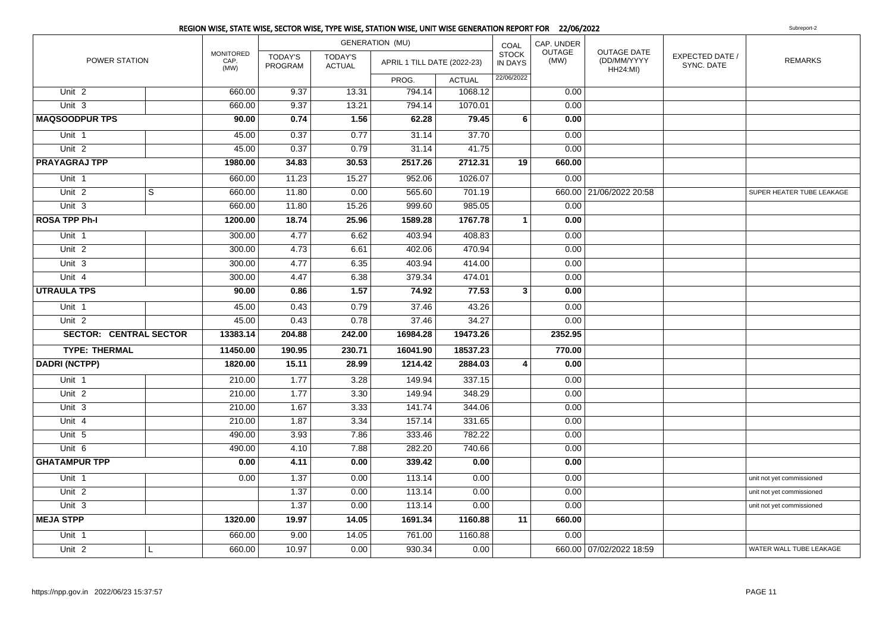|                               |   |                                  |                           |                                 | <b>GENERATION (MU)</b>      |               | COAL                           | CAP. UNDER     |                                                      |                               |                           |
|-------------------------------|---|----------------------------------|---------------------------|---------------------------------|-----------------------------|---------------|--------------------------------|----------------|------------------------------------------------------|-------------------------------|---------------------------|
| POWER STATION                 |   | <b>MONITORED</b><br>CAP.<br>(MW) | <b>TODAY'S</b><br>PROGRAM | <b>TODAY'S</b><br><b>ACTUAL</b> | APRIL 1 TILL DATE (2022-23) |               | <b>STOCK</b><br><b>IN DAYS</b> | OUTAGE<br>(MW) | <b>OUTAGE DATE</b><br>(DD/MM/YYYY<br><b>HH24:MI)</b> | EXPECTED DATE /<br>SYNC. DATE | <b>REMARKS</b>            |
|                               |   |                                  |                           |                                 | PROG.                       | <b>ACTUAL</b> | 22/06/2022                     |                |                                                      |                               |                           |
| Unit 2                        |   | 660.00                           | 9.37                      | 13.31                           | 794.14                      | 1068.12       |                                | 0.00           |                                                      |                               |                           |
| Unit 3                        |   | 660.00                           | 9.37                      | 13.21                           | 794.14                      | 1070.01       |                                | 0.00           |                                                      |                               |                           |
| <b>MAQSOODPUR TPS</b>         |   | 90.00                            | 0.74                      | 1.56                            | 62.28                       | 79.45         | 6                              | 0.00           |                                                      |                               |                           |
| Unit 1                        |   | 45.00                            | 0.37                      | 0.77                            | 31.14                       | 37.70         |                                | 0.00           |                                                      |                               |                           |
| Unit <sub>2</sub>             |   | 45.00                            | 0.37                      | 0.79                            | 31.14                       | 41.75         |                                | 0.00           |                                                      |                               |                           |
| <b>PRAYAGRAJ TPP</b>          |   | 1980.00                          | 34.83                     | 30.53                           | 2517.26                     | 2712.31       | 19                             | 660.00         |                                                      |                               |                           |
| Unit 1                        |   | 660.00                           | 11.23                     | 15.27                           | 952.06                      | 1026.07       |                                | 0.00           |                                                      |                               |                           |
| Unit <sub>2</sub>             | S | 660.00                           | 11.80                     | 0.00                            | 565.60                      | 701.19        |                                |                | 660.00 21/06/2022 20:58                              |                               | SUPER HEATER TUBE LEAKAGE |
| Unit 3                        |   | 660.00                           | 11.80                     | 15.26                           | 999.60                      | 985.05        |                                | 0.00           |                                                      |                               |                           |
| <b>ROSA TPP Ph-I</b>          |   | 1200.00                          | 18.74                     | 25.96                           | 1589.28                     | 1767.78       | $\mathbf{1}$                   | 0.00           |                                                      |                               |                           |
| Unit 1                        |   | 300.00                           | 4.77                      | 6.62                            | 403.94                      | 408.83        |                                | 0.00           |                                                      |                               |                           |
| Unit 2                        |   | 300.00                           | 4.73                      | 6.61                            | 402.06                      | 470.94        |                                | 0.00           |                                                      |                               |                           |
| Unit 3                        |   | 300.00                           | 4.77                      | 6.35                            | 403.94                      | 414.00        |                                | 0.00           |                                                      |                               |                           |
| Unit 4                        |   | 300.00                           | 4.47                      | 6.38                            | 379.34                      | 474.01        |                                | 0.00           |                                                      |                               |                           |
| <b>UTRAULA TPS</b>            |   | 90.00                            | 0.86                      | 1.57                            | 74.92                       | 77.53         | 3                              | 0.00           |                                                      |                               |                           |
| Unit 1                        |   | 45.00                            | 0.43                      | 0.79                            | 37.46                       | 43.26         |                                | 0.00           |                                                      |                               |                           |
| Unit <sub>2</sub>             |   | 45.00                            | 0.43                      | 0.78                            | 37.46                       | 34.27         |                                | 0.00           |                                                      |                               |                           |
| <b>SECTOR: CENTRAL SECTOR</b> |   | 13383.14                         | 204.88                    | 242.00                          | 16984.28                    | 19473.26      |                                | 2352.95        |                                                      |                               |                           |
| <b>TYPE: THERMAL</b>          |   | 11450.00                         | 190.95                    | 230.71                          | 16041.90                    | 18537.23      |                                | 770.00         |                                                      |                               |                           |
| <b>DADRI (NCTPP)</b>          |   | 1820.00                          | 15.11                     | 28.99                           | 1214.42                     | 2884.03       | $\overline{4}$                 | 0.00           |                                                      |                               |                           |
| Unit 1                        |   | 210.00                           | 1.77                      | 3.28                            | 149.94                      | 337.15        |                                | 0.00           |                                                      |                               |                           |
| Unit 2                        |   | 210.00                           | 1.77                      | 3.30                            | 149.94                      | 348.29        |                                | 0.00           |                                                      |                               |                           |
| Unit 3                        |   | 210.00                           | 1.67                      | 3.33                            | 141.74                      | 344.06        |                                | 0.00           |                                                      |                               |                           |
| Unit 4                        |   | 210.00                           | 1.87                      | 3.34                            | 157.14                      | 331.65        |                                | 0.00           |                                                      |                               |                           |
| Unit 5                        |   | 490.00                           | 3.93                      | 7.86                            | 333.46                      | 782.22        |                                | 0.00           |                                                      |                               |                           |
| Unit 6                        |   | 490.00                           | 4.10                      | 7.88                            | 282.20                      | 740.66        |                                | 0.00           |                                                      |                               |                           |
| <b>GHATAMPUR TPP</b>          |   | 0.00                             | 4.11                      | 0.00                            | 339.42                      | 0.00          |                                | 0.00           |                                                      |                               |                           |
| Unit 1                        |   | 0.00                             | 1.37                      | 0.00                            | 113.14                      | 0.00          |                                | 0.00           |                                                      |                               | unit not yet commissioned |
| Unit <sub>2</sub>             |   |                                  | 1.37                      | 0.00                            | 113.14                      | 0.00          |                                | 0.00           |                                                      |                               | unit not yet commissioned |
| Unit 3                        |   |                                  | 1.37                      | 0.00                            | 113.14                      | 0.00          |                                | 0.00           |                                                      |                               | unit not yet commissioned |
| <b>MEJA STPP</b>              |   | 1320.00                          | 19.97                     | 14.05                           | 1691.34                     | 1160.88       | 11                             | 660.00         |                                                      |                               |                           |
| Unit <sub>1</sub>             |   | 660.00                           | 9.00                      | 14.05                           | 761.00                      | 1160.88       |                                | 0.00           |                                                      |                               |                           |
| Unit <sub>2</sub>             |   | 660.00                           | 10.97                     | 0.00                            | 930.34                      | 0.00          |                                |                | 660.00 07/02/2022 18:59                              |                               | WATER WALL TUBE LEAKAGE   |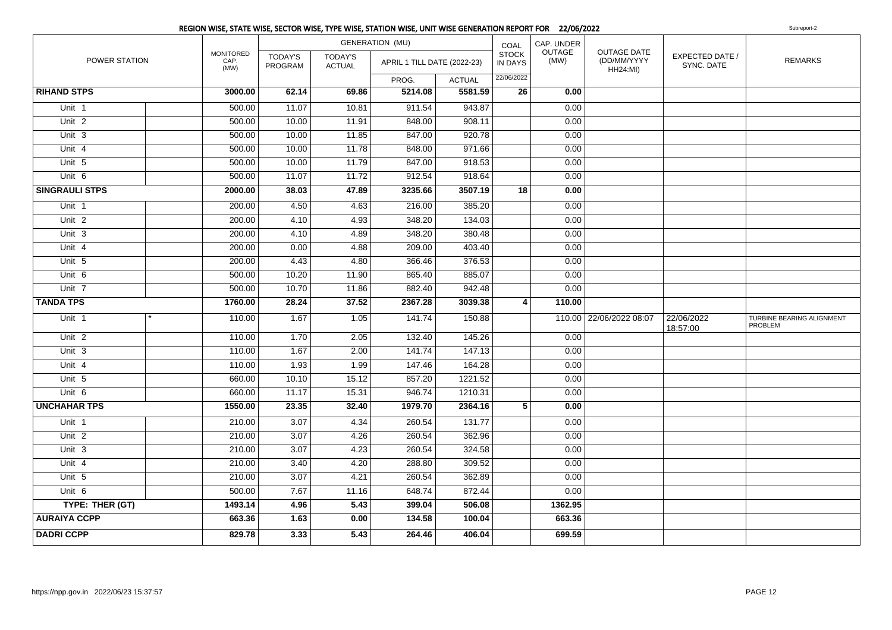|                       | REGION WISE, STATE WISE, SECTOR WISE, TYPE WISE, STATION WISE, UNIT WISE GENERATION REPORT FOR 22/06/2022 |                           |                          |                             |               |                         |                |                                                      |                               | Subreport-2                          |
|-----------------------|-----------------------------------------------------------------------------------------------------------|---------------------------|--------------------------|-----------------------------|---------------|-------------------------|----------------|------------------------------------------------------|-------------------------------|--------------------------------------|
|                       |                                                                                                           |                           |                          | <b>GENERATION (MU)</b>      |               | COAL                    | CAP. UNDER     |                                                      |                               |                                      |
| POWER STATION         | MONITORED<br>CAP.<br>(MW)                                                                                 | TODAY'S<br><b>PROGRAM</b> | TODAY'S<br><b>ACTUAL</b> | APRIL 1 TILL DATE (2022-23) |               | <b>STOCK</b><br>IN DAYS | OUTAGE<br>(MW) | <b>OUTAGE DATE</b><br>(DD/MM/YYYY<br><b>HH24:MI)</b> | EXPECTED DATE /<br>SYNC. DATE | <b>REMARKS</b>                       |
|                       |                                                                                                           |                           |                          | PROG.                       | <b>ACTUAL</b> | 22/06/2022              |                |                                                      |                               |                                      |
| <b>RIHAND STPS</b>    | 3000.00                                                                                                   | 62.14                     | 69.86                    | 5214.08                     | 5581.59       | 26                      | 0.00           |                                                      |                               |                                      |
| Unit 1                | 500.00                                                                                                    | 11.07                     | 10.81                    | 911.54                      | 943.87        |                         | 0.00           |                                                      |                               |                                      |
| Unit $2$              | 500.00                                                                                                    | 10.00                     | 11.91                    | 848.00                      | 908.11        |                         | 0.00           |                                                      |                               |                                      |
| Unit $3$              | 500.00                                                                                                    | 10.00                     | 11.85                    | 847.00                      | 920.78        |                         | 0.00           |                                                      |                               |                                      |
| Unit 4                | 500.00                                                                                                    | 10.00                     | 11.78                    | 848.00                      | 971.66        |                         | 0.00           |                                                      |                               |                                      |
| Unit <sub>5</sub>     | 500.00                                                                                                    | 10.00                     | 11.79                    | 847.00                      | 918.53        |                         | 0.00           |                                                      |                               |                                      |
| Unit $6$              | 500.00                                                                                                    | 11.07                     | 11.72                    | 912.54                      | 918.64        |                         | 0.00           |                                                      |                               |                                      |
| <b>SINGRAULI STPS</b> | 2000.00                                                                                                   | 38.03                     | 47.89                    | 3235.66                     | 3507.19       | 18                      | 0.00           |                                                      |                               |                                      |
| Unit 1                | 200.00                                                                                                    | 4.50                      | 4.63                     | 216.00                      | 385.20        |                         | 0.00           |                                                      |                               |                                      |
| Unit $2$              | 200.00                                                                                                    | 4.10                      | 4.93                     | 348.20                      | 134.03        |                         | 0.00           |                                                      |                               |                                      |
| Unit $3$              | 200.00                                                                                                    | 4.10                      | 4.89                     | 348.20                      | 380.48        |                         | 0.00           |                                                      |                               |                                      |
| Unit $4$              | 200.00                                                                                                    | 0.00                      | 4.88                     | 209.00                      | 403.40        |                         | 0.00           |                                                      |                               |                                      |
| Unit <sub>5</sub>     | 200.00                                                                                                    | 4.43                      | 4.80                     | 366.46                      | 376.53        |                         | 0.00           |                                                      |                               |                                      |
| Unit 6                | 500.00                                                                                                    | 10.20                     | 11.90                    | 865.40                      | 885.07        |                         | 0.00           |                                                      |                               |                                      |
| Unit <sub>7</sub>     | 500.00                                                                                                    | 10.70                     | 11.86                    | 882.40                      | 942.48        |                         | 0.00           |                                                      |                               |                                      |
| <b>TANDA TPS</b>      | 1760.00                                                                                                   | 28.24                     | 37.52                    | 2367.28                     | 3039.38       | $\vert$ 4               | 110.00         |                                                      |                               |                                      |
| Unit 1                | 110.00                                                                                                    | 1.67                      | 1.05                     | 141.74                      | 150.88        |                         |                | 110.00 22/06/2022 08:07                              | 22/06/2022<br>18:57:00        | TURBINE BEARING ALIGNMENT<br>PROBLEM |
| Unit 2                | 110.00                                                                                                    | 1.70                      | 2.05                     | 132.40                      | 145.26        |                         | 0.00           |                                                      |                               |                                      |
| Unit $3$              | 110.00                                                                                                    | 1.67                      | 2.00                     | 141.74                      | 147.13        |                         | 0.00           |                                                      |                               |                                      |
| Unit $4$              | 110.00                                                                                                    | 1.93                      | 1.99                     | 147.46                      | 164.28        |                         | 0.00           |                                                      |                               |                                      |
| Unit 5                | 660.00                                                                                                    | 10.10                     | 15.12                    | 857.20                      | 1221.52       |                         | 0.00           |                                                      |                               |                                      |
| Unit <sub>6</sub>     | 660.00                                                                                                    | 11.17                     | 15.31                    | 946.74                      | 1210.31       |                         | 0.00           |                                                      |                               |                                      |
| <b>UNCHAHAR TPS</b>   | 1550.00                                                                                                   | 23.35                     | 32.40                    | 1979.70                     | 2364.16       | 5                       | 0.00           |                                                      |                               |                                      |
| Unit <sub>1</sub>     | 210.00                                                                                                    | 3.07                      | 4.34                     | 260.54                      | 131.77        |                         | 0.00           |                                                      |                               |                                      |
| Unit $2$              | 210.00                                                                                                    | 3.07                      | 4.26                     | 260.54                      | 362.96        |                         | 0.00           |                                                      |                               |                                      |
| Unit $3$              | 210.00                                                                                                    | 3.07                      | 4.23                     | 260.54                      | 324.58        |                         | 0.00           |                                                      |                               |                                      |
| Unit $4$              | 210.00                                                                                                    | 3.40                      | 4.20                     | 288.80                      | 309.52        |                         | 0.00           |                                                      |                               |                                      |
| Unit <sub>5</sub>     | 210.00                                                                                                    | 3.07                      | 4.21                     | 260.54                      | 362.89        |                         | 0.00           |                                                      |                               |                                      |
| Unit <sub>6</sub>     | 500.00                                                                                                    | 7.67                      | 11.16                    | 648.74                      | 872.44        |                         | 0.00           |                                                      |                               |                                      |
| TYPE: THER (GT)       | 1493.14                                                                                                   | 4.96                      | 5.43                     | 399.04                      | 506.08        |                         | 1362.95        |                                                      |                               |                                      |
| <b>AURAIYA CCPP</b>   | 663.36                                                                                                    | $\overline{1.63}$         | 0.00                     | 134.58                      | 100.04        |                         | 663.36         |                                                      |                               |                                      |
| <b>DADRI CCPP</b>     | 829.78                                                                                                    | 3.33                      | 5.43                     | 264.46                      | 406.04        |                         | 699.59         |                                                      |                               |                                      |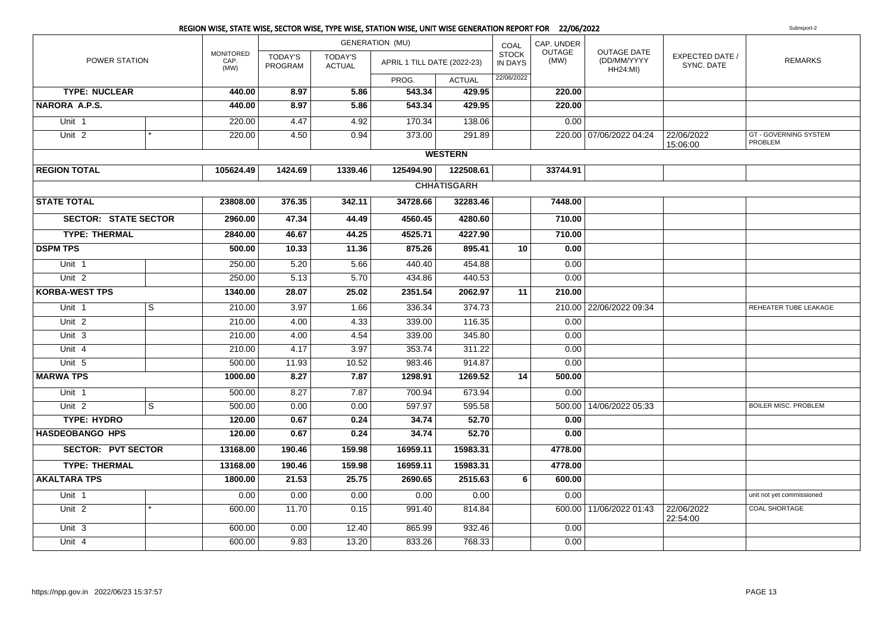|                             |              |                                  |                                  |                          | REGION WISE, STATE WISE, SECTOR WISE, TYPE WISE, STATION WISE, UNIT WISE GENERATION REPORT FOR 22/06/2022 |                    |                                |                       |                                               |                               | Subreport-2                             |
|-----------------------------|--------------|----------------------------------|----------------------------------|--------------------------|-----------------------------------------------------------------------------------------------------------|--------------------|--------------------------------|-----------------------|-----------------------------------------------|-------------------------------|-----------------------------------------|
| POWER STATION               |              |                                  |                                  | <b>GENERATION (MU)</b>   |                                                                                                           | COAL               | CAP. UNDER                     |                       |                                               |                               |                                         |
|                             |              | <b>MONITORED</b><br>CAP.<br>(MW) | <b>TODAY'S</b><br><b>PROGRAM</b> | TODAY'S<br><b>ACTUAL</b> | APRIL 1 TILL DATE (2022-23)                                                                               |                    | <b>STOCK</b><br><b>IN DAYS</b> | <b>OUTAGE</b><br>(MW) | OUTAGE DATE<br>(DD/MM/YYYY<br><b>HH24:MI)</b> | EXPECTED DATE /<br>SYNC. DATE | <b>REMARKS</b>                          |
|                             |              |                                  |                                  |                          | PROG.                                                                                                     | <b>ACTUAL</b>      | 22/06/2022                     |                       |                                               |                               |                                         |
| <b>TYPE: NUCLEAR</b>        |              | 440.00                           | 8.97                             | 5.86                     | 543.34                                                                                                    | 429.95             |                                | 220.00                |                                               |                               |                                         |
| NARORA A.P.S.               |              | 440.00                           | 8.97                             | 5.86                     | 543.34                                                                                                    | 429.95             |                                | 220.00                |                                               |                               |                                         |
| Unit 1                      |              | 220.00                           | 4.47                             | 4.92                     | 170.34                                                                                                    | 138.06             |                                | 0.00                  |                                               |                               |                                         |
| Unit $2$                    |              | 220.00                           | 4.50                             | 0.94                     | 373.00                                                                                                    | 291.89             |                                |                       | 220.00 07/06/2022 04:24                       | 22/06/2022<br>15:06:00        | <b>GT - GOVERNING SYSTEM</b><br>PROBLEM |
|                             |              |                                  |                                  |                          |                                                                                                           | <b>WESTERN</b>     |                                |                       |                                               |                               |                                         |
| <b>REGION TOTAL</b>         |              | 105624.49                        | 1424.69                          | 1339.46                  | 125494.90                                                                                                 | 122508.61          |                                | 33744.91              |                                               |                               |                                         |
|                             |              |                                  |                                  |                          |                                                                                                           | <b>CHHATISGARH</b> |                                |                       |                                               |                               |                                         |
| <b>STATE TOTAL</b>          |              | 23808.00                         | 376.35                           | 342.11                   | 34728.66                                                                                                  | 32283.46           |                                | 7448.00               |                                               |                               |                                         |
| <b>SECTOR: STATE SECTOR</b> |              | 2960.00                          | 47.34                            | 44.49                    | 4560.45                                                                                                   | 4280.60            |                                | 710.00                |                                               |                               |                                         |
| <b>TYPE: THERMAL</b>        |              | 2840.00                          | 46.67                            | 44.25                    | 4525.71                                                                                                   | 4227.90            |                                | 710.00                |                                               |                               |                                         |
| <b>DSPM TPS</b>             |              | 500.00                           | 10.33                            | 11.36                    | 875.26                                                                                                    | 895.41             | 10                             | 0.00                  |                                               |                               |                                         |
| Unit 1                      |              | 250.00                           | 5.20                             | 5.66                     | 440.40                                                                                                    | 454.88             |                                | 0.00                  |                                               |                               |                                         |
| Unit <sub>2</sub>           |              | 250.00                           | $\overline{5.13}$                | 5.70                     | 434.86                                                                                                    | 440.53             |                                | 0.00                  |                                               |                               |                                         |
| <b>KORBA-WEST TPS</b>       |              | 1340.00                          | 28.07                            | 25.02                    | 2351.54                                                                                                   | 2062.97            | 11                             | 210.00                |                                               |                               |                                         |
| Unit 1                      | <sub>S</sub> | 210.00                           | 3.97                             | 1.66                     | 336.34                                                                                                    | 374.73             |                                |                       | 210.00 22/06/2022 09:34                       |                               | REHEATER TUBE LEAKAGE                   |
| Unit <sub>2</sub>           |              | 210.00                           | 4.00                             | 4.33                     | 339.00                                                                                                    | 116.35             |                                | 0.00                  |                                               |                               |                                         |
| Unit $3$                    |              | 210.00                           | 4.00                             | 4.54                     | 339.00                                                                                                    | 345.80             |                                | 0.00                  |                                               |                               |                                         |
| Unit 4                      |              | 210.00                           | 4.17                             | 3.97                     | 353.74                                                                                                    | 311.22             |                                | 0.00                  |                                               |                               |                                         |
| Unit 5                      |              | 500.00                           | 11.93                            | 10.52                    | 983.46                                                                                                    | 914.87             |                                | 0.00                  |                                               |                               |                                         |
| <b>MARWA TPS</b>            |              | 1000.00                          | 8.27                             | 7.87                     | 1298.91                                                                                                   | 1269.52            | 14                             | 500.00                |                                               |                               |                                         |
| Unit 1                      |              | 500.00                           | 8.27                             | 7.87                     | 700.94                                                                                                    | 673.94             |                                | 0.00                  |                                               |                               |                                         |
| Unit <sub>2</sub>           | S            | 500.00                           | 0.00                             | 0.00                     | 597.97                                                                                                    | 595.58             |                                | 500.00                | 14/06/2022 05:33                              |                               | <b>BOILER MISC. PROBLEM</b>             |
| <b>TYPE: HYDRO</b>          |              | 120.00                           | 0.67                             | 0.24                     | 34.74                                                                                                     | 52.70              |                                | 0.00                  |                                               |                               |                                         |
| <b>HASDEOBANGO HPS</b>      |              | 120.00                           | 0.67                             | 0.24                     | 34.74                                                                                                     | 52.70              |                                | 0.00                  |                                               |                               |                                         |
| <b>SECTOR: PVT SECTOR</b>   |              | 13168.00                         | 190.46                           | 159.98                   | 16959.11                                                                                                  | 15983.31           |                                | 4778.00               |                                               |                               |                                         |
| <b>TYPE: THERMAL</b>        |              | 13168.00                         | 190.46                           | 159.98                   | 16959.11                                                                                                  | 15983.31           |                                | 4778.00               |                                               |                               |                                         |
| <b>AKALTARA TPS</b>         |              | 1800.00                          | 21.53                            | 25.75                    | 2690.65                                                                                                   | 2515.63            | 6                              | 600.00                |                                               |                               |                                         |
| Unit 1                      |              | 0.00                             | 0.00                             | 0.00                     | 0.00                                                                                                      | 0.00               |                                | 0.00                  |                                               |                               | unit not yet commissioned               |
| Unit <sub>2</sub>           |              | 600.00                           | 11.70                            | 0.15                     | 991.40                                                                                                    | 814.84             |                                |                       | 600.00 11/06/2022 01:43                       | 22/06/2022<br>22:54:00        | <b>COAL SHORTAGE</b>                    |
| Unit <sub>3</sub>           |              | 600.00                           | 0.00                             | 12.40                    | 865.99                                                                                                    | 932.46             |                                | 0.00                  |                                               |                               |                                         |
| Unit 4                      |              | 600.00                           | 9.83                             | 13.20                    | 833.26                                                                                                    | 768.33             |                                | 0.00                  |                                               |                               |                                         |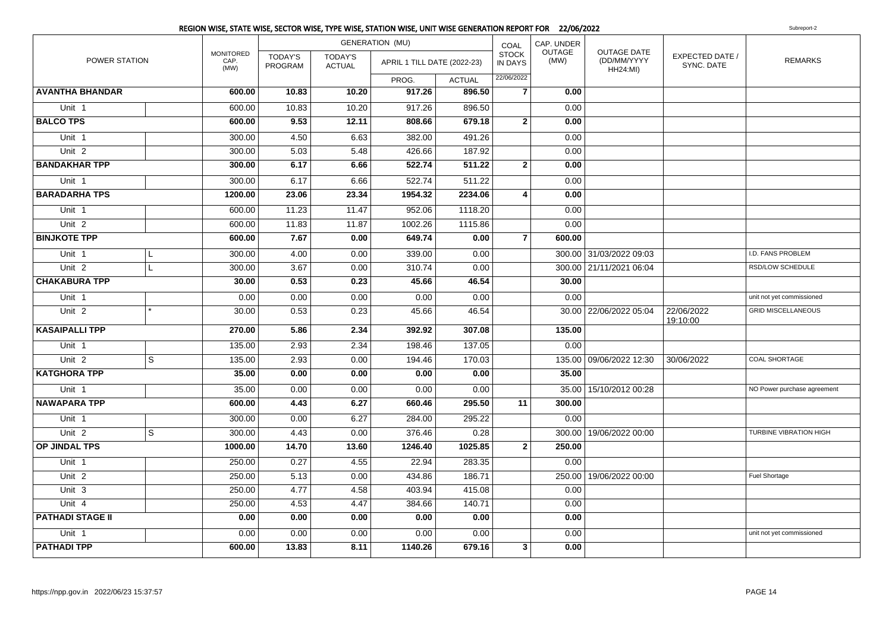|                         |                         |                                  |                           |                                 | <b>GENERATION (MU)</b>      |               | COAL                           | CAP. UNDER            |                                                      |                               |                             |
|-------------------------|-------------------------|----------------------------------|---------------------------|---------------------------------|-----------------------------|---------------|--------------------------------|-----------------------|------------------------------------------------------|-------------------------------|-----------------------------|
| POWER STATION           |                         | <b>MONITORED</b><br>CAP.<br>(MW) | <b>TODAY'S</b><br>PROGRAM | <b>TODAY'S</b><br><b>ACTUAL</b> | APRIL 1 TILL DATE (2022-23) |               | <b>STOCK</b><br><b>IN DAYS</b> | <b>OUTAGE</b><br>(MW) | <b>OUTAGE DATE</b><br>(DD/MM/YYYY<br><b>HH24:MI)</b> | EXPECTED DATE /<br>SYNC. DATE | <b>REMARKS</b>              |
|                         |                         |                                  |                           |                                 | PROG.                       | <b>ACTUAL</b> | 22/06/2022                     |                       |                                                      |                               |                             |
| <b>AVANTHA BHANDAR</b>  |                         | 600.00                           | 10.83                     | 10.20                           | 917.26                      | 896.50        | $\overline{7}$                 | 0.00                  |                                                      |                               |                             |
| Unit 1                  |                         | 600.00                           | 10.83                     | 10.20                           | 917.26                      | 896.50        |                                | 0.00                  |                                                      |                               |                             |
| <b>BALCO TPS</b>        |                         | 600.00                           | 9.53                      | 12.11                           | 808.66                      | 679.18        | $\mathbf{2}$                   | 0.00                  |                                                      |                               |                             |
| Unit 1                  |                         | 300.00                           | 4.50                      | 6.63                            | 382.00                      | 491.26        |                                | 0.00                  |                                                      |                               |                             |
| Unit <sub>2</sub>       |                         | 300.00                           | 5.03                      | 5.48                            | 426.66                      | 187.92        |                                | 0.00                  |                                                      |                               |                             |
| <b>BANDAKHAR TPP</b>    |                         | 300.00                           | 6.17                      | 6.66                            | 522.74                      | 511.22        | $\mathbf{2}$                   | 0.00                  |                                                      |                               |                             |
| Unit 1                  |                         | 300.00                           | 6.17                      | 6.66                            | 522.74                      | 511.22        |                                | 0.00                  |                                                      |                               |                             |
| <b>BARADARHA TPS</b>    |                         | 1200.00                          | 23.06                     | 23.34                           | 1954.32                     | 2234.06       | 4                              | 0.00                  |                                                      |                               |                             |
| Unit 1                  |                         | 600.00                           | 11.23                     | 11.47                           | 952.06                      | 1118.20       |                                | 0.00                  |                                                      |                               |                             |
| Unit <sub>2</sub>       |                         | 600.00                           | 11.83                     | 11.87                           | 1002.26                     | 1115.86       |                                | 0.00                  |                                                      |                               |                             |
| <b>BINJKOTE TPP</b>     |                         | 600.00                           | 7.67                      | 0.00                            | 649.74                      | 0.00          | $\overline{7}$                 | 600.00                |                                                      |                               |                             |
| Unit 1                  | L                       | 300.00                           | 4.00                      | 0.00                            | 339.00                      | 0.00          |                                |                       | 300.00 31/03/2022 09:03                              |                               | I.D. FANS PROBLEM           |
| Unit <sub>2</sub>       | L                       | 300.00                           | 3.67                      | 0.00                            | 310.74                      | 0.00          |                                |                       | 300.00 21/11/2021 06:04                              |                               | RSD/LOW SCHEDULE            |
| <b>CHAKABURA TPP</b>    |                         | 30.00                            | 0.53                      | 0.23                            | 45.66                       | 46.54         |                                | 30.00                 |                                                      |                               |                             |
| Unit 1                  |                         | 0.00                             | 0.00                      | 0.00                            | 0.00                        | 0.00          |                                | 0.00                  |                                                      |                               | unit not yet commissioned   |
| Unit <sub>2</sub>       |                         | 30.00                            | 0.53                      | 0.23                            | 45.66                       | 46.54         |                                |                       | 30.00   22/06/2022 05:04                             | 22/06/2022<br>19:10:00        | <b>GRID MISCELLANEOUS</b>   |
| <b>KASAIPALLI TPP</b>   |                         | 270.00                           | 5.86                      | 2.34                            | 392.92                      | 307.08        |                                | 135.00                |                                                      |                               |                             |
| Unit <sub>1</sub>       |                         | 135.00                           | 2.93                      | 2.34                            | 198.46                      | 137.05        |                                | 0.00                  |                                                      |                               |                             |
| Unit <sub>2</sub>       | $\overline{\mathbf{s}}$ | 135.00                           | 2.93                      | 0.00                            | 194.46                      | 170.03        |                                |                       | 135.00 09/06/2022 12:30                              | 30/06/2022                    | <b>COAL SHORTAGE</b>        |
| <b>KATGHORA TPP</b>     |                         | 35.00                            | 0.00                      | 0.00                            | 0.00                        | 0.00          |                                | 35.00                 |                                                      |                               |                             |
| Unit 1                  |                         | 35.00                            | 0.00                      | 0.00                            | 0.00                        | 0.00          |                                |                       | 35.00   15/10/2012 00:28                             |                               | NO Power purchase agreement |
| <b>NAWAPARA TPP</b>     |                         | 600.00                           | 4.43                      | 6.27                            | 660.46                      | 295.50        | 11                             | 300.00                |                                                      |                               |                             |
| Unit 1                  |                         | 300.00                           | 0.00                      | 6.27                            | 284.00                      | 295.22        |                                | 0.00                  |                                                      |                               |                             |
| Unit <sub>2</sub>       | S                       | 300.00                           | 4.43                      | 0.00                            | 376.46                      | 0.28          |                                |                       | 300.00   19/06/2022 00:00                            |                               | TURBINE VIBRATION HIGH      |
| OP JINDAL TPS           |                         | 1000.00                          | 14.70                     | 13.60                           | 1246.40                     | 1025.85       | $\mathbf{2}$                   | 250.00                |                                                      |                               |                             |
| Unit 1                  |                         | 250.00                           | 0.27                      | 4.55                            | 22.94                       | 283.35        |                                | 0.00                  |                                                      |                               |                             |
| Unit <sub>2</sub>       |                         | 250.00                           | 5.13                      | 0.00                            | 434.86                      | 186.71        |                                |                       | 250.00   19/06/2022 00:00                            |                               | Fuel Shortage               |
| Unit 3                  |                         | 250.00                           | 4.77                      | 4.58                            | 403.94                      | 415.08        |                                | 0.00                  |                                                      |                               |                             |
| Unit 4                  |                         | 250.00                           | 4.53                      | 4.47                            | 384.66                      | 140.71        |                                | 0.00                  |                                                      |                               |                             |
| <b>PATHADI STAGE II</b> |                         | 0.00                             | 0.00                      | 0.00                            | 0.00                        | 0.00          |                                | 0.00                  |                                                      |                               |                             |
| Unit 1                  |                         | 0.00                             | 0.00                      | 0.00                            | 0.00                        | 0.00          |                                | 0.00                  |                                                      |                               | unit not yet commissioned   |
| <b>PATHADI TPP</b>      |                         | 600.00                           | 13.83                     | 8.11                            | 1140.26                     | 679.16        | 3                              | 0.00                  |                                                      |                               |                             |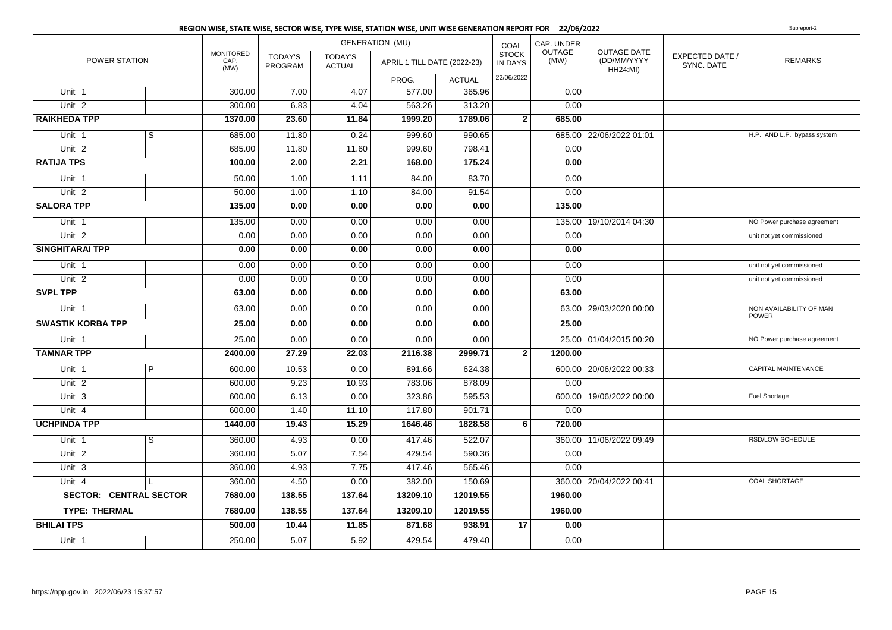|                               |                |                                  |                           |                                 | <b>GENERATION (MU)</b>      |               | COAL                           | CAP. UNDER            |                                                      |                                      |                                         |
|-------------------------------|----------------|----------------------------------|---------------------------|---------------------------------|-----------------------------|---------------|--------------------------------|-----------------------|------------------------------------------------------|--------------------------------------|-----------------------------------------|
| POWER STATION                 |                | <b>MONITORED</b><br>CAP.<br>(MW) | <b>TODAY'S</b><br>PROGRAM | <b>TODAY'S</b><br><b>ACTUAL</b> | APRIL 1 TILL DATE (2022-23) |               | <b>STOCK</b><br><b>IN DAYS</b> | <b>OUTAGE</b><br>(MW) | <b>OUTAGE DATE</b><br>(DD/MM/YYYY<br><b>HH24:MI)</b> | <b>EXPECTED DATE /</b><br>SYNC. DATE | <b>REMARKS</b>                          |
|                               |                |                                  |                           |                                 | PROG.                       | <b>ACTUAL</b> | 22/06/2022                     |                       |                                                      |                                      |                                         |
| Unit 1                        |                | 300.00                           | 7.00                      | 4.07                            | 577.00                      | 365.96        |                                | 0.00                  |                                                      |                                      |                                         |
| Unit <sub>2</sub>             |                | 300.00                           | 6.83                      | 4.04                            | 563.26                      | 313.20        |                                | 0.00                  |                                                      |                                      |                                         |
| <b>RAIKHEDA TPP</b>           |                | 1370.00                          | 23.60                     | 11.84                           | 1999.20                     | 1789.06       | 2 <sup>1</sup>                 | 685.00                |                                                      |                                      |                                         |
| Unit 1                        | $\overline{s}$ | 685.00                           | 11.80                     | 0.24                            | 999.60                      | 990.65        |                                |                       | 685.00 22/06/2022 01:01                              |                                      | H.P. AND L.P. bypass system             |
| Unit <sub>2</sub>             |                | 685.00                           | 11.80                     | 11.60                           | 999.60                      | 798.41        |                                | 0.00                  |                                                      |                                      |                                         |
| <b>RATIJA TPS</b>             |                | 100.00                           | 2.00                      | 2.21                            | 168.00                      | 175.24        |                                | 0.00                  |                                                      |                                      |                                         |
| Unit <sub>1</sub>             |                | 50.00                            | 1.00                      | 1.11                            | 84.00                       | 83.70         |                                | 0.00                  |                                                      |                                      |                                         |
| Unit <sub>2</sub>             |                | 50.00                            | 1.00                      | 1.10                            | 84.00                       | 91.54         |                                | 0.00                  |                                                      |                                      |                                         |
| <b>SALORA TPP</b>             |                | 135.00                           | 0.00                      | 0.00                            | 0.00                        | 0.00          |                                | 135.00                |                                                      |                                      |                                         |
| Unit 1                        |                | 135.00                           | 0.00                      | 0.00                            | 0.00                        | 0.00          |                                |                       | 135.00   19/10/2014 04:30                            |                                      | NO Power purchase agreement             |
| Unit <sub>2</sub>             |                | 0.00                             | 0.00                      | 0.00                            | 0.00                        | 0.00          |                                | 0.00                  |                                                      |                                      | unit not yet commissioned               |
| <b>SINGHITARAI TPP</b>        |                | 0.00                             | 0.00                      | 0.00                            | 0.00                        | 0.00          |                                | 0.00                  |                                                      |                                      |                                         |
| Unit 1                        |                | 0.00                             | 0.00                      | 0.00                            | 0.00                        | 0.00          |                                | 0.00                  |                                                      |                                      | unit not yet commissioned               |
| Unit <sub>2</sub>             |                | 0.00                             | 0.00                      | 0.00                            | 0.00                        | 0.00          |                                | 0.00                  |                                                      |                                      | unit not yet commissioned               |
| <b>SVPL TPP</b>               |                | 63.00                            | 0.00                      | 0.00                            | 0.00                        | 0.00          |                                | 63.00                 |                                                      |                                      |                                         |
| Unit 1                        |                | 63.00                            | 0.00                      | 0.00                            | 0.00                        | 0.00          |                                |                       | 63.00 29/03/2020 00:00                               |                                      | NON AVAILABILITY OF MAN<br><b>POWER</b> |
| <b>SWASTIK KORBA TPP</b>      |                | 25.00                            | 0.00                      | 0.00                            | 0.00                        | 0.00          |                                | 25.00                 |                                                      |                                      |                                         |
| Unit 1                        |                | 25.00                            | 0.00                      | 0.00                            | 0.00                        | 0.00          |                                |                       | 25.00 01/04/2015 00:20                               |                                      | NO Power purchase agreement             |
| <b>TAMNAR TPP</b>             |                | 2400.00                          | 27.29                     | 22.03                           | 2116.38                     | 2999.71       | $\mathbf{2}$                   | 1200.00               |                                                      |                                      |                                         |
| Unit 1                        | $\overline{P}$ | 600.00                           | 10.53                     | 0.00                            | 891.66                      | 624.38        |                                |                       | 600.00   20/06/2022 00:33                            |                                      | <b>CAPITAL MAINTENANCE</b>              |
| Unit 2                        |                | 600.00                           | 9.23                      | 10.93                           | 783.06                      | 878.09        |                                | 0.00                  |                                                      |                                      |                                         |
| Unit 3                        |                | 600.00                           | 6.13                      | 0.00                            | 323.86                      | 595.53        |                                |                       | 600.00   19/06/2022 00:00                            |                                      | Fuel Shortage                           |
| Unit 4                        |                | 600.00                           | 1.40                      | 11.10                           | 117.80                      | 901.71        |                                | 0.00                  |                                                      |                                      |                                         |
| <b>UCHPINDA TPP</b>           |                | 1440.00                          | 19.43                     | 15.29                           | 1646.46                     | 1828.58       | 6                              | 720.00                |                                                      |                                      |                                         |
| Unit <sub>1</sub>             | S              | 360.00                           | 4.93                      | 0.00                            | 417.46                      | 522.07        |                                |                       | 360.00   11/06/2022 09:49                            |                                      | RSD/LOW SCHEDULE                        |
| Unit <sub>2</sub>             |                | 360.00                           | 5.07                      | 7.54                            | 429.54                      | 590.36        |                                | 0.00                  |                                                      |                                      |                                         |
| Unit 3                        |                | 360.00                           | 4.93                      | 7.75                            | 417.46                      | 565.46        |                                | 0.00                  |                                                      |                                      |                                         |
| Unit 4                        |                | 360.00                           | 4.50                      | 0.00                            | 382.00                      | 150.69        |                                |                       | 360.00   20/04/2022 00:41                            |                                      | <b>COAL SHORTAGE</b>                    |
| <b>SECTOR: CENTRAL SECTOR</b> |                | 7680.00                          | 138.55                    | 137.64                          | 13209.10                    | 12019.55      |                                | 1960.00               |                                                      |                                      |                                         |
| <b>TYPE: THERMAL</b>          |                | 7680.00                          | 138.55                    | 137.64                          | 13209.10                    | 12019.55      |                                | 1960.00               |                                                      |                                      |                                         |
| <b>BHILAI TPS</b>             |                | 500.00                           | 10.44                     | 11.85                           | 871.68                      | 938.91        | 17                             | 0.00                  |                                                      |                                      |                                         |
| Unit 1                        |                | 250.00                           | 5.07                      | 5.92                            | 429.54                      | 479.40        |                                | 0.00                  |                                                      |                                      |                                         |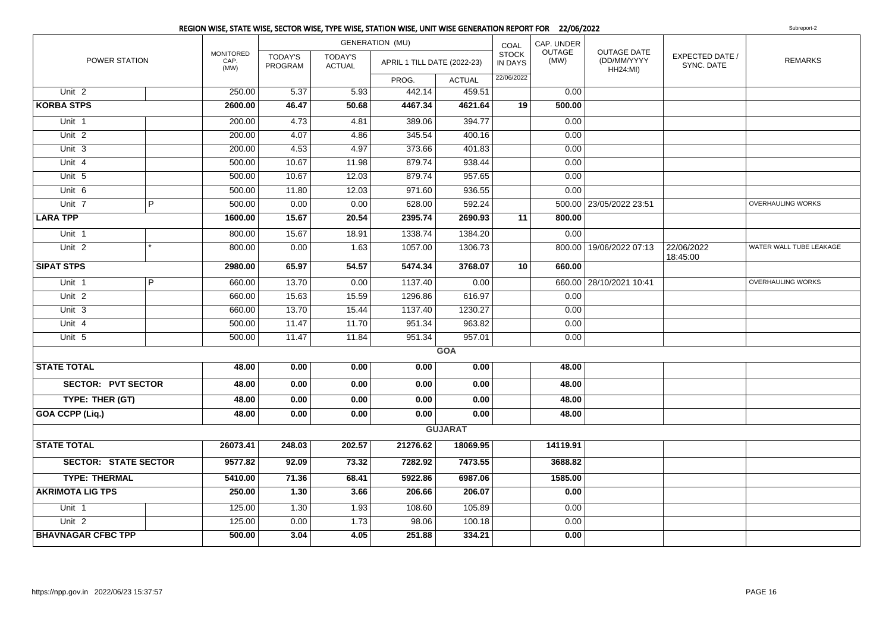|                             |                |                                  |                           |                          | <b>GENERATION (MU)</b>      |                | COAL                           | CAP. UNDER            |                                                      |                               |                          |
|-----------------------------|----------------|----------------------------------|---------------------------|--------------------------|-----------------------------|----------------|--------------------------------|-----------------------|------------------------------------------------------|-------------------------------|--------------------------|
| <b>POWER STATION</b>        |                | <b>MONITORED</b><br>CAP.<br>(MW) | <b>TODAY'S</b><br>PROGRAM | TODAY'S<br><b>ACTUAL</b> | APRIL 1 TILL DATE (2022-23) |                | <b>STOCK</b><br><b>IN DAYS</b> | <b>OUTAGE</b><br>(MW) | <b>OUTAGE DATE</b><br>(DD/MM/YYYY<br><b>HH24:MI)</b> | EXPECTED DATE /<br>SYNC. DATE | <b>REMARKS</b>           |
|                             |                |                                  |                           |                          | PROG.                       | <b>ACTUAL</b>  | 22/06/2022                     |                       |                                                      |                               |                          |
| Unit <sub>2</sub>           |                | 250.00                           | 5.37                      | 5.93                     | 442.14                      | 459.51         |                                | 0.00                  |                                                      |                               |                          |
| <b>KORBA STPS</b>           |                | 2600.00                          | 46.47                     | 50.68                    | 4467.34                     | 4621.64        | 19                             | 500.00                |                                                      |                               |                          |
| Unit 1                      |                | 200.00                           | 4.73                      | 4.81                     | 389.06                      | 394.77         |                                | 0.00                  |                                                      |                               |                          |
| Unit <sub>2</sub>           |                | 200.00                           | 4.07                      | 4.86                     | 345.54                      | 400.16         |                                | 0.00                  |                                                      |                               |                          |
| Unit 3                      |                | 200.00                           | 4.53                      | 4.97                     | 373.66                      | 401.83         |                                | 0.00                  |                                                      |                               |                          |
| Unit 4                      |                | 500.00                           | 10.67                     | 11.98                    | 879.74                      | 938.44         |                                | 0.00                  |                                                      |                               |                          |
| Unit 5                      |                | 500.00                           | 10.67                     | 12.03                    | 879.74                      | 957.65         |                                | 0.00                  |                                                      |                               |                          |
| Unit 6                      |                | 500.00                           | 11.80                     | 12.03                    | 971.60                      | 936.55         |                                | 0.00                  |                                                      |                               |                          |
| Unit 7                      | $\overline{P}$ | 500.00                           | 0.00                      | 0.00                     | 628.00                      | 592.24         |                                |                       | 500.00 23/05/2022 23:51                              |                               | <b>OVERHAULING WORKS</b> |
| <b>LARA TPP</b>             |                | 1600.00                          | 15.67                     | 20.54                    | 2395.74                     | 2690.93        | 11                             | 800.00                |                                                      |                               |                          |
| Unit 1                      |                | 800.00                           | 15.67                     | 18.91                    | 1338.74                     | 1384.20        |                                | 0.00                  |                                                      |                               |                          |
| Unit 2                      |                | 800.00                           | 0.00                      | 1.63                     | 1057.00                     | 1306.73        |                                |                       | 800.00   19/06/2022 07:13                            | 22/06/2022<br>18:45:00        | WATER WALL TUBE LEAKAGE  |
| <b>SIPAT STPS</b>           |                | 2980.00                          | 65.97                     | 54.57                    | 5474.34                     | 3768.07        | 10                             | 660.00                |                                                      |                               |                          |
| Unit <sub>1</sub>           | $\overline{P}$ | 660.00                           | 13.70                     | 0.00                     | 1137.40                     | 0.00           |                                |                       | 660.00 28/10/2021 10:41                              |                               | <b>OVERHAULING WORKS</b> |
| Unit $2$                    |                | 660.00                           | 15.63                     | 15.59                    | 1296.86                     | 616.97         |                                | 0.00                  |                                                      |                               |                          |
| Unit 3                      |                | 660.00                           | 13.70                     | 15.44                    | 1137.40                     | 1230.27        |                                | 0.00                  |                                                      |                               |                          |
| Unit 4                      |                | 500.00                           | 11.47                     | 11.70                    | 951.34                      | 963.82         |                                | 0.00                  |                                                      |                               |                          |
| Unit 5                      |                | 500.00                           | 11.47                     | 11.84                    | 951.34                      | 957.01         |                                | 0.00                  |                                                      |                               |                          |
|                             |                |                                  |                           |                          |                             | <b>GOA</b>     |                                |                       |                                                      |                               |                          |
| <b>STATE TOTAL</b>          |                | 48.00                            | 0.00                      | 0.00                     | 0.00                        | 0.00           |                                | 48.00                 |                                                      |                               |                          |
| <b>SECTOR: PVT SECTOR</b>   |                | 48.00                            | 0.00                      | 0.00                     | 0.00                        | 0.00           |                                | 48.00                 |                                                      |                               |                          |
| TYPE: THER (GT)             |                | 48.00                            | 0.00                      | 0.00                     | 0.00                        | 0.00           |                                | 48.00                 |                                                      |                               |                          |
| GOA CCPP (Liq.)             |                | 48.00                            | 0.00                      | 0.00                     | 0.00                        | 0.00           |                                | 48.00                 |                                                      |                               |                          |
|                             |                |                                  |                           |                          |                             | <b>GUJARAT</b> |                                |                       |                                                      |                               |                          |
| <b>STATE TOTAL</b>          |                | 26073.41                         | 248.03                    | 202.57                   | 21276.62                    | 18069.95       |                                | 14119.91              |                                                      |                               |                          |
| <b>SECTOR: STATE SECTOR</b> |                | 9577.82                          | 92.09                     | 73.32                    | 7282.92                     | 7473.55        |                                | 3688.82               |                                                      |                               |                          |
| <b>TYPE: THERMAL</b>        |                | 5410.00                          | 71.36                     | 68.41                    | 5922.86                     | 6987.06        |                                | 1585.00               |                                                      |                               |                          |
| <b>AKRIMOTA LIG TPS</b>     |                | 250.00                           | 1.30                      | 3.66                     | 206.66                      | 206.07         |                                | 0.00                  |                                                      |                               |                          |
| Unit 1                      |                | 125.00                           | 1.30                      | 1.93                     | 108.60                      | 105.89         |                                | 0.00                  |                                                      |                               |                          |
| Unit <sub>2</sub>           |                | 125.00                           | 0.00                      | 1.73                     | 98.06                       | 100.18         |                                | 0.00                  |                                                      |                               |                          |
| <b>BHAVNAGAR CFBC TPP</b>   |                | 500.00                           | 3.04                      | 4.05                     | 251.88                      | 334.21         |                                | 0.00                  |                                                      |                               |                          |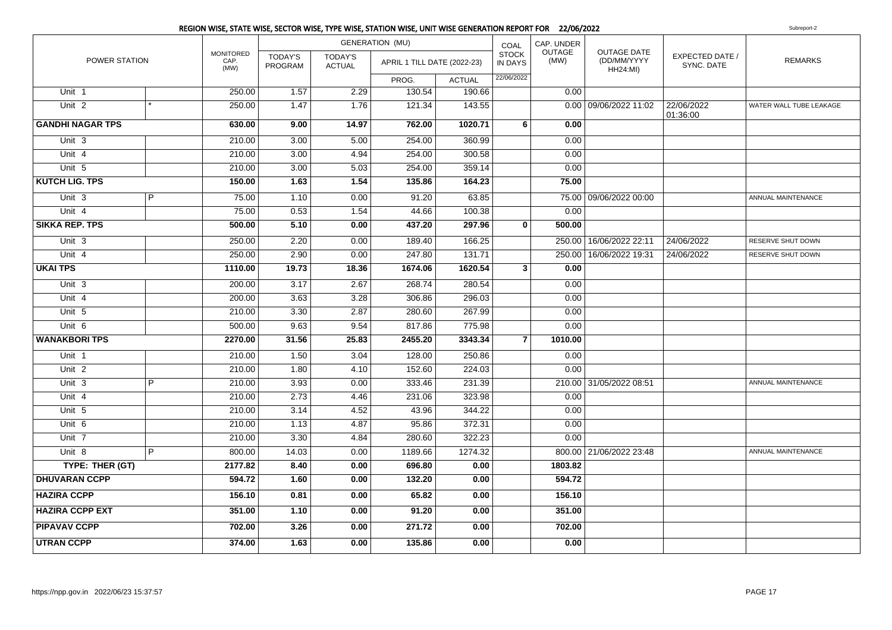|                         |   |                                  |                           |                                 | <b>GENERATION (MU)</b>      |               | COAL                           | CAP. UNDER            |                                                      |                                      |                          |
|-------------------------|---|----------------------------------|---------------------------|---------------------------------|-----------------------------|---------------|--------------------------------|-----------------------|------------------------------------------------------|--------------------------------------|--------------------------|
| POWER STATION           |   | <b>MONITORED</b><br>CAP.<br>(MW) | <b>TODAY'S</b><br>PROGRAM | <b>TODAY'S</b><br><b>ACTUAL</b> | APRIL 1 TILL DATE (2022-23) |               | <b>STOCK</b><br><b>IN DAYS</b> | <b>OUTAGE</b><br>(MW) | <b>OUTAGE DATE</b><br>(DD/MM/YYYY<br><b>HH24:MI)</b> | <b>EXPECTED DATE /</b><br>SYNC. DATE | <b>REMARKS</b>           |
|                         |   |                                  |                           |                                 | PROG.                       | <b>ACTUAL</b> | 22/06/2022                     |                       |                                                      |                                      |                          |
| Unit 1                  |   | 250.00                           | 1.57                      | 2.29                            | 130.54                      | 190.66        |                                | 0.00                  |                                                      |                                      |                          |
| Unit <sub>2</sub>       |   | 250.00                           | 1.47                      | 1.76                            | 121.34                      | 143.55        |                                |                       | 0.00 09/06/2022 11:02                                | 22/06/2022<br>01:36:00               | WATER WALL TUBE LEAKAGE  |
| <b>GANDHI NAGAR TPS</b> |   | 630.00                           | 9.00                      | 14.97                           | 762.00                      | 1020.71       | $6 \overline{6}$               | 0.00                  |                                                      |                                      |                          |
| Unit 3                  |   | 210.00                           | 3.00                      | 5.00                            | 254.00                      | 360.99        |                                | 0.00                  |                                                      |                                      |                          |
| Unit 4                  |   | 210.00                           | 3.00                      | 4.94                            | 254.00                      | 300.58        |                                | 0.00                  |                                                      |                                      |                          |
| Unit 5                  |   | 210.00                           | 3.00                      | 5.03                            | 254.00                      | 359.14        |                                | 0.00                  |                                                      |                                      |                          |
| <b>KUTCH LIG. TPS</b>   |   | 150.00                           | 1.63                      | 1.54                            | 135.86                      | 164.23        |                                | 75.00                 |                                                      |                                      |                          |
| Unit <sub>3</sub>       | P | 75.00                            | 1.10                      | 0.00                            | 91.20                       | 63.85         |                                |                       | 75.00 09/06/2022 00:00                               |                                      | ANNUAL MAINTENANCE       |
| Unit 4                  |   | 75.00                            | 0.53                      | 1.54                            | 44.66                       | 100.38        |                                | 0.00                  |                                                      |                                      |                          |
| <b>SIKKA REP. TPS</b>   |   | 500.00                           | 5.10                      | 0.00                            | 437.20                      | 297.96        | $\mathbf{0}$                   | 500.00                |                                                      |                                      |                          |
| Unit 3                  |   | 250.00                           | 2.20                      | 0.00                            | 189.40                      | 166.25        |                                | 250.00                | 16/06/2022 22:11                                     | 24/06/2022                           | <b>RESERVE SHUT DOWN</b> |
| Unit 4                  |   | 250.00                           | 2.90                      | 0.00                            | 247.80                      | 131.71        |                                | 250.00                | 16/06/2022 19:31                                     | 24/06/2022                           | RESERVE SHUT DOWN        |
| <b>UKAI TPS</b>         |   | 1110.00                          | 19.73                     | 18.36                           | 1674.06                     | 1620.54       | 3 <sup>1</sup>                 | 0.00                  |                                                      |                                      |                          |
| Unit 3                  |   | 200.00                           | 3.17                      | 2.67                            | 268.74                      | 280.54        |                                | 0.00                  |                                                      |                                      |                          |
| Unit 4                  |   | 200.00                           | 3.63                      | 3.28                            | 306.86                      | 296.03        |                                | 0.00                  |                                                      |                                      |                          |
| Unit 5                  |   | 210.00                           | 3.30                      | 2.87                            | 280.60                      | 267.99        |                                | 0.00                  |                                                      |                                      |                          |
| Unit 6                  |   | 500.00                           | 9.63                      | 9.54                            | 817.86                      | 775.98        |                                | 0.00                  |                                                      |                                      |                          |
| <b>WANAKBORI TPS</b>    |   | 2270.00                          | 31.56                     | 25.83                           | 2455.20                     | 3343.34       | $\overline{7}$                 | 1010.00               |                                                      |                                      |                          |
| Unit 1                  |   | 210.00                           | 1.50                      | 3.04                            | 128.00                      | 250.86        |                                | 0.00                  |                                                      |                                      |                          |
| Unit <sub>2</sub>       |   | 210.00                           | 1.80                      | 4.10                            | 152.60                      | 224.03        |                                | 0.00                  |                                                      |                                      |                          |
| Unit 3                  | P | 210.00                           | 3.93                      | 0.00                            | 333.46                      | 231.39        |                                |                       | 210.00 31/05/2022 08:51                              |                                      | ANNUAL MAINTENANCE       |
| Unit 4                  |   | 210.00                           | 2.73                      | 4.46                            | 231.06                      | 323.98        |                                | 0.00                  |                                                      |                                      |                          |
| Unit 5                  |   | 210.00                           | 3.14                      | 4.52                            | 43.96                       | 344.22        |                                | 0.00                  |                                                      |                                      |                          |
| Unit 6                  |   | 210.00                           | 1.13                      | 4.87                            | 95.86                       | 372.31        |                                | 0.00                  |                                                      |                                      |                          |
| Unit 7                  |   | 210.00                           | 3.30                      | 4.84                            | 280.60                      | 322.23        |                                | 0.00                  |                                                      |                                      |                          |
| Unit 8                  | P | 800.00                           | 14.03                     | 0.00                            | 1189.66                     | 1274.32       |                                |                       | 800.00 21/06/2022 23:48                              |                                      | ANNUAL MAINTENANCE       |
| TYPE: THER (GT)         |   | 2177.82                          | 8.40                      | 0.00                            | 696.80                      | 0.00          |                                | 1803.82               |                                                      |                                      |                          |
| <b>DHUVARAN CCPP</b>    |   | 594.72                           | 1.60                      | 0.00                            | 132.20                      | 0.00          |                                | 594.72                |                                                      |                                      |                          |
| <b>HAZIRA CCPP</b>      |   | 156.10                           | 0.81                      | 0.00                            | 65.82                       | 0.00          |                                | 156.10                |                                                      |                                      |                          |
| <b>HAZIRA CCPP EXT</b>  |   | 351.00                           | 1.10                      | 0.00                            | 91.20                       | 0.00          |                                | 351.00                |                                                      |                                      |                          |
| <b>PIPAVAV CCPP</b>     |   | 702.00                           | 3.26                      | 0.00                            | 271.72                      | 0.00          |                                | 702.00                |                                                      |                                      |                          |
| <b>UTRAN CCPP</b>       |   | 374.00                           | 1.63                      | 0.00                            | 135.86                      | 0.00          |                                | 0.00                  |                                                      |                                      |                          |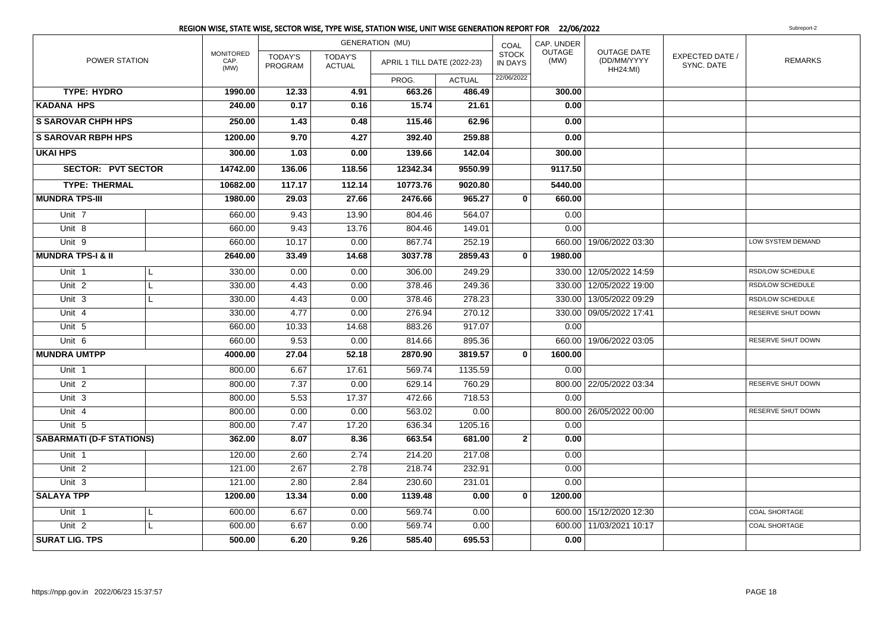|                                 |   |                                  |                           |                          | <b>GENERATION (MU)</b>      |               | COAL                           | CAP. UNDER            |                                                      |                               |                   |
|---------------------------------|---|----------------------------------|---------------------------|--------------------------|-----------------------------|---------------|--------------------------------|-----------------------|------------------------------------------------------|-------------------------------|-------------------|
| POWER STATION                   |   | <b>MONITORED</b><br>CAP.<br>(MW) | <b>TODAY'S</b><br>PROGRAM | TODAY'S<br><b>ACTUAL</b> | APRIL 1 TILL DATE (2022-23) |               | <b>STOCK</b><br><b>IN DAYS</b> | <b>OUTAGE</b><br>(MW) | <b>OUTAGE DATE</b><br>(DD/MM/YYYY<br><b>HH24:MI)</b> | EXPECTED DATE /<br>SYNC, DATE | <b>REMARKS</b>    |
|                                 |   |                                  |                           |                          | PROG.                       | <b>ACTUAL</b> | 22/06/2022                     |                       |                                                      |                               |                   |
| <b>TYPE: HYDRO</b>              |   | 1990.00                          | 12.33                     | 4.91                     | 663.26                      | 486.49        |                                | 300.00                |                                                      |                               |                   |
| <b>KADANA HPS</b>               |   | 240.00                           | 0.17                      | 0.16                     | 15.74                       | 21.61         |                                | 0.00                  |                                                      |                               |                   |
| <b>S SAROVAR CHPH HPS</b>       |   | 250.00                           | 1.43                      | 0.48                     | 115.46                      | 62.96         |                                | 0.00                  |                                                      |                               |                   |
| <b>S SAROVAR RBPH HPS</b>       |   | 1200.00                          | 9.70                      | 4.27                     | 392.40                      | 259.88        |                                | 0.00                  |                                                      |                               |                   |
| <b>UKAI HPS</b>                 |   | 300.00                           | 1.03                      | 0.00                     | 139.66                      | 142.04        |                                | 300.00                |                                                      |                               |                   |
| <b>SECTOR: PVT SECTOR</b>       |   | 14742.00                         | 136.06                    | 118.56                   | 12342.34                    | 9550.99       |                                | 9117.50               |                                                      |                               |                   |
| <b>TYPE: THERMAL</b>            |   | 10682.00                         | 117.17                    | 112.14                   | 10773.76                    | 9020.80       |                                | 5440.00               |                                                      |                               |                   |
| <b>MUNDRA TPS-III</b>           |   | 1980.00                          | 29.03                     | 27.66                    | 2476.66                     | 965.27        | $\mathbf{0}$                   | 660.00                |                                                      |                               |                   |
| Unit 7                          |   | 660.00                           | 9.43                      | 13.90                    | 804.46                      | 564.07        |                                | 0.00                  |                                                      |                               |                   |
| Unit 8                          |   | 660.00                           | 9.43                      | 13.76                    | 804.46                      | 149.01        |                                | 0.00                  |                                                      |                               |                   |
| Unit 9                          |   | 660.00                           | 10.17                     | 0.00                     | 867.74                      | 252.19        |                                |                       | 660.00 19/06/2022 03:30                              |                               | LOW SYSTEM DEMAND |
| <b>MUNDRA TPS-I &amp; II</b>    |   | 2640.00                          | 33.49                     | 14.68                    | 3037.78                     | 2859.43       | $\bf{0}$                       | 1980.00               |                                                      |                               |                   |
| Unit 1                          | L | 330.00                           | 0.00                      | 0.00                     | 306.00                      | 249.29        |                                |                       | 330.00 12/05/2022 14:59                              |                               | RSD/LOW SCHEDULE  |
| Unit 2                          | L | 330.00                           | 4.43                      | 0.00                     | 378.46                      | 249.36        |                                |                       | 330.00   12/05/2022 19:00                            |                               | RSD/LOW SCHEDULE  |
| Unit 3                          | L | 330.00                           | 4.43                      | 0.00                     | 378.46                      | 278.23        |                                |                       | 330.00 13/05/2022 09:29                              |                               | RSD/LOW SCHEDULE  |
| Unit 4                          |   | 330.00                           | 4.77                      | 0.00                     | 276.94                      | 270.12        |                                |                       | 330.00 09/05/2022 17:41                              |                               | RESERVE SHUT DOWN |
| Unit 5                          |   | 660.00                           | 10.33                     | 14.68                    | 883.26                      | 917.07        |                                | 0.00                  |                                                      |                               |                   |
| Unit 6                          |   | 660.00                           | 9.53                      | 0.00                     | 814.66                      | 895.36        |                                |                       | 660.00 19/06/2022 03:05                              |                               | RESERVE SHUT DOWN |
| <b>MUNDRA UMTPP</b>             |   | 4000.00                          | 27.04                     | 52.18                    | 2870.90                     | 3819.57       | $\mathbf{0}$                   | 1600.00               |                                                      |                               |                   |
| Unit <sub>1</sub>               |   | 800.00                           | 6.67                      | 17.61                    | 569.74                      | 1135.59       |                                | 0.00                  |                                                      |                               |                   |
| Unit 2                          |   | 800.00                           | 7.37                      | 0.00                     | 629.14                      | 760.29        |                                |                       | 800.00   22/05/2022 03:34                            |                               | RESERVE SHUT DOWN |
| Unit <sub>3</sub>               |   | 800.00                           | 5.53                      | 17.37                    | 472.66                      | 718.53        |                                | 0.00                  |                                                      |                               |                   |
| Unit 4                          |   | 800.00                           | 0.00                      | 0.00                     | 563.02                      | 0.00          |                                |                       | 800.00 26/05/2022 00:00                              |                               | RESERVE SHUT DOWN |
| Unit 5                          |   | 800.00                           | 7.47                      | 17.20                    | 636.34                      | 1205.16       |                                | 0.00                  |                                                      |                               |                   |
| <b>SABARMATI (D-F STATIONS)</b> |   | 362.00                           | 8.07                      | 8.36                     | 663.54                      | 681.00        | $\overline{2}$                 | 0.00                  |                                                      |                               |                   |
| Unit 1                          |   | 120.00                           | 2.60                      | 2.74                     | 214.20                      | 217.08        |                                | 0.00                  |                                                      |                               |                   |
| Unit <sub>2</sub>               |   | 121.00                           | 2.67                      | 2.78                     | 218.74                      | 232.91        |                                | 0.00                  |                                                      |                               |                   |
| Unit 3                          |   | 121.00                           | 2.80                      | 2.84                     | 230.60                      | 231.01        |                                | 0.00                  |                                                      |                               |                   |
| <b>SALAYA TPP</b>               |   | 1200.00                          | 13.34                     | 0.00                     | 1139.48                     | 0.00          | $\mathbf{0}$                   | 1200.00               |                                                      |                               |                   |
| Unit <sub>1</sub>               | L | 600.00                           | 6.67                      | 0.00                     | 569.74                      | 0.00          |                                |                       | 600.00 15/12/2020 12:30                              |                               | COAL SHORTAGE     |
| Unit 2                          | L | 600.00                           | 6.67                      | 0.00                     | 569.74                      | 0.00          |                                |                       | 600.00 11/03/2021 10:17                              |                               | COAL SHORTAGE     |
| <b>SURAT LIG. TPS</b>           |   | 500.00                           | 6.20                      | 9.26                     | 585.40                      | 695.53        |                                | 0.00                  |                                                      |                               |                   |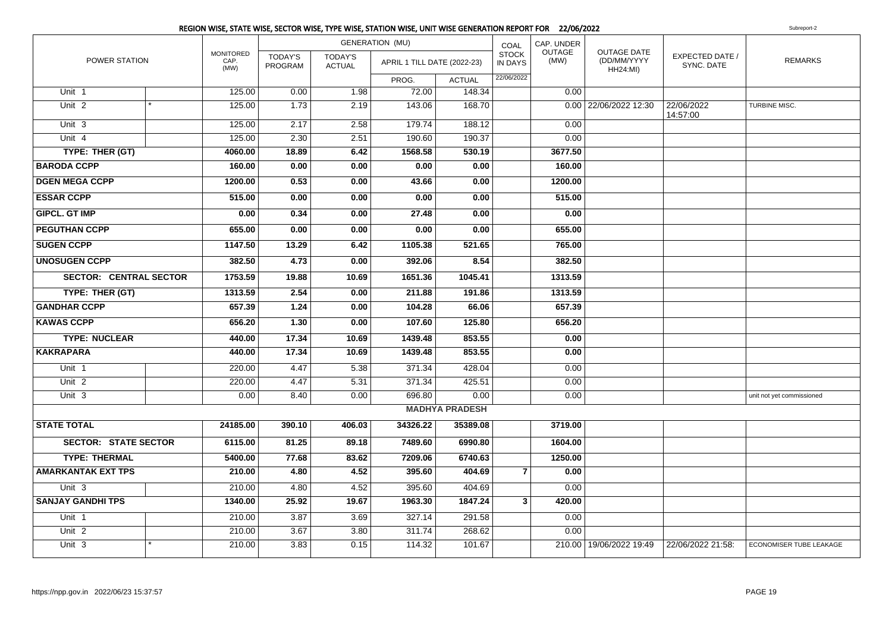|                               |  |                                  |                           |                                 | <b>GENERATION (MU)</b>      |                       | COAL                           | CAP. UNDER     |                                                      |                               |                           |
|-------------------------------|--|----------------------------------|---------------------------|---------------------------------|-----------------------------|-----------------------|--------------------------------|----------------|------------------------------------------------------|-------------------------------|---------------------------|
| POWER STATION                 |  | <b>MONITORED</b><br>CAP.<br>(MW) | <b>TODAY'S</b><br>PROGRAM | <b>TODAY'S</b><br><b>ACTUAL</b> | APRIL 1 TILL DATE (2022-23) |                       | <b>STOCK</b><br><b>IN DAYS</b> | OUTAGE<br>(MW) | <b>OUTAGE DATE</b><br>(DD/MM/YYYY<br><b>HH24:MI)</b> | EXPECTED DATE /<br>SYNC. DATE | <b>REMARKS</b>            |
|                               |  |                                  |                           |                                 | PROG.                       | <b>ACTUAL</b>         | 22/06/2022                     |                |                                                      |                               |                           |
| Unit 1                        |  | 125.00                           | 0.00                      | 1.98                            | 72.00                       | 148.34                |                                | 0.00           |                                                      |                               |                           |
| Unit <sub>2</sub>             |  | 125.00                           | 1.73                      | 2.19                            | 143.06                      | 168.70                |                                |                | 0.00 22/06/2022 12:30                                | 22/06/2022<br>14:57:00        | TURBINE MISC.             |
| Unit <sub>3</sub>             |  | 125.00                           | 2.17                      | 2.58                            | 179.74                      | 188.12                |                                | 0.00           |                                                      |                               |                           |
| Unit 4                        |  | 125.00                           | 2.30                      | 2.51                            | 190.60                      | 190.37                |                                | 0.00           |                                                      |                               |                           |
| TYPE: THER (GT)               |  | 4060.00                          | 18.89                     | 6.42                            | 1568.58                     | 530.19                |                                | 3677.50        |                                                      |                               |                           |
| <b>BARODA CCPP</b>            |  | 160.00                           | 0.00                      | 0.00                            | 0.00                        | 0.00                  |                                | 160.00         |                                                      |                               |                           |
| <b>DGEN MEGA CCPP</b>         |  | 1200.00                          | 0.53                      | 0.00                            | 43.66                       | 0.00                  |                                | 1200.00        |                                                      |                               |                           |
| <b>ESSAR CCPP</b>             |  | 515.00                           | 0.00                      | 0.00                            | 0.00                        | 0.00                  |                                | 515.00         |                                                      |                               |                           |
| <b>GIPCL. GT IMP</b>          |  | 0.00                             | 0.34                      | 0.00                            | 27.48                       | 0.00                  |                                | 0.00           |                                                      |                               |                           |
| <b>PEGUTHAN CCPP</b>          |  | 655.00                           | 0.00                      | 0.00                            | 0.00                        | 0.00                  |                                | 655.00         |                                                      |                               |                           |
| <b>SUGEN CCPP</b>             |  | 1147.50                          | 13.29                     | 6.42                            | 1105.38                     | 521.65                |                                | 765.00         |                                                      |                               |                           |
| <b>UNOSUGEN CCPP</b>          |  | 382.50                           | 4.73                      | 0.00                            | 392.06                      | 8.54                  |                                | 382.50         |                                                      |                               |                           |
| <b>SECTOR: CENTRAL SECTOR</b> |  | 1753.59                          | 19.88                     | 10.69                           | 1651.36                     | 1045.41               |                                | 1313.59        |                                                      |                               |                           |
| TYPE: THER (GT)               |  | 1313.59                          | 2.54                      | 0.00                            | 211.88                      | 191.86                |                                | 1313.59        |                                                      |                               |                           |
| <b>GANDHAR CCPP</b>           |  | 657.39                           | 1.24                      | 0.00                            | 104.28                      | 66.06                 |                                | 657.39         |                                                      |                               |                           |
| <b>KAWAS CCPP</b>             |  | 656.20                           | 1.30                      | 0.00                            | 107.60                      | 125.80                |                                | 656.20         |                                                      |                               |                           |
| <b>TYPE: NUCLEAR</b>          |  | 440.00                           | 17.34                     | 10.69                           | 1439.48                     | 853.55                |                                | 0.00           |                                                      |                               |                           |
| <b>KAKRAPARA</b>              |  | 440.00                           | 17.34                     | 10.69                           | 1439.48                     | 853.55                |                                | 0.00           |                                                      |                               |                           |
| Unit 1                        |  | 220.00                           | 4.47                      | 5.38                            | 371.34                      | 428.04                |                                | 0.00           |                                                      |                               |                           |
| Unit <sub>2</sub>             |  | 220.00                           | 4.47                      | 5.31                            | 371.34                      | 425.51                |                                | 0.00           |                                                      |                               |                           |
| Unit 3                        |  | 0.00                             | 8.40                      | 0.00                            | 696.80                      | 0.00                  |                                | 0.00           |                                                      |                               | unit not yet commissioned |
|                               |  |                                  |                           |                                 |                             | <b>MADHYA PRADESH</b> |                                |                |                                                      |                               |                           |
| <b>STATE TOTAL</b>            |  | 24185.00                         | 390.10                    | 406.03                          | 34326.22                    | 35389.08              |                                | 3719.00        |                                                      |                               |                           |
| <b>SECTOR: STATE SECTOR</b>   |  | 6115.00                          | 81.25                     | 89.18                           | 7489.60                     | 6990.80               |                                | 1604.00        |                                                      |                               |                           |
| <b>TYPE: THERMAL</b>          |  | 5400.00                          | 77.68                     | 83.62                           | 7209.06                     | 6740.63               |                                | 1250.00        |                                                      |                               |                           |
| <b>AMARKANTAK EXT TPS</b>     |  | 210.00                           | 4.80                      | 4.52                            | 395.60                      | 404.69                | $\overline{7}$                 | 0.00           |                                                      |                               |                           |
| Unit <sub>3</sub>             |  | 210.00                           | 4.80                      | 4.52                            | 395.60                      | 404.69                |                                | 0.00           |                                                      |                               |                           |
| <b>SANJAY GANDHI TPS</b>      |  | 1340.00                          | 25.92                     | 19.67                           | 1963.30                     | 1847.24               | $\mathbf{3}$                   | 420.00         |                                                      |                               |                           |
| Unit 1                        |  | 210.00                           | 3.87                      | 3.69                            | 327.14                      | 291.58                |                                | 0.00           |                                                      |                               |                           |
| Unit <sub>2</sub>             |  | 210.00                           | 3.67                      | 3.80                            | 311.74                      | 268.62                |                                | 0.00           |                                                      |                               |                           |
| Unit 3                        |  | 210.00                           | 3.83                      | 0.15                            | 114.32                      | 101.67                |                                |                | 210.00   19/06/2022 19:49                            | 22/06/2022 21:58:             | ECONOMISER TUBE LEAKAGE   |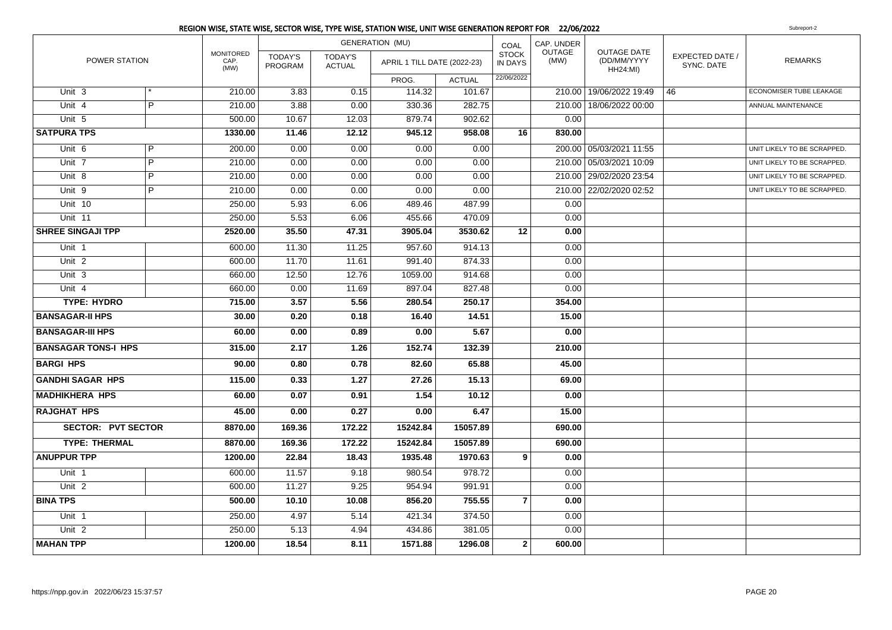|                            |                |                                  |                           |                                 | REGION WISE, STATE WISE, SECTOR WISE, TYPE WISE, STATION WISE, UNIT WISE GENERATION REPORT FOR 22/06/2022 |               |                                |                |                                                      |                               | Subreport-2                    |
|----------------------------|----------------|----------------------------------|---------------------------|---------------------------------|-----------------------------------------------------------------------------------------------------------|---------------|--------------------------------|----------------|------------------------------------------------------|-------------------------------|--------------------------------|
|                            |                |                                  |                           |                                 | <b>GENERATION (MU)</b>                                                                                    |               | COAL                           | CAP. UNDER     |                                                      |                               |                                |
| POWER STATION              |                | <b>MONITORED</b><br>CAP.<br>(MW) | <b>TODAY'S</b><br>PROGRAM | <b>TODAY'S</b><br><b>ACTUAL</b> | APRIL 1 TILL DATE (2022-23)                                                                               |               | <b>STOCK</b><br><b>IN DAYS</b> | OUTAGE<br>(MW) | <b>OUTAGE DATE</b><br>(DD/MM/YYYY<br><b>HH24:MI)</b> | EXPECTED DATE /<br>SYNC. DATE | <b>REMARKS</b>                 |
|                            |                |                                  |                           |                                 | PROG.                                                                                                     | <b>ACTUAL</b> | 22/06/2022                     |                |                                                      |                               |                                |
| Unit 3                     |                | 210.00                           | 3.83                      | 0.15                            | 114.32                                                                                                    | 101.67        |                                |                | 210.00   19/06/2022 19:49                            | 46                            | <b>ECONOMISER TUBE LEAKAGE</b> |
| Unit 4                     | $\overline{P}$ | 210.00                           | 3.88                      | 0.00                            | 330.36                                                                                                    | 282.75        |                                |                | 210.00 18/06/2022 00:00                              |                               | ANNUAL MAINTENANCE             |
| Unit 5                     |                | 500.00                           | 10.67                     | 12.03                           | 879.74                                                                                                    | 902.62        |                                | 0.00           |                                                      |                               |                                |
| <b>SATPURA TPS</b>         |                | 1330.00                          | 11.46                     | 12.12                           | 945.12                                                                                                    | 958.08        | 16                             | 830.00         |                                                      |                               |                                |
| Unit 6                     | P              | 200.00                           | 0.00                      | 0.00                            | 0.00                                                                                                      | 0.00          |                                |                | 200.00 05/03/2021 11:55                              |                               | UNIT LIKELY TO BE SCRAPPED.    |
| Unit <sub>7</sub>          | $\overline{P}$ | 210.00                           | 0.00                      | 0.00                            | 0.00                                                                                                      | 0.00          |                                |                | 210.00 05/03/2021 10:09                              |                               | UNIT LIKELY TO BE SCRAPPED.    |
| Unit 8                     | P              | 210.00                           | 0.00                      | 0.00                            | 0.00                                                                                                      | 0.00          |                                |                | 210.00 29/02/2020 23:54                              |                               | UNIT LIKELY TO BE SCRAPPED.    |
| Unit 9                     | P              | 210.00                           | 0.00                      | 0.00                            | 0.00                                                                                                      | 0.00          |                                |                | 210.00 22/02/2020 02:52                              |                               | UNIT LIKELY TO BE SCRAPPED.    |
| Unit $10$                  |                | 250.00                           | 5.93                      | 6.06                            | 489.46                                                                                                    | 487.99        |                                | 0.00           |                                                      |                               |                                |
| Unit 11                    |                | 250.00                           | 5.53                      | 6.06                            | 455.66                                                                                                    | 470.09        |                                | 0.00           |                                                      |                               |                                |
| <b>SHREE SINGAJI TPP</b>   |                | 2520.00                          | 35.50                     | 47.31                           | 3905.04                                                                                                   | 3530.62       | 12                             | 0.00           |                                                      |                               |                                |
| Unit 1                     |                | 600.00                           | 11.30                     | 11.25                           | 957.60                                                                                                    | 914.13        |                                | 0.00           |                                                      |                               |                                |
| Unit <sub>2</sub>          |                | 600.00                           | 11.70                     | 11.61                           | 991.40                                                                                                    | 874.33        |                                | 0.00           |                                                      |                               |                                |
| Unit 3                     |                | 660.00                           | 12.50                     | 12.76                           | 1059.00                                                                                                   | 914.68        |                                | 0.00           |                                                      |                               |                                |
| Unit 4                     |                | 660.00                           | 0.00                      | 11.69                           | 897.04                                                                                                    | 827.48        |                                | 0.00           |                                                      |                               |                                |
| <b>TYPE: HYDRO</b>         |                | 715.00                           | 3.57                      | 5.56                            | 280.54                                                                                                    | 250.17        |                                | 354.00         |                                                      |                               |                                |
| <b>BANSAGAR-II HPS</b>     |                | 30.00                            | 0.20                      | 0.18                            | 16.40                                                                                                     | 14.51         |                                | 15.00          |                                                      |                               |                                |
| <b>BANSAGAR-III HPS</b>    |                | 60.00                            | 0.00                      | 0.89                            | 0.00                                                                                                      | 5.67          |                                | 0.00           |                                                      |                               |                                |
| <b>BANSAGAR TONS-I HPS</b> |                | 315.00                           | 2.17                      | 1.26                            | 152.74                                                                                                    | 132.39        |                                | 210.00         |                                                      |                               |                                |
| <b>BARGI HPS</b>           |                | 90.00                            | 0.80                      | 0.78                            | 82.60                                                                                                     | 65.88         |                                | 45.00          |                                                      |                               |                                |
| <b>GANDHI SAGAR HPS</b>    |                | 115.00                           | 0.33                      | 1.27                            | 27.26                                                                                                     | 15.13         |                                | 69.00          |                                                      |                               |                                |
| <b>MADHIKHERA HPS</b>      |                | 60.00                            | 0.07                      | 0.91                            | 1.54                                                                                                      | 10.12         |                                | 0.00           |                                                      |                               |                                |
| <b>RAJGHAT HPS</b>         |                | 45.00                            | 0.00                      | 0.27                            | 0.00                                                                                                      | 6.47          |                                | 15.00          |                                                      |                               |                                |
| <b>SECTOR: PVT SECTOR</b>  |                | 8870.00                          | 169.36                    | 172.22                          | 15242.84                                                                                                  | 15057.89      |                                | 690.00         |                                                      |                               |                                |
| <b>TYPE: THERMAL</b>       |                | 8870.00                          | 169.36                    | 172.22                          | 15242.84                                                                                                  | 15057.89      |                                | 690.00         |                                                      |                               |                                |
| <b>ANUPPUR TPP</b>         |                | 1200.00                          | 22.84                     | 18.43                           | 1935.48                                                                                                   | 1970.63       | 9                              | 0.00           |                                                      |                               |                                |
| Unit <sub>1</sub>          |                | 600.00                           | 11.57                     | 9.18                            | 980.54                                                                                                    | 978.72        |                                | 0.00           |                                                      |                               |                                |
| Unit <sub>2</sub>          |                | 600.00                           | 11.27                     | 9.25                            | 954.94                                                                                                    | 991.91        |                                | 0.00           |                                                      |                               |                                |
| <b>BINA TPS</b>            |                | 500.00                           | 10.10                     | 10.08                           | 856.20                                                                                                    | 755.55        | $\overline{7}$                 | 0.00           |                                                      |                               |                                |
| Unit 1                     |                | 250.00                           | 4.97                      | 5.14                            | 421.34                                                                                                    | 374.50        |                                | 0.00           |                                                      |                               |                                |
| Unit <sub>2</sub>          |                | 250.00                           | 5.13                      | 4.94                            | 434.86                                                                                                    | 381.05        |                                | 0.00           |                                                      |                               |                                |
| <b>MAHAN TPP</b>           |                | 1200.00                          | 18.54                     | 8.11                            | 1571.88                                                                                                   | 1296.08       | $\mathbf 2$                    | 600.00         |                                                      |                               |                                |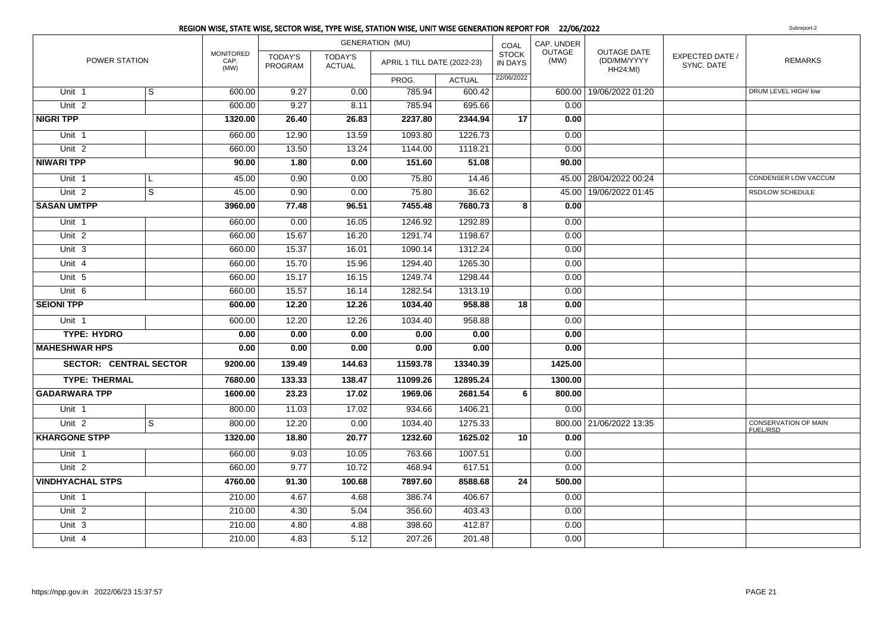|                               |   |                                  |                    |                          | <b>GENERATION (MU)</b>      |               | COAL                    | CAP. UNDER     |                                                      |                               |                                                |
|-------------------------------|---|----------------------------------|--------------------|--------------------------|-----------------------------|---------------|-------------------------|----------------|------------------------------------------------------|-------------------------------|------------------------------------------------|
| POWER STATION                 |   | <b>MONITORED</b><br>CAP.<br>(MW) | TODAY'S<br>PROGRAM | TODAY'S<br><b>ACTUAL</b> | APRIL 1 TILL DATE (2022-23) |               | <b>STOCK</b><br>IN DAYS | OUTAGE<br>(MW) | <b>OUTAGE DATE</b><br>(DD/MM/YYYY<br><b>HH24:MI)</b> | EXPECTED DATE /<br>SYNC. DATE | <b>REMARKS</b>                                 |
|                               |   |                                  |                    |                          | PROG.                       | <b>ACTUAL</b> | 22/06/2022              |                |                                                      |                               |                                                |
| Unit 1                        | S | 600.00                           | 9.27               | 0.00                     | 785.94                      | 600.42        |                         |                | 600.00 19/06/2022 01:20                              |                               | DRUM LEVEL HIGH/ low                           |
| Unit <sub>2</sub>             |   | 600.00                           | 9.27               | 8.11                     | 785.94                      | 695.66        |                         | 0.00           |                                                      |                               |                                                |
| <b>NIGRI TPP</b>              |   | 1320.00                          | 26.40              | 26.83                    | 2237.80                     | 2344.94       | 17                      | 0.00           |                                                      |                               |                                                |
| Unit 1                        |   | 660.00                           | 12.90              | 13.59                    | 1093.80                     | 1226.73       |                         | 0.00           |                                                      |                               |                                                |
| Unit <sub>2</sub>             |   | 660.00                           | 13.50              | 13.24                    | 1144.00                     | 1118.21       |                         | 0.00           |                                                      |                               |                                                |
| <b>NIWARI TPP</b>             |   | 90.00                            | 1.80               | 0.00                     | 151.60                      | 51.08         |                         | 90.00          |                                                      |                               |                                                |
| Unit <sub>1</sub>             | L | 45.00                            | 0.90               | 0.00                     | 75.80                       | 14.46         |                         |                | 45.00   28/04/2022 00:24                             |                               | CONDENSER LOW VACCUM                           |
| Unit <sub>2</sub>             | s | 45.00                            | 0.90               | 0.00                     | 75.80                       | 36.62         |                         |                | 45.00 19/06/2022 01:45                               |                               | RSD/LOW SCHEDULE                               |
| <b>SASAN UMTPP</b>            |   | 3960.00                          | 77.48              | 96.51                    | 7455.48                     | 7680.73       | 8                       | 0.00           |                                                      |                               |                                                |
| Unit <sub>1</sub>             |   | 660.00                           | 0.00               | 16.05                    | 1246.92                     | 1292.89       |                         | 0.00           |                                                      |                               |                                                |
| Unit <sub>2</sub>             |   | 660.00                           | 15.67              | 16.20                    | 1291.74                     | 1198.67       |                         | 0.00           |                                                      |                               |                                                |
| Unit 3                        |   | 660.00                           | 15.37              | 16.01                    | 1090.14                     | 1312.24       |                         | 0.00           |                                                      |                               |                                                |
| Unit 4                        |   | 660.00                           | 15.70              | 15.96                    | 1294.40                     | 1265.30       |                         | 0.00           |                                                      |                               |                                                |
| Unit 5                        |   | 660.00                           | 15.17              | 16.15                    | 1249.74                     | 1298.44       |                         | 0.00           |                                                      |                               |                                                |
| Unit 6                        |   | 660.00                           | 15.57              | 16.14                    | 1282.54                     | 1313.19       |                         | 0.00           |                                                      |                               |                                                |
| <b>SEIONI TPP</b>             |   | 600.00                           | 12.20              | 12.26                    | 1034.40                     | 958.88        | 18                      | 0.00           |                                                      |                               |                                                |
| Unit 1                        |   | 600.00                           | 12.20              | 12.26                    | 1034.40                     | 958.88        |                         | 0.00           |                                                      |                               |                                                |
| <b>TYPE: HYDRO</b>            |   | 0.00                             | 0.00               | 0.00                     | 0.00                        | 0.00          |                         | 0.00           |                                                      |                               |                                                |
| <b>MAHESHWAR HPS</b>          |   | 0.00                             | 0.00               | 0.00                     | 0.00                        | 0.00          |                         | 0.00           |                                                      |                               |                                                |
| <b>SECTOR: CENTRAL SECTOR</b> |   | 9200.00                          | 139.49             | 144.63                   | 11593.78                    | 13340.39      |                         | 1425.00        |                                                      |                               |                                                |
| <b>TYPE: THERMAL</b>          |   | 7680.00                          | 133.33             | 138.47                   | 11099.26                    | 12895.24      |                         | 1300.00        |                                                      |                               |                                                |
| <b>GADARWARA TPP</b>          |   | 1600.00                          | 23.23              | 17.02                    | 1969.06                     | 2681.54       | $6 \mid$                | 800.00         |                                                      |                               |                                                |
| Unit 1                        |   | 800.00                           | 11.03              | 17.02                    | 934.66                      | 1406.21       |                         | 0.00           |                                                      |                               |                                                |
| Unit <sub>2</sub>             | S | 800.00                           | 12.20              | 0.00                     | 1034.40                     | 1275.33       |                         |                | 800.00 21/06/2022 13:35                              |                               | <b>CONSERVATION OF MAIN</b><br><b>FUEL/RSD</b> |
| <b>KHARGONE STPP</b>          |   | 1320.00                          | 18.80              | 20.77                    | 1232.60                     | 1625.02       | 10                      | 0.00           |                                                      |                               |                                                |
| Unit <sub>1</sub>             |   | 660.00                           | 9.03               | 10.05                    | 763.66                      | 1007.51       |                         | 0.00           |                                                      |                               |                                                |
| Unit <sub>2</sub>             |   | 660.00                           | 9.77               | 10.72                    | 468.94                      | 617.51        |                         | 0.00           |                                                      |                               |                                                |
| <b>VINDHYACHAL STPS</b>       |   | 4760.00                          | 91.30              | 100.68                   | 7897.60                     | 8588.68       | 24                      | 500.00         |                                                      |                               |                                                |
| Unit 1                        |   | 210.00                           | 4.67               | 4.68                     | 386.74                      | 406.67        |                         | 0.00           |                                                      |                               |                                                |
| Unit <sub>2</sub>             |   | 210.00                           | 4.30               | 5.04                     | 356.60                      | 403.43        |                         | 0.00           |                                                      |                               |                                                |
| Unit 3                        |   | 210.00                           | 4.80               | 4.88                     | 398.60                      | 412.87        |                         | 0.00           |                                                      |                               |                                                |
| Unit 4                        |   | 210.00                           | 4.83               | 5.12                     | 207.26                      | 201.48        |                         | 0.00           |                                                      |                               |                                                |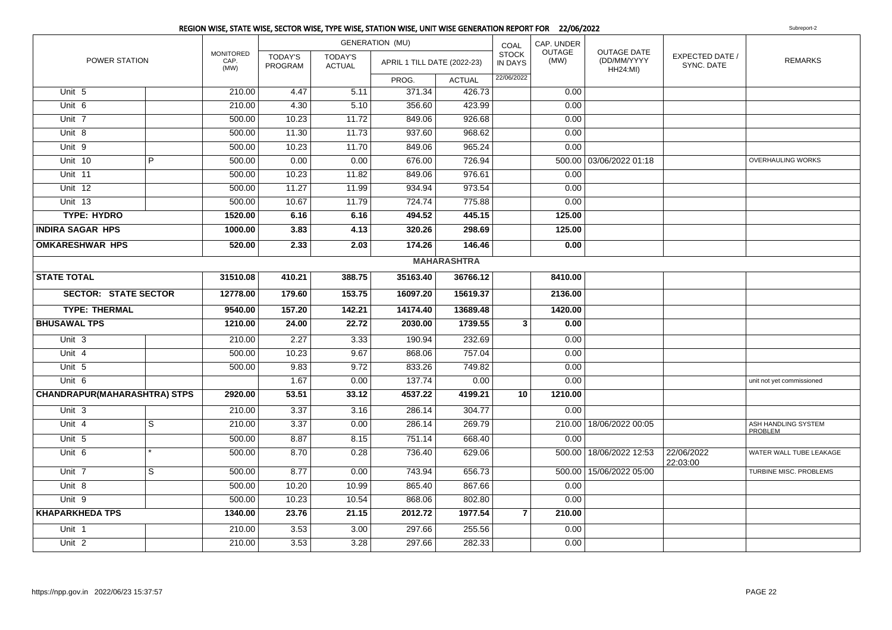|                                     |   |                                  |                           |                                 | <b>GENERATION (MU)</b>      |                    | COAL                           | CAP. UNDER            |                                                      |                               |                                |
|-------------------------------------|---|----------------------------------|---------------------------|---------------------------------|-----------------------------|--------------------|--------------------------------|-----------------------|------------------------------------------------------|-------------------------------|--------------------------------|
| POWER STATION                       |   | <b>MONITORED</b><br>CAP.<br>(MW) | <b>TODAY'S</b><br>PROGRAM | <b>TODAY'S</b><br><b>ACTUAL</b> | APRIL 1 TILL DATE (2022-23) |                    | <b>STOCK</b><br><b>IN DAYS</b> | <b>OUTAGE</b><br>(MW) | <b>OUTAGE DATE</b><br>(DD/MM/YYYY<br><b>HH24:MI)</b> | EXPECTED DATE /<br>SYNC. DATE | <b>REMARKS</b>                 |
|                                     |   |                                  |                           |                                 | PROG.                       | <b>ACTUAL</b>      | 22/06/2022                     |                       |                                                      |                               |                                |
| Unit 5                              |   | 210.00                           | 4.47                      | 5.11                            | 371.34                      | 426.73             |                                | 0.00                  |                                                      |                               |                                |
| Unit 6                              |   | 210.00                           | 4.30                      | 5.10                            | 356.60                      | 423.99             |                                | 0.00                  |                                                      |                               |                                |
| Unit 7                              |   | 500.00                           | 10.23                     | 11.72                           | 849.06                      | 926.68             |                                | 0.00                  |                                                      |                               |                                |
| Unit 8                              |   | 500.00                           | 11.30                     | 11.73                           | 937.60                      | 968.62             |                                | 0.00                  |                                                      |                               |                                |
| Unit 9                              |   | 500.00                           | 10.23                     | 11.70                           | 849.06                      | 965.24             |                                | 0.00                  |                                                      |                               |                                |
| Unit 10                             | P | 500.00                           | 0.00                      | 0.00                            | 676.00                      | 726.94             |                                |                       | 500.00 03/06/2022 01:18                              |                               | OVERHAULING WORKS              |
| Unit 11                             |   | 500.00                           | 10.23                     | 11.82                           | 849.06                      | 976.61             |                                | 0.00                  |                                                      |                               |                                |
| Unit 12                             |   | 500.00                           | 11.27                     | 11.99                           | 934.94                      | 973.54             |                                | 0.00                  |                                                      |                               |                                |
| Unit 13                             |   | 500.00                           | 10.67                     | 11.79                           | 724.74                      | 775.88             |                                | 0.00                  |                                                      |                               |                                |
| <b>TYPE: HYDRO</b>                  |   | 1520.00                          | 6.16                      | 6.16                            | 494.52                      | 445.15             |                                | 125.00                |                                                      |                               |                                |
| <b>INDIRA SAGAR HPS</b>             |   | 1000.00                          | 3.83                      | 4.13                            | 320.26                      | 298.69             |                                | 125.00                |                                                      |                               |                                |
| <b>OMKARESHWAR HPS</b>              |   | 520.00                           | 2.33                      | 2.03                            | 174.26                      | 146.46             |                                | 0.00                  |                                                      |                               |                                |
|                                     |   |                                  |                           |                                 |                             | <b>MAHARASHTRA</b> |                                |                       |                                                      |                               |                                |
| <b>STATE TOTAL</b>                  |   | 31510.08                         | 410.21                    | 388.75                          | 35163.40                    | 36766.12           |                                | 8410.00               |                                                      |                               |                                |
| <b>SECTOR: STATE SECTOR</b>         |   | 12778.00                         | 179.60                    | 153.75                          | 16097.20                    | 15619.37           |                                | 2136.00               |                                                      |                               |                                |
| <b>TYPE: THERMAL</b>                |   | 9540.00                          | 157.20                    | 142.21                          | 14174.40                    | 13689.48           |                                | 1420.00               |                                                      |                               |                                |
| <b>BHUSAWAL TPS</b>                 |   | 1210.00                          | 24.00                     | 22.72                           | 2030.00                     | 1739.55            | $\mathbf{3}$                   | 0.00                  |                                                      |                               |                                |
| Unit <sub>3</sub>                   |   | 210.00                           | 2.27                      | 3.33                            | 190.94                      | 232.69             |                                | 0.00                  |                                                      |                               |                                |
| Unit 4                              |   | 500.00                           | 10.23                     | 9.67                            | 868.06                      | 757.04             |                                | 0.00                  |                                                      |                               |                                |
| Unit 5                              |   | 500.00                           | 9.83                      | 9.72                            | 833.26                      | 749.82             |                                | 0.00                  |                                                      |                               |                                |
| Unit 6                              |   |                                  | 1.67                      | 0.00                            | 137.74                      | 0.00               |                                | 0.00                  |                                                      |                               | unit not yet commissioned      |
| <b>CHANDRAPUR(MAHARASHTRA) STPS</b> |   | 2920.00                          | 53.51                     | 33.12                           | 4537.22                     | 4199.21            | 10                             | 1210.00               |                                                      |                               |                                |
| Unit <sub>3</sub>                   |   | 210.00                           | 3.37                      | 3.16                            | 286.14                      | 304.77             |                                | 0.00                  |                                                      |                               |                                |
| Unit 4                              | S | 210.00                           | 3.37                      | 0.00                            | 286.14                      | 269.79             |                                |                       | 210.00   18/06/2022 00:05                            |                               | ASH HANDLING SYSTEM<br>PROBLEM |
| Unit 5                              |   | 500.00                           | 8.87                      | 8.15                            | 751.14                      | 668.40             |                                | 0.00                  |                                                      |                               |                                |
| Unit 6                              |   | 500.00                           | 8.70                      | 0.28                            | 736.40                      | 629.06             |                                |                       | 500.00 18/06/2022 12:53                              | 22/06/2022<br>22:03:00        | WATER WALL TUBE LEAKAGE        |
| Unit 7                              | S | 500.00                           | 8.77                      | 0.00                            | 743.94                      | 656.73             |                                |                       | 500.00   15/06/2022 05:00                            |                               | TURBINE MISC. PROBLEMS         |
| Unit 8                              |   | 500.00                           | 10.20                     | 10.99                           | 865.40                      | 867.66             |                                | 0.00                  |                                                      |                               |                                |
| Unit 9                              |   | 500.00                           | 10.23                     | 10.54                           | 868.06                      | 802.80             |                                | 0.00                  |                                                      |                               |                                |
| <b>KHAPARKHEDA TPS</b>              |   | 1340.00                          | 23.76                     | 21.15                           | 2012.72                     | 1977.54            | $\overline{7}$                 | 210.00                |                                                      |                               |                                |
| Unit 1                              |   | 210.00                           | 3.53                      | 3.00                            | 297.66                      | 255.56             |                                | 0.00                  |                                                      |                               |                                |
| Unit <sub>2</sub>                   |   | 210.00                           | 3.53                      | 3.28                            | 297.66                      | 282.33             |                                | 0.00                  |                                                      |                               |                                |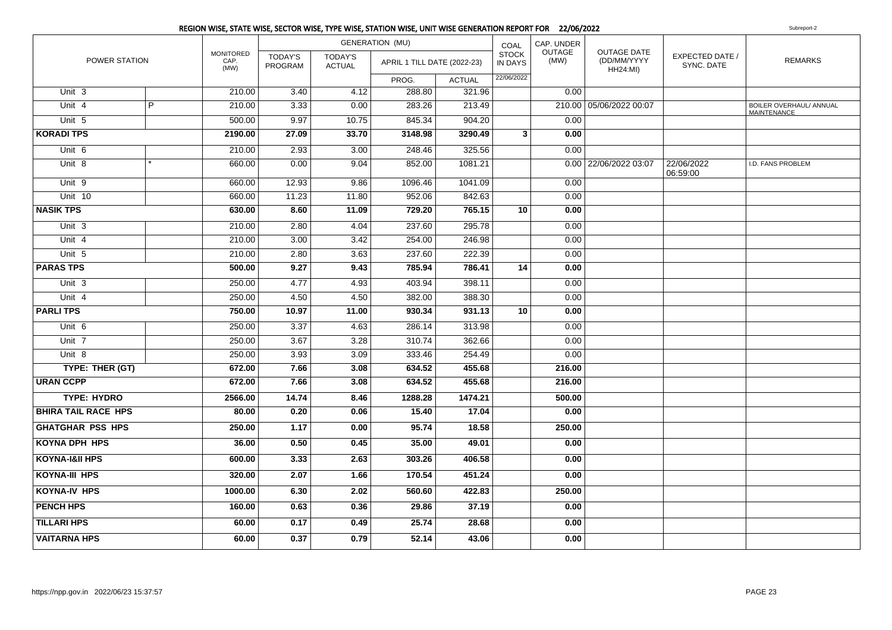|                            |   |                           |                           |                                 | REGION WISE, STATE WISE, SECTOR WISE, TYPE WISE, STATION WISE, UNIT WISE GENERATION REPORT FOR 22/06/2022 |               |                         |                |                                                      |                               | Subreport-2                            |
|----------------------------|---|---------------------------|---------------------------|---------------------------------|-----------------------------------------------------------------------------------------------------------|---------------|-------------------------|----------------|------------------------------------------------------|-------------------------------|----------------------------------------|
|                            |   |                           |                           |                                 | <b>GENERATION (MU)</b>                                                                                    |               | COAL                    | CAP. UNDER     |                                                      |                               |                                        |
| POWER STATION              |   | MONITORED<br>CAP.<br>(MW) | <b>TODAY'S</b><br>PROGRAM | <b>TODAY'S</b><br><b>ACTUAL</b> | APRIL 1 TILL DATE (2022-23)                                                                               |               | <b>STOCK</b><br>IN DAYS | OUTAGE<br>(MW) | <b>OUTAGE DATE</b><br>(DD/MM/YYYY<br><b>HH24:MI)</b> | EXPECTED DATE /<br>SYNC. DATE | <b>REMARKS</b>                         |
|                            |   |                           |                           |                                 | PROG.                                                                                                     | <b>ACTUAL</b> | 22/06/2022              |                |                                                      |                               |                                        |
| Unit 3                     |   | 210.00                    | 3.40                      | 4.12                            | 288.80                                                                                                    | 321.96        |                         | 0.00           |                                                      |                               |                                        |
| Unit 4                     | P | 210.00                    | 3.33                      | 0.00                            | 283.26                                                                                                    | 213.49        |                         |                | 210.00 05/06/2022 00:07                              |                               | BOILER OVERHAUL/ ANNUAL<br>MAINTENANCE |
| Unit 5                     |   | 500.00                    | 9.97                      | 10.75                           | 845.34                                                                                                    | 904.20        |                         | 0.00           |                                                      |                               |                                        |
| <b>KORADI TPS</b>          |   | 2190.00                   | 27.09                     | 33.70                           | 3148.98                                                                                                   | 3290.49       | $\overline{\mathbf{3}}$ | 0.00           |                                                      |                               |                                        |
| Unit 6                     |   | 210.00                    | 2.93                      | 3.00                            | 248.46                                                                                                    | 325.56        |                         | 0.00           |                                                      |                               |                                        |
| Unit 8                     |   | 660.00                    | 0.00                      | 9.04                            | 852.00                                                                                                    | 1081.21       |                         |                | 0.00 22/06/2022 03:07                                | 22/06/2022<br>06:59:00        | I.D. FANS PROBLEM                      |
| Unit 9                     |   | 660.00                    | 12.93                     | 9.86                            | 1096.46                                                                                                   | 1041.09       |                         | 0.00           |                                                      |                               |                                        |
| Unit 10                    |   | 660.00                    | 11.23                     | 11.80                           | 952.06                                                                                                    | 842.63        |                         | 0.00           |                                                      |                               |                                        |
| <b>NASIK TPS</b>           |   | 630.00                    | 8.60                      | 11.09                           | 729.20                                                                                                    | 765.15        | 10                      | 0.00           |                                                      |                               |                                        |
| Unit 3                     |   | 210.00                    | 2.80                      | 4.04                            | 237.60                                                                                                    | 295.78        |                         | 0.00           |                                                      |                               |                                        |
| Unit $4$                   |   | 210.00                    | 3.00                      | 3.42                            | 254.00                                                                                                    | 246.98        |                         | 0.00           |                                                      |                               |                                        |
| Unit 5                     |   | 210.00                    | 2.80                      | 3.63                            | 237.60                                                                                                    | 222.39        |                         | 0.00           |                                                      |                               |                                        |
| <b>PARAS TPS</b>           |   | 500.00                    | 9.27                      | 9.43                            | 785.94                                                                                                    | 786.41        | 14                      | 0.00           |                                                      |                               |                                        |
| Unit $3$                   |   | 250.00                    | 4.77                      | 4.93                            | 403.94                                                                                                    | 398.11        |                         | 0.00           |                                                      |                               |                                        |
| Unit 4                     |   | 250.00                    | 4.50                      | 4.50                            | 382.00                                                                                                    | 388.30        |                         | 0.00           |                                                      |                               |                                        |
| <b>PARLITPS</b>            |   | 750.00                    | 10.97                     | 11.00                           | 930.34                                                                                                    | 931.13        | 10                      | 0.00           |                                                      |                               |                                        |
| Unit 6                     |   | 250.00                    | 3.37                      | 4.63                            | 286.14                                                                                                    | 313.98        |                         | 0.00           |                                                      |                               |                                        |
| Unit $7$                   |   | 250.00                    | 3.67                      | 3.28                            | 310.74                                                                                                    | 362.66        |                         | 0.00           |                                                      |                               |                                        |
| Unit $8$                   |   | 250.00                    | 3.93                      | 3.09                            | 333.46                                                                                                    | 254.49        |                         | 0.00           |                                                      |                               |                                        |
| TYPE: THER (GT)            |   | 672.00                    | 7.66                      | 3.08                            | 634.52                                                                                                    | 455.68        |                         | 216.00         |                                                      |                               |                                        |
| <b>URAN CCPP</b>           |   | 672.00                    | 7.66                      | 3.08                            | 634.52                                                                                                    | 455.68        |                         | 216.00         |                                                      |                               |                                        |
| <b>TYPE: HYDRO</b>         |   | 2566.00                   | 14.74                     | 8.46                            | 1288.28                                                                                                   | 1474.21       |                         | 500.00         |                                                      |                               |                                        |
| <b>BHIRA TAIL RACE HPS</b> |   | 80.00                     | 0.20                      | 0.06                            | 15.40                                                                                                     | 17.04         |                         | 0.00           |                                                      |                               |                                        |
| <b>GHATGHAR PSS HPS</b>    |   | 250.00                    | 1.17                      | 0.00                            | 95.74                                                                                                     | 18.58         |                         | 250.00         |                                                      |                               |                                        |
| <b>KOYNA DPH HPS</b>       |   | 36.00                     | 0.50                      | 0.45                            | 35.00                                                                                                     | 49.01         |                         | 0.00           |                                                      |                               |                                        |
| <b>KOYNA-I&amp;II HPS</b>  |   | 600.00                    | 3.33                      | 2.63                            | 303.26                                                                                                    | 406.58        |                         | 0.00           |                                                      |                               |                                        |
| KOYNA-III HPS              |   | 320.00                    | 2.07                      | 1.66                            | 170.54                                                                                                    | 451.24        |                         | 0.00           |                                                      |                               |                                        |
| <b>KOYNA-IV HPS</b>        |   | 1000.00                   | 6.30                      | 2.02                            | 560.60                                                                                                    | 422.83        |                         | 250.00         |                                                      |                               |                                        |
| <b>PENCH HPS</b>           |   | 160.00                    | 0.63                      | 0.36                            | 29.86                                                                                                     | 37.19         |                         | 0.00           |                                                      |                               |                                        |
| <b>TILLARI HPS</b>         |   | 60.00                     | 0.17                      | 0.49                            | 25.74                                                                                                     | 28.68         |                         | 0.00           |                                                      |                               |                                        |
| <b>VAITARNA HPS</b>        |   | 60.00                     | 0.37                      | 0.79                            | 52.14                                                                                                     | 43.06         |                         | 0.00           |                                                      |                               |                                        |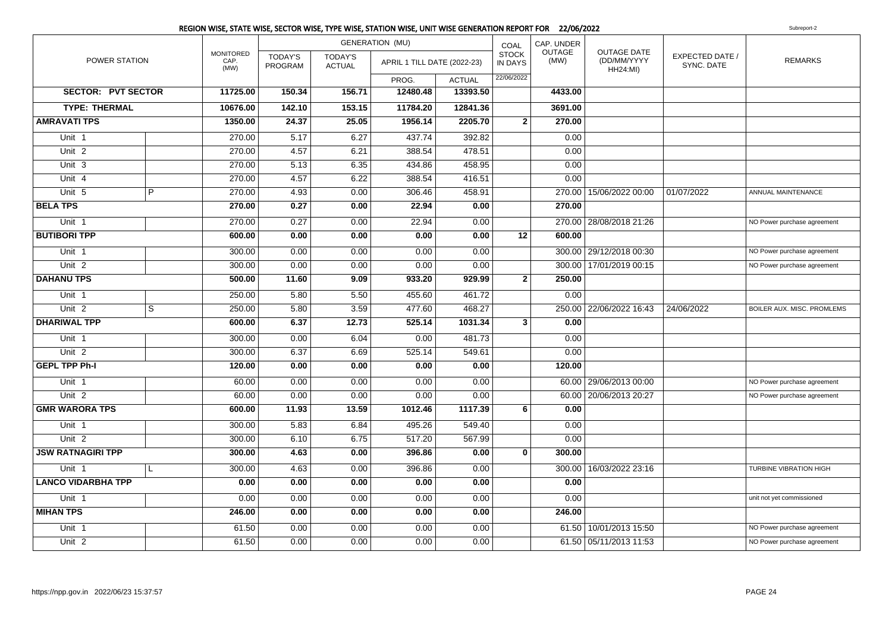|                           |                |                                  |                           |                                 | REGION WISE, STATE WISE, SECTOR WISE, TYPE WISE, STATION WISE, UNIT WISE GENERATION REPORT FOR 22/06/2022 |               |                                |                       |                                               |                               | Subreport-2                       |
|---------------------------|----------------|----------------------------------|---------------------------|---------------------------------|-----------------------------------------------------------------------------------------------------------|---------------|--------------------------------|-----------------------|-----------------------------------------------|-------------------------------|-----------------------------------|
|                           |                |                                  |                           |                                 | <b>GENERATION (MU)</b>                                                                                    |               | COAL                           | CAP. UNDER            |                                               |                               |                                   |
| POWER STATION             |                | <b>MONITORED</b><br>CAP.<br>(MW) | <b>TODAY'S</b><br>PROGRAM | <b>TODAY'S</b><br><b>ACTUAL</b> | APRIL 1 TILL DATE (2022-23)                                                                               |               | <b>STOCK</b><br><b>IN DAYS</b> | <b>OUTAGE</b><br>(MW) | OUTAGE DATE<br>(DD/MM/YYYY<br><b>HH24:MI)</b> | EXPECTED DATE /<br>SYNC. DATE | <b>REMARKS</b>                    |
|                           |                |                                  |                           |                                 | PROG.                                                                                                     | <b>ACTUAL</b> | 22/06/2022                     |                       |                                               |                               |                                   |
| <b>SECTOR: PVT SECTOR</b> |                | 11725.00                         | 150.34                    | 156.71                          | 12480.48                                                                                                  | 13393.50      |                                | 4433.00               |                                               |                               |                                   |
| <b>TYPE: THERMAL</b>      |                | 10676.00                         | 142.10                    | 153.15                          | 11784.20                                                                                                  | 12841.36      |                                | 3691.00               |                                               |                               |                                   |
| <b>AMRAVATI TPS</b>       |                | 1350.00                          | 24.37                     | 25.05                           | 1956.14                                                                                                   | 2205.70       | $\overline{2}$                 | 270.00                |                                               |                               |                                   |
| Unit 1                    |                | 270.00                           | 5.17                      | 6.27                            | 437.74                                                                                                    | 392.82        |                                | 0.00                  |                                               |                               |                                   |
| Unit <sub>2</sub>         |                | 270.00                           | 4.57                      | 6.21                            | 388.54                                                                                                    | 478.51        |                                | 0.00                  |                                               |                               |                                   |
| Unit 3                    |                | 270.00                           | 5.13                      | 6.35                            | 434.86                                                                                                    | 458.95        |                                | 0.00                  |                                               |                               |                                   |
| Unit 4                    |                | 270.00                           | 4.57                      | 6.22                            | 388.54                                                                                                    | 416.51        |                                | 0.00                  |                                               |                               |                                   |
| Unit 5                    | $\overline{P}$ | 270.00                           | 4.93                      | 0.00                            | 306.46                                                                                                    | 458.91        |                                |                       | 270.00   15/06/2022 00:00                     | 01/07/2022                    | ANNUAL MAINTENANCE                |
| <b>BELA TPS</b>           |                | 270.00                           | 0.27                      | 0.00                            | 22.94                                                                                                     | 0.00          |                                | 270.00                |                                               |                               |                                   |
| Unit 1                    |                | 270.00                           | 0.27                      | 0.00                            | 22.94                                                                                                     | 0.00          |                                |                       | 270.00 28/08/2018 21:26                       |                               | NO Power purchase agreement       |
| <b>BUTIBORI TPP</b>       |                | 600.00                           | 0.00                      | 0.00                            | 0.00                                                                                                      | 0.00          | 12                             | 600.00                |                                               |                               |                                   |
| Unit 1                    |                | 300.00                           | 0.00                      | 0.00                            | 0.00                                                                                                      | 0.00          |                                |                       | 300.00 29/12/2018 00:30                       |                               | NO Power purchase agreement       |
| Unit <sub>2</sub>         |                | 300.00                           | 0.00                      | 0.00                            | 0.00                                                                                                      | 0.00          |                                |                       | 300.00   17/01/2019 00:15                     |                               | NO Power purchase agreement       |
| <b>DAHANU TPS</b>         |                | 500.00                           | 11.60                     | 9.09                            | 933.20                                                                                                    | 929.99        | $\mathbf{2}$                   | 250.00                |                                               |                               |                                   |
| Unit 1                    |                | 250.00                           | 5.80                      | 5.50                            | 455.60                                                                                                    | 461.72        |                                | 0.00                  |                                               |                               |                                   |
| Unit <sub>2</sub>         | $\overline{s}$ | 250.00                           | 5.80                      | 3.59                            | 477.60                                                                                                    | 468.27        |                                |                       | 250.00 22/06/2022 16:43                       | 24/06/2022                    | <b>BOILER AUX. MISC. PROMLEMS</b> |
| <b>DHARIWAL TPP</b>       |                | 600.00                           | 6.37                      | 12.73                           | 525.14                                                                                                    | 1031.34       | 3                              | 0.00                  |                                               |                               |                                   |
| Unit 1                    |                | 300.00                           | 0.00                      | 6.04                            | 0.00                                                                                                      | 481.73        |                                | 0.00                  |                                               |                               |                                   |
| Unit <sub>2</sub>         |                | 300.00                           | 6.37                      | 6.69                            | 525.14                                                                                                    | 549.61        |                                | 0.00                  |                                               |                               |                                   |
| <b>GEPL TPP Ph-I</b>      |                | 120.00                           | 0.00                      | 0.00                            | 0.00                                                                                                      | 0.00          |                                | 120.00                |                                               |                               |                                   |
| Unit 1                    |                | 60.00                            | 0.00                      | 0.00                            | 0.00                                                                                                      | 0.00          |                                |                       | 60.00   29/06/2013 00:00                      |                               | NO Power purchase agreement       |
| Unit <sub>2</sub>         |                | 60.00                            | 0.00                      | 0.00                            | 0.00                                                                                                      | 0.00          |                                |                       | 60.00 20/06/2013 20:27                        |                               | NO Power purchase agreement       |
| <b>GMR WARORA TPS</b>     |                | 600.00                           | 11.93                     | 13.59                           | 1012.46                                                                                                   | 1117.39       | 6                              | 0.00                  |                                               |                               |                                   |
| Unit 1                    |                | 300.00                           | 5.83                      | 6.84                            | 495.26                                                                                                    | 549.40        |                                | 0.00                  |                                               |                               |                                   |
| Unit <sub>2</sub>         |                | 300.00                           | 6.10                      | 6.75                            | 517.20                                                                                                    | 567.99        |                                | 0.00                  |                                               |                               |                                   |
| <b>JSW RATNAGIRI TPP</b>  |                | 300.00                           | 4.63                      | 0.00                            | 396.86                                                                                                    | 0.00          | $\mathbf{0}$                   | 300.00                |                                               |                               |                                   |
| Unit 1                    | L              | 300.00                           | 4.63                      | 0.00                            | 396.86                                                                                                    | 0.00          |                                |                       | 300.00 16/03/2022 23:16                       |                               | TURBINE VIBRATION HIGH            |
| <b>LANCO VIDARBHA TPP</b> |                | 0.00                             | 0.00                      | 0.00                            | 0.00                                                                                                      | 0.00          |                                | 0.00                  |                                               |                               |                                   |
| Unit 1                    |                | 0.00                             | 0.00                      | 0.00                            | 0.00                                                                                                      | 0.00          |                                | 0.00                  |                                               |                               | unit not yet commissioned         |
| <b>MIHAN TPS</b>          |                | 246.00                           | 0.00                      | 0.00                            | 0.00                                                                                                      | 0.00          |                                | 246.00                |                                               |                               |                                   |
| Unit <sub>1</sub>         |                | 61.50                            | 0.00                      | 0.00                            | 0.00                                                                                                      | 0.00          |                                |                       | 61.50 10/01/2013 15:50                        |                               | NO Power purchase agreement       |
| Unit <sub>2</sub>         |                | 61.50                            | 0.00                      | 0.00                            | 0.00                                                                                                      | 0.00          |                                |                       | 61.50 05/11/2013 11:53                        |                               | NO Power purchase agreement       |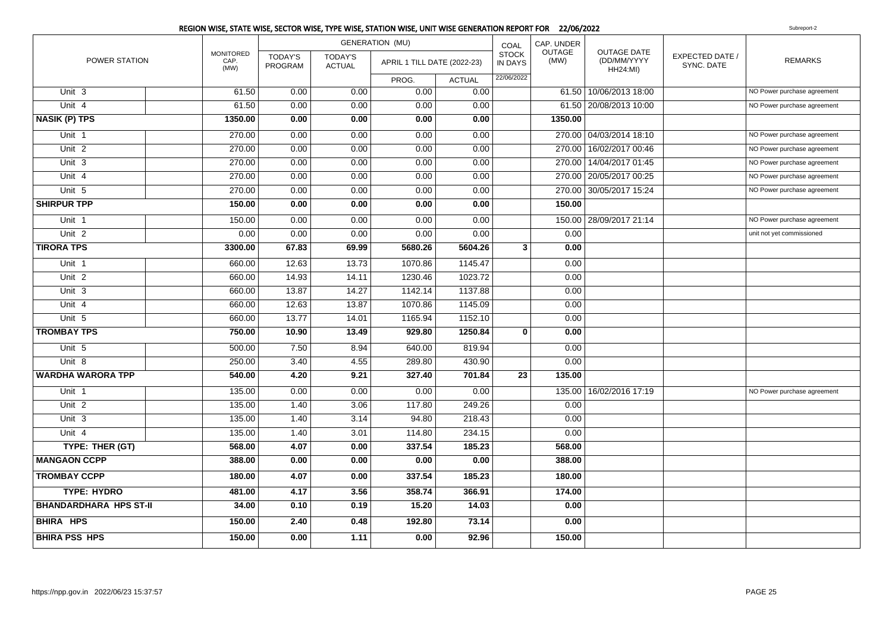|                               |                                  |                           |                                 | <b>GENERATION (MU)</b>      |               | COAL                           | CAP. UNDER     |                                                      |                                      |                             |
|-------------------------------|----------------------------------|---------------------------|---------------------------------|-----------------------------|---------------|--------------------------------|----------------|------------------------------------------------------|--------------------------------------|-----------------------------|
| POWER STATION                 | <b>MONITORED</b><br>CAP.<br>(MW) | <b>TODAY'S</b><br>PROGRAM | <b>TODAY'S</b><br><b>ACTUAL</b> | APRIL 1 TILL DATE (2022-23) |               | <b>STOCK</b><br><b>IN DAYS</b> | OUTAGE<br>(MW) | <b>OUTAGE DATE</b><br>(DD/MM/YYYY<br><b>HH24:MI)</b> | <b>EXPECTED DATE /</b><br>SYNC. DATE | <b>REMARKS</b>              |
|                               |                                  |                           |                                 | PROG.                       | <b>ACTUAL</b> | 22/06/2022                     |                |                                                      |                                      |                             |
| Unit 3                        | 61.50                            | 0.00                      | 0.00                            | 0.00                        | 0.00          |                                |                | 61.50   10/06/2013 18:00                             |                                      | NO Power purchase agreement |
| Unit 4                        | 61.50                            | 0.00                      | 0.00                            | 0.00                        | 0.00          |                                |                | 61.50 20/08/2013 10:00                               |                                      | NO Power purchase agreement |
| <b>NASIK (P) TPS</b>          | 1350.00                          | 0.00                      | 0.00                            | 0.00                        | 0.00          |                                | 1350.00        |                                                      |                                      |                             |
| Unit 1                        | 270.00                           | 0.00                      | 0.00                            | 0.00                        | 0.00          |                                |                | 270.00 04/03/2014 18:10                              |                                      | NO Power purchase agreement |
| Unit <sub>2</sub>             | 270.00                           | 0.00                      | 0.00                            | 0.00                        | 0.00          |                                |                | 270.00 16/02/2017 00:46                              |                                      | NO Power purchase agreement |
| Unit <sub>3</sub>             | 270.00                           | 0.00                      | 0.00                            | 0.00                        | 0.00          |                                |                | 270.00 14/04/2017 01:45                              |                                      | NO Power purchase agreement |
| Unit 4                        | 270.00                           | 0.00                      | 0.00                            | 0.00                        | 0.00          |                                |                | 270.00   20/05/2017 00:25                            |                                      | NO Power purchase agreement |
| Unit 5                        | 270.00                           | 0.00                      | 0.00                            | 0.00                        | 0.00          |                                |                | 270.00 30/05/2017 15:24                              |                                      | NO Power purchase agreement |
| <b>SHIRPUR TPP</b>            | 150.00                           | 0.00                      | 0.00                            | 0.00                        | 0.00          |                                | 150.00         |                                                      |                                      |                             |
| Unit 1                        | 150.00                           | 0.00                      | 0.00                            | 0.00                        | 0.00          |                                |                | 150.00 28/09/2017 21:14                              |                                      | NO Power purchase agreement |
| Unit <sub>2</sub>             | 0.00                             | 0.00                      | 0.00                            | 0.00                        | 0.00          |                                | 0.00           |                                                      |                                      | unit not yet commissioned   |
| <b>TIRORA TPS</b>             | 3300.00                          | 67.83                     | 69.99                           | 5680.26                     | 5604.26       | 3                              | 0.00           |                                                      |                                      |                             |
| Unit 1                        | 660.00                           | 12.63                     | 13.73                           | 1070.86                     | 1145.47       |                                | 0.00           |                                                      |                                      |                             |
| Unit <sub>2</sub>             | 660.00                           | 14.93                     | 14.11                           | 1230.46                     | 1023.72       |                                | 0.00           |                                                      |                                      |                             |
| Unit 3                        | 660.00                           | 13.87                     | 14.27                           | 1142.14                     | 1137.88       |                                | 0.00           |                                                      |                                      |                             |
| Unit 4                        | 660.00                           | 12.63                     | 13.87                           | 1070.86                     | 1145.09       |                                | 0.00           |                                                      |                                      |                             |
| Unit 5                        | 660.00                           | 13.77                     | 14.01                           | 1165.94                     | 1152.10       |                                | 0.00           |                                                      |                                      |                             |
| <b>TROMBAY TPS</b>            | 750.00                           | 10.90                     | 13.49                           | 929.80                      | 1250.84       | $\bf{0}$                       | 0.00           |                                                      |                                      |                             |
| Unit 5                        | 500.00                           | 7.50                      | 8.94                            | 640.00                      | 819.94        |                                | 0.00           |                                                      |                                      |                             |
| Unit 8                        | 250.00                           | 3.40                      | 4.55                            | 289.80                      | 430.90        |                                | 0.00           |                                                      |                                      |                             |
| <b>WARDHA WARORA TPP</b>      | 540.00                           | 4.20                      | 9.21                            | 327.40                      | 701.84        | 23                             | 135.00         |                                                      |                                      |                             |
| Unit 1                        | 135.00                           | 0.00                      | 0.00                            | 0.00                        | 0.00          |                                |                | 135.00   16/02/2016 17:19                            |                                      | NO Power purchase agreement |
| Unit <sub>2</sub>             | 135.00                           | 1.40                      | 3.06                            | 117.80                      | 249.26        |                                | 0.00           |                                                      |                                      |                             |
| Unit 3                        | 135.00                           | 1.40                      | 3.14                            | 94.80                       | 218.43        |                                | 0.00           |                                                      |                                      |                             |
| Unit 4                        | 135.00                           | 1.40                      | 3.01                            | 114.80                      | 234.15        |                                | 0.00           |                                                      |                                      |                             |
| TYPE: THER (GT)               | 568.00                           | 4.07                      | 0.00                            | 337.54                      | 185.23        |                                | 568.00         |                                                      |                                      |                             |
| <b>MANGAON CCPP</b>           | 388.00                           | 0.00                      | 0.00                            | 0.00                        | 0.00          |                                | 388.00         |                                                      |                                      |                             |
| <b>TROMBAY CCPP</b>           | 180.00                           | 4.07                      | 0.00                            | 337.54                      | 185.23        |                                | 180.00         |                                                      |                                      |                             |
| <b>TYPE: HYDRO</b>            | 481.00                           | 4.17                      | 3.56                            | 358.74                      | 366.91        |                                | 174.00         |                                                      |                                      |                             |
| <b>BHANDARDHARA HPS ST-II</b> | 34.00                            | 0.10                      | 0.19                            | 15.20                       | 14.03         |                                | 0.00           |                                                      |                                      |                             |
| <b>BHIRA HPS</b>              | 150.00                           | 2.40                      | 0.48                            | 192.80                      | 73.14         |                                | 0.00           |                                                      |                                      |                             |
| <b>BHIRA PSS HPS</b>          | 150.00                           | 0.00                      | 1.11                            | 0.00                        | 92.96         |                                | 150.00         |                                                      |                                      |                             |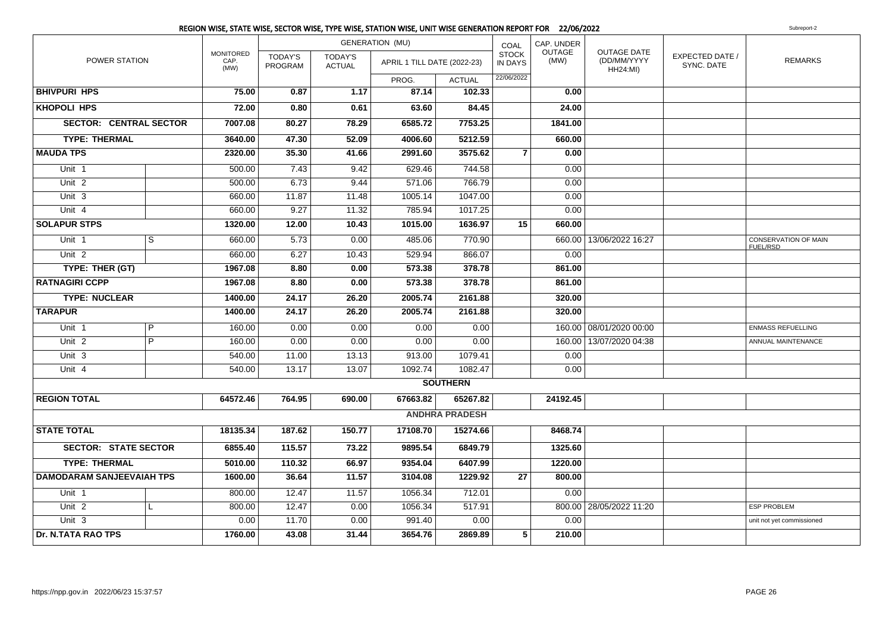|                                  |   |                                  |                           |                                 | REGION WISE, STATE WISE, SECTOR WISE, TYPE WISE, STATION WISE, UNIT WISE GENERATION REPORT FOR 22/06/2022 |                       |                         |                |                                                      |                               | Subreport-2                             |
|----------------------------------|---|----------------------------------|---------------------------|---------------------------------|-----------------------------------------------------------------------------------------------------------|-----------------------|-------------------------|----------------|------------------------------------------------------|-------------------------------|-----------------------------------------|
|                                  |   |                                  |                           |                                 | <b>GENERATION (MU)</b>                                                                                    |                       | COAL                    | CAP. UNDER     |                                                      |                               |                                         |
| POWER STATION                    |   | <b>MONITORED</b><br>CAP.<br>(MW) | <b>TODAY'S</b><br>PROGRAM | <b>TODAY'S</b><br><b>ACTUAL</b> | APRIL 1 TILL DATE (2022-23)                                                                               |                       | <b>STOCK</b><br>IN DAYS | OUTAGE<br>(MW) | <b>OUTAGE DATE</b><br>(DD/MM/YYYY<br><b>HH24:MI)</b> | EXPECTED DATE /<br>SYNC. DATE | <b>REMARKS</b>                          |
|                                  |   |                                  |                           |                                 | PROG.                                                                                                     | <b>ACTUAL</b>         | 22/06/2022              |                |                                                      |                               |                                         |
| <b>BHIVPURI HPS</b>              |   | 75.00                            | 0.87                      | 1.17                            | 87.14                                                                                                     | 102.33                |                         | 0.00           |                                                      |                               |                                         |
| <b>KHOPOLI HPS</b>               |   | 72.00                            | 0.80                      | 0.61                            | 63.60                                                                                                     | 84.45                 |                         | 24.00          |                                                      |                               |                                         |
| <b>SECTOR: CENTRAL SECTOR</b>    |   | 7007.08                          | 80.27                     | 78.29                           | 6585.72                                                                                                   | 7753.25               |                         | 1841.00        |                                                      |                               |                                         |
| <b>TYPE: THERMAL</b>             |   | 3640.00                          | 47.30                     | 52.09                           | 4006.60                                                                                                   | 5212.59               |                         | 660.00         |                                                      |                               |                                         |
| <b>MAUDA TPS</b>                 |   | 2320.00                          | 35.30                     | 41.66                           | 2991.60                                                                                                   | 3575.62               | 7                       | 0.00           |                                                      |                               |                                         |
| Unit <sub>1</sub>                |   | 500.00                           | 7.43                      | 9.42                            | 629.46                                                                                                    | 744.58                |                         | 0.00           |                                                      |                               |                                         |
| Unit <sub>2</sub>                |   | 500.00                           | 6.73                      | 9.44                            | 571.06                                                                                                    | 766.79                |                         | 0.00           |                                                      |                               |                                         |
| Unit 3                           |   | 660.00                           | 11.87                     | 11.48                           | 1005.14                                                                                                   | 1047.00               |                         | 0.00           |                                                      |                               |                                         |
| Unit $4$                         |   | 660.00                           | 9.27                      | 11.32                           | 785.94                                                                                                    | 1017.25               |                         | 0.00           |                                                      |                               |                                         |
| <b>SOLAPUR STPS</b>              |   | 1320.00                          | 12.00                     | 10.43                           | 1015.00                                                                                                   | 1636.97               | 15                      | 660.00         |                                                      |                               |                                         |
| Unit 1                           | s | 660.00                           | 5.73                      | 0.00                            | 485.06                                                                                                    | 770.90                |                         |                | 660.00   13/06/2022 16:27                            |                               | <b>CONSERVATION OF MAIN</b><br>FUEL/RSD |
| Unit 2                           |   | 660.00                           | 6.27                      | 10.43                           | 529.94                                                                                                    | 866.07                |                         | 0.00           |                                                      |                               |                                         |
| TYPE: THER (GT)                  |   | 1967.08                          | 8.80                      | 0.00                            | 573.38                                                                                                    | 378.78                |                         | 861.00         |                                                      |                               |                                         |
| <b>RATNAGIRI CCPP</b>            |   | 1967.08                          | 8.80                      | 0.00                            | 573.38                                                                                                    | 378.78                |                         | 861.00         |                                                      |                               |                                         |
| <b>TYPE: NUCLEAR</b>             |   | 1400.00                          | 24.17                     | 26.20                           | 2005.74                                                                                                   | 2161.88               |                         | 320.00         |                                                      |                               |                                         |
| <b>TARAPUR</b>                   |   | 1400.00                          | 24.17                     | 26.20                           | 2005.74                                                                                                   | 2161.88               |                         | 320.00         |                                                      |                               |                                         |
| Unit 1                           | P | 160.00                           | 0.00                      | 0.00                            | 0.00                                                                                                      | 0.00                  |                         |                | 160.00 08/01/2020 00:00                              |                               | <b>ENMASS REFUELLING</b>                |
| Unit <sub>2</sub>                | P | 160.00                           | 0.00                      | 0.00                            | 0.00                                                                                                      | 0.00                  |                         |                | 160.00   13/07/2020 04:38                            |                               | ANNUAL MAINTENANCE                      |
| Unit 3                           |   | 540.00                           | 11.00                     | 13.13                           | 913.00                                                                                                    | 1079.41               |                         | 0.00           |                                                      |                               |                                         |
| Unit 4                           |   | 540.00                           | 13.17                     | 13.07                           | 1092.74                                                                                                   | 1082.47               |                         | 0.00           |                                                      |                               |                                         |
|                                  |   |                                  |                           |                                 |                                                                                                           | <b>SOUTHERN</b>       |                         |                |                                                      |                               |                                         |
| <b>REGION TOTAL</b>              |   | 64572.46                         | 764.95                    | 690.00                          | 67663.82                                                                                                  | 65267.82              |                         | 24192.45       |                                                      |                               |                                         |
|                                  |   |                                  |                           |                                 |                                                                                                           | <b>ANDHRA PRADESH</b> |                         |                |                                                      |                               |                                         |
| <b>STATE TOTAL</b>               |   | 18135.34                         | 187.62                    | 150.77                          | 17108.70                                                                                                  | 15274.66              |                         | 8468.74        |                                                      |                               |                                         |
| <b>SECTOR: STATE SECTOR</b>      |   | 6855.40                          | 115.57                    | 73.22                           | 9895.54                                                                                                   | 6849.79               |                         | 1325.60        |                                                      |                               |                                         |
| <b>TYPE: THERMAL</b>             |   | 5010.00                          | 110.32                    | 66.97                           | 9354.04                                                                                                   | 6407.99               |                         | 1220.00        |                                                      |                               |                                         |
| <b>DAMODARAM SANJEEVAIAH TPS</b> |   | 1600.00                          | 36.64                     | 11.57                           | 3104.08                                                                                                   | 1229.92               | 27                      | 800.00         |                                                      |                               |                                         |
| Unit 1                           |   | 800.00                           | 12.47                     | 11.57                           | 1056.34                                                                                                   | 712.01                |                         | 0.00           |                                                      |                               |                                         |
| Unit $2$                         |   | 800.00                           | 12.47                     | 0.00                            | 1056.34                                                                                                   | 517.91                |                         |                | 800.00 28/05/2022 11:20                              |                               | <b>ESP PROBLEM</b>                      |
| Unit <sub>3</sub>                |   | 0.00                             | 11.70                     | 0.00                            | 991.40                                                                                                    | 0.00                  |                         | 0.00           |                                                      |                               | unit not yet commissioned               |
| <b>Dr. N.TATA RAO TPS</b>        |   | 1760.00                          | 43.08                     | 31.44                           | 3654.76                                                                                                   | 2869.89               | 5                       | 210.00         |                                                      |                               |                                         |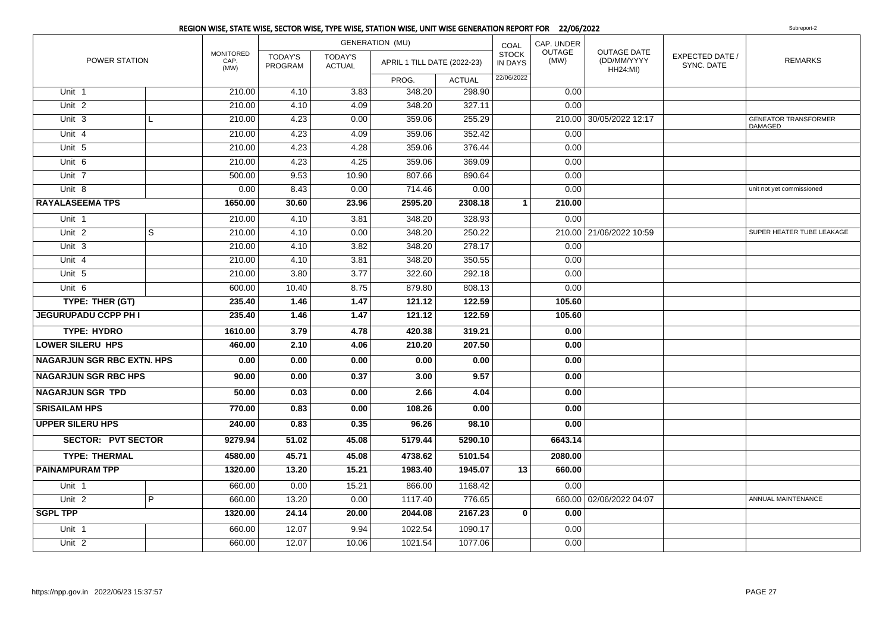|                                   |                |                                  |                                  |                          | REGION WISE, STATE WISE, SECTOR WISE, TYPE WISE, STATION WISE, UNIT WISE GENERATION REPORT FOR 22/06/2022 |               |                         |                |                                                      |                                      | Subreport-2                                   |
|-----------------------------------|----------------|----------------------------------|----------------------------------|--------------------------|-----------------------------------------------------------------------------------------------------------|---------------|-------------------------|----------------|------------------------------------------------------|--------------------------------------|-----------------------------------------------|
|                                   |                |                                  |                                  |                          | <b>GENERATION (MU)</b>                                                                                    |               | COAL                    | CAP. UNDER     |                                                      |                                      |                                               |
| POWER STATION                     |                | <b>MONITORED</b><br>CAP.<br>(MW) | <b>TODAY'S</b><br><b>PROGRAM</b> | TODAY'S<br><b>ACTUAL</b> | APRIL 1 TILL DATE (2022-23)                                                                               |               | <b>STOCK</b><br>IN DAYS | OUTAGE<br>(MW) | <b>OUTAGE DATE</b><br>(DD/MM/YYYY<br><b>HH24:MI)</b> | <b>EXPECTED DATE /</b><br>SYNC. DATE | <b>REMARKS</b>                                |
|                                   |                |                                  |                                  |                          | PROG.                                                                                                     | <b>ACTUAL</b> | 22/06/2022              |                |                                                      |                                      |                                               |
| Unit 1                            |                | 210.00                           | 4.10                             | 3.83                     | 348.20                                                                                                    | 298.90        |                         | 0.00           |                                                      |                                      |                                               |
| Unit <sub>2</sub>                 |                | 210.00                           | 4.10                             | 4.09                     | 348.20                                                                                                    | 327.11        |                         | 0.00           |                                                      |                                      |                                               |
| Unit 3                            | L.             | 210.00                           | 4.23                             | 0.00                     | 359.06                                                                                                    | 255.29        |                         |                | 210.00 30/05/2022 12:17                              |                                      | <b>GENEATOR TRANSFORMER</b><br><b>DAMAGED</b> |
| Unit 4                            |                | 210.00                           | 4.23                             | 4.09                     | 359.06                                                                                                    | 352.42        |                         | 0.00           |                                                      |                                      |                                               |
| Unit 5                            |                | 210.00                           | 4.23                             | 4.28                     | 359.06                                                                                                    | 376.44        |                         | 0.00           |                                                      |                                      |                                               |
| Unit 6                            |                | 210.00                           | 4.23                             | 4.25                     | 359.06                                                                                                    | 369.09        |                         | 0.00           |                                                      |                                      |                                               |
| Unit 7                            |                | 500.00                           | 9.53                             | 10.90                    | 807.66                                                                                                    | 890.64        |                         | 0.00           |                                                      |                                      |                                               |
| Unit 8                            |                | 0.00                             | 8.43                             | 0.00                     | 714.46                                                                                                    | 0.00          |                         | 0.00           |                                                      |                                      | unit not yet commissioned                     |
| <b>RAYALASEEMA TPS</b>            |                | 1650.00                          | 30.60                            | 23.96                    | 2595.20                                                                                                   | 2308.18       | $\mathbf{1}$            | 210.00         |                                                      |                                      |                                               |
| Unit 1                            |                | 210.00                           | 4.10                             | 3.81                     | 348.20                                                                                                    | 328.93        |                         | 0.00           |                                                      |                                      |                                               |
| Unit $2$                          | $\overline{s}$ | 210.00                           | 4.10                             | 0.00                     | 348.20                                                                                                    | 250.22        |                         |                | 210.00 21/06/2022 10:59                              |                                      | SUPER HEATER TUBE LEAKAGE                     |
| $Unit$ 3                          |                | 210.00                           | 4.10                             | 3.82                     | 348.20                                                                                                    | 278.17        |                         | 0.00           |                                                      |                                      |                                               |
| Unit 4                            |                | 210.00                           | 4.10                             | 3.81                     | 348.20                                                                                                    | 350.55        |                         | 0.00           |                                                      |                                      |                                               |
| Unit 5                            |                | 210.00                           | 3.80                             | 3.77                     | 322.60                                                                                                    | 292.18        |                         | 0.00           |                                                      |                                      |                                               |
| Unit 6                            |                | 600.00                           | 10.40                            | 8.75                     | 879.80                                                                                                    | 808.13        |                         | 0.00           |                                                      |                                      |                                               |
| TYPE: THER (GT)                   |                | 235.40                           | 1.46                             | 1.47                     | 121.12                                                                                                    | 122.59        |                         | 105.60         |                                                      |                                      |                                               |
| <b>JEGURUPADU CCPP PH I</b>       |                | 235.40                           | 1.46                             | 1.47                     | 121.12                                                                                                    | 122.59        |                         | 105.60         |                                                      |                                      |                                               |
| <b>TYPE: HYDRO</b>                |                | 1610.00                          | 3.79                             | 4.78                     | 420.38                                                                                                    | 319.21        |                         | 0.00           |                                                      |                                      |                                               |
| <b>LOWER SILERU HPS</b>           |                | 460.00                           | 2.10                             | 4.06                     | 210.20                                                                                                    | 207.50        |                         | 0.00           |                                                      |                                      |                                               |
| <b>NAGARJUN SGR RBC EXTN. HPS</b> |                | 0.00                             | 0.00                             | 0.00                     | 0.00                                                                                                      | 0.00          |                         | 0.00           |                                                      |                                      |                                               |
| <b>NAGARJUN SGR RBC HPS</b>       |                | 90.00                            | 0.00                             | 0.37                     | 3.00                                                                                                      | 9.57          |                         | 0.00           |                                                      |                                      |                                               |
| <b>NAGARJUN SGR TPD</b>           |                | 50.00                            | 0.03                             | 0.00                     | 2.66                                                                                                      | 4.04          |                         | 0.00           |                                                      |                                      |                                               |
| <b>SRISAILAM HPS</b>              |                | 770.00                           | 0.83                             | 0.00                     | 108.26                                                                                                    | 0.00          |                         | 0.00           |                                                      |                                      |                                               |
| <b>UPPER SILERU HPS</b>           |                | 240.00                           | 0.83                             | 0.35                     | 96.26                                                                                                     | 98.10         |                         | 0.00           |                                                      |                                      |                                               |
| <b>SECTOR: PVT SECTOR</b>         |                | 9279.94                          | 51.02                            | 45.08                    | 5179.44                                                                                                   | 5290.10       |                         | 6643.14        |                                                      |                                      |                                               |
| <b>TYPE: THERMAL</b>              |                | 4580.00                          | 45.71                            | 45.08                    | 4738.62                                                                                                   | 5101.54       |                         | 2080.00        |                                                      |                                      |                                               |
| <b>PAINAMPURAM TPP</b>            |                | 1320.00                          | 13.20                            | 15.21                    | 1983.40                                                                                                   | 1945.07       | 13                      | 660.00         |                                                      |                                      |                                               |
| Unit 1                            |                | 660.00                           | 0.00                             | 15.21                    | 866.00                                                                                                    | 1168.42       |                         | 0.00           |                                                      |                                      |                                               |
| Unit <sub>2</sub>                 | $\overline{P}$ | 660.00                           | 13.20                            | 0.00                     | 1117.40                                                                                                   | 776.65        |                         |                | 660.00 02/06/2022 04:07                              |                                      | ANNUAL MAINTENANCE                            |
| <b>SGPL TPP</b>                   |                | 1320.00                          | 24.14                            | 20.00                    | 2044.08                                                                                                   | 2167.23       | $\mathbf{0}$            | 0.00           |                                                      |                                      |                                               |
| Unit 1                            |                | 660.00                           | 12.07                            | 9.94                     | 1022.54                                                                                                   | 1090.17       |                         | 0.00           |                                                      |                                      |                                               |
| Unit <sub>2</sub>                 |                | 660.00                           | 12.07                            | 10.06                    | 1021.54                                                                                                   | 1077.06       |                         | 0.00           |                                                      |                                      |                                               |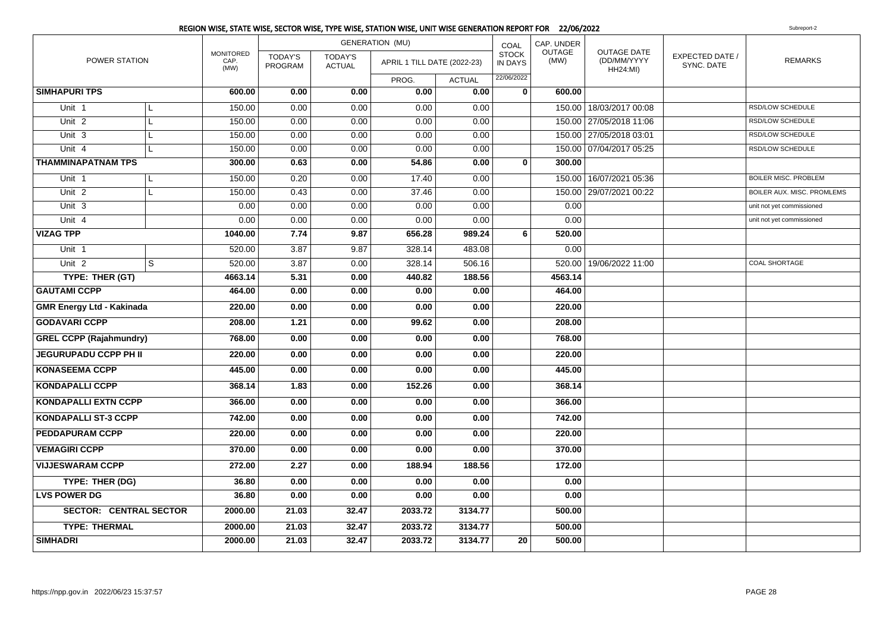|                                  |   |                                  | <b>GENERATION (MU)</b>    |                                 |                             |               |                                | CAP. UNDER            |                                                      |                               |                             |
|----------------------------------|---|----------------------------------|---------------------------|---------------------------------|-----------------------------|---------------|--------------------------------|-----------------------|------------------------------------------------------|-------------------------------|-----------------------------|
| POWER STATION                    |   | <b>MONITORED</b><br>CAP.<br>(MW) | <b>TODAY'S</b><br>PROGRAM | <b>TODAY'S</b><br><b>ACTUAL</b> | APRIL 1 TILL DATE (2022-23) |               | <b>STOCK</b><br><b>IN DAYS</b> | <b>OUTAGE</b><br>(MW) | <b>OUTAGE DATE</b><br>(DD/MM/YYYY<br><b>HH24:MI)</b> | EXPECTED DATE /<br>SYNC. DATE | <b>REMARKS</b>              |
|                                  |   |                                  |                           |                                 | PROG.                       | <b>ACTUAL</b> | 22/06/2022                     |                       |                                                      |                               |                             |
| <b>SIMHAPURI TPS</b>             |   | 600.00                           | 0.00                      | 0.00                            | 0.00                        | 0.00          | $\mathbf 0$                    | 600.00                |                                                      |                               |                             |
| Unit 1                           | L | 150.00                           | 0.00                      | 0.00                            | 0.00                        | 0.00          |                                |                       | 150.00   18/03/2017 00:08                            |                               | <b>RSD/LOW SCHEDULE</b>     |
| Unit <sub>2</sub>                | L | 150.00                           | 0.00                      | 0.00                            | 0.00                        | 0.00          |                                |                       | 150.00 27/05/2018 11:06                              |                               | RSD/LOW SCHEDULE            |
| Unit 3                           | L | 150.00                           | 0.00                      | 0.00                            | 0.00                        | 0.00          |                                |                       | 150.00 27/05/2018 03:01                              |                               | RSD/LOW SCHEDULE            |
| Unit 4                           | L | 150.00                           | 0.00                      | 0.00                            | 0.00                        | 0.00          |                                |                       | 150.00 07/04/2017 05:25                              |                               | RSD/LOW SCHEDULE            |
| <b>THAMMINAPATNAM TPS</b>        |   | 300.00                           | 0.63                      | 0.00                            | 54.86                       | 0.00          | $\mathbf{0}$                   | 300.00                |                                                      |                               |                             |
| Unit 1                           | L | 150.00                           | 0.20                      | 0.00                            | 17.40                       | 0.00          |                                |                       | 150.00 16/07/2021 05:36                              |                               | <b>BOILER MISC. PROBLEM</b> |
| Unit <sub>2</sub>                | L | 150.00                           | 0.43                      | 0.00                            | 37.46                       | 0.00          |                                |                       | 150.00 29/07/2021 00:22                              |                               | BOILER AUX. MISC. PROMLEMS  |
| Unit 3                           |   | 0.00                             | 0.00                      | 0.00                            | 0.00                        | 0.00          |                                | 0.00                  |                                                      |                               | unit not yet commissioned   |
| Unit 4                           |   | 0.00                             | 0.00                      | 0.00                            | 0.00                        | 0.00          |                                | 0.00                  |                                                      |                               | unit not yet commissioned   |
| <b>VIZAG TPP</b>                 |   | 1040.00                          | 7.74                      | 9.87                            | 656.28                      | 989.24        | 6                              | 520.00                |                                                      |                               |                             |
| Unit 1                           |   | 520.00                           | 3.87                      | 9.87                            | 328.14                      | 483.08        |                                | 0.00                  |                                                      |                               |                             |
| Unit <sub>2</sub>                | S | 520.00                           | 3.87                      | 0.00                            | 328.14                      | 506.16        |                                |                       | 520.00   19/06/2022 11:00                            |                               | COAL SHORTAGE               |
| TYPE: THER (GT)                  |   | 4663.14                          | 5.31                      | 0.00                            | 440.82                      | 188.56        |                                | 4563.14               |                                                      |                               |                             |
| <b>GAUTAMI CCPP</b>              |   | 464.00                           | 0.00                      | 0.00                            | 0.00                        | 0.00          |                                | 464.00                |                                                      |                               |                             |
| <b>GMR Energy Ltd - Kakinada</b> |   | 220.00                           | 0.00                      | 0.00                            | 0.00                        | 0.00          |                                | 220.00                |                                                      |                               |                             |
| <b>GODAVARI CCPP</b>             |   | 208.00                           | 1.21                      | 0.00                            | 99.62                       | 0.00          |                                | 208.00                |                                                      |                               |                             |
| <b>GREL CCPP (Rajahmundry)</b>   |   | 768.00                           | 0.00                      | 0.00                            | 0.00                        | 0.00          |                                | 768.00                |                                                      |                               |                             |
| <b>JEGURUPADU CCPP PH II</b>     |   | 220.00                           | 0.00                      | 0.00                            | 0.00                        | 0.00          |                                | 220.00                |                                                      |                               |                             |
| <b>KONASEEMA CCPP</b>            |   | 445.00                           | 0.00                      | 0.00                            | 0.00                        | 0.00          |                                | 445.00                |                                                      |                               |                             |
| <b>KONDAPALLI CCPP</b>           |   | 368.14                           | 1.83                      | 0.00                            | 152.26                      | 0.00          |                                | 368.14                |                                                      |                               |                             |
| <b>KONDAPALLI EXTN CCPP</b>      |   | 366.00                           | 0.00                      | 0.00                            | 0.00                        | 0.00          |                                | 366.00                |                                                      |                               |                             |
| <b>KONDAPALLI ST-3 CCPP</b>      |   | 742.00                           | 0.00                      | 0.00                            | 0.00                        | 0.00          |                                | 742.00                |                                                      |                               |                             |
| <b>PEDDAPURAM CCPP</b>           |   | 220.00                           | 0.00                      | 0.00                            | 0.00                        | 0.00          |                                | 220.00                |                                                      |                               |                             |
| <b>VEMAGIRI CCPP</b>             |   | 370.00                           | 0.00                      | 0.00                            | 0.00                        | 0.00          |                                | 370.00                |                                                      |                               |                             |
| <b>VIJJESWARAM CCPP</b>          |   | 272.00                           | 2.27                      | 0.00                            | 188.94                      | 188.56        |                                | 172.00                |                                                      |                               |                             |
| TYPE: THER (DG)                  |   | 36.80                            | 0.00                      | 0.00                            | 0.00                        | 0.00          |                                | 0.00                  |                                                      |                               |                             |
| <b>LVS POWER DG</b>              |   | 36.80                            | 0.00                      | 0.00                            | 0.00                        | 0.00          |                                | 0.00                  |                                                      |                               |                             |
| <b>SECTOR: CENTRAL SECTOR</b>    |   | 2000.00                          | 21.03                     | 32.47                           | 2033.72                     | 3134.77       |                                | 500.00                |                                                      |                               |                             |
| <b>TYPE: THERMAL</b>             |   | 2000.00                          | 21.03                     | 32.47                           | 2033.72                     | 3134.77       |                                | 500.00                |                                                      |                               |                             |
| <b>SIMHADRI</b>                  |   | 2000.00                          | 21.03                     | 32.47                           | 2033.72                     | 3134.77       | 20                             | 500.00                |                                                      |                               |                             |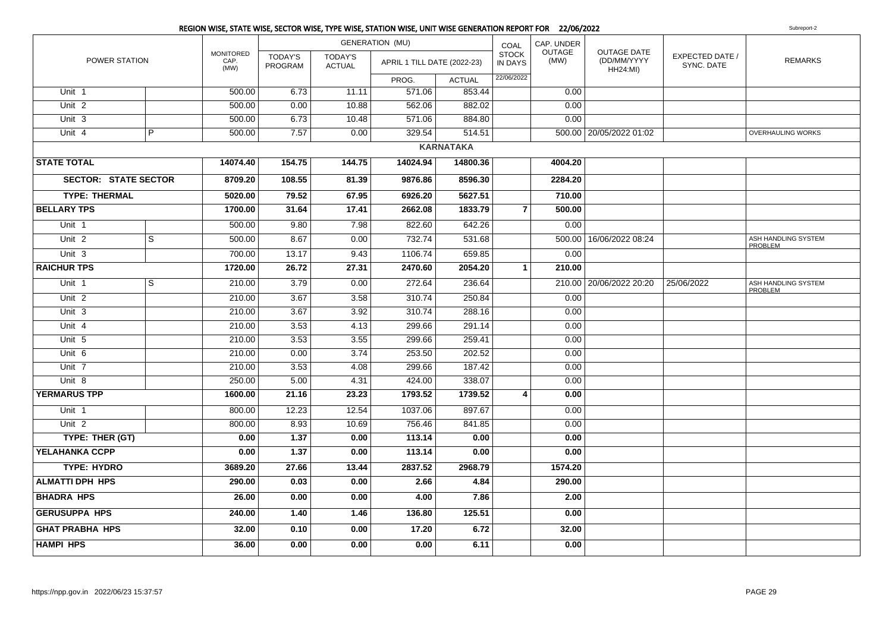|                             |                         |                                  |                           |                                 | REGION WISE, STATE WISE, SECTOR WISE, TYPE WISE, STATION WISE, UNIT WISE GENERATION REPORT FOR 22/06/2022 |                  |                                |                |                                                      |                               | Subreport-2                           |
|-----------------------------|-------------------------|----------------------------------|---------------------------|---------------------------------|-----------------------------------------------------------------------------------------------------------|------------------|--------------------------------|----------------|------------------------------------------------------|-------------------------------|---------------------------------------|
|                             |                         |                                  |                           |                                 | <b>GENERATION (MU)</b>                                                                                    |                  | COAL                           | CAP. UNDER     |                                                      |                               |                                       |
| POWER STATION               |                         | <b>MONITORED</b><br>CAP.<br>(MW) | <b>TODAY'S</b><br>PROGRAM | <b>TODAY'S</b><br><b>ACTUAL</b> | APRIL 1 TILL DATE (2022-23)                                                                               |                  | <b>STOCK</b><br><b>IN DAYS</b> | OUTAGE<br>(MW) | <b>OUTAGE DATE</b><br>(DD/MM/YYYY<br><b>HH24:MI)</b> | EXPECTED DATE /<br>SYNC. DATE | <b>REMARKS</b>                        |
|                             |                         |                                  |                           |                                 | PROG.                                                                                                     | <b>ACTUAL</b>    | 22/06/2022                     |                |                                                      |                               |                                       |
| Unit 1                      |                         | 500.00                           | 6.73                      | 11.11                           | 571.06                                                                                                    | 853.44           |                                | 0.00           |                                                      |                               |                                       |
| Unit <sub>2</sub>           |                         | 500.00                           | 0.00                      | 10.88                           | 562.06                                                                                                    | 882.02           |                                | 0.00           |                                                      |                               |                                       |
| Unit $3$                    |                         | 500.00                           | 6.73                      | 10.48                           | 571.06                                                                                                    | 884.80           |                                | 0.00           |                                                      |                               |                                       |
| Unit $4$                    | $\overline{P}$          | 500.00                           | 7.57                      | 0.00                            | 329.54                                                                                                    | 514.51           |                                |                | 500.00   20/05/2022 01:02                            |                               | <b>OVERHAULING WORKS</b>              |
|                             |                         |                                  |                           |                                 |                                                                                                           | <b>KARNATAKA</b> |                                |                |                                                      |                               |                                       |
| <b>STATE TOTAL</b>          |                         | 14074.40                         | 154.75                    | 144.75                          | 14024.94                                                                                                  | 14800.36         |                                | 4004.20        |                                                      |                               |                                       |
| <b>SECTOR: STATE SECTOR</b> |                         | 8709.20                          | 108.55                    | 81.39                           | 9876.86                                                                                                   | 8596.30          |                                | 2284.20        |                                                      |                               |                                       |
| <b>TYPE: THERMAL</b>        |                         | 5020.00                          | 79.52                     | 67.95                           | 6926.20                                                                                                   | 5627.51          |                                | 710.00         |                                                      |                               |                                       |
| <b>BELLARY TPS</b>          |                         | 1700.00                          | 31.64                     | 17.41                           | 2662.08                                                                                                   | 1833.79          | $\overline{\mathbf{z}}$        | 500.00         |                                                      |                               |                                       |
| Unit 1                      |                         | 500.00                           | 9.80                      | 7.98                            | 822.60                                                                                                    | 642.26           |                                | 0.00           |                                                      |                               |                                       |
| Unit <sub>2</sub>           | $\overline{\mathbf{s}}$ | 500.00                           | 8.67                      | 0.00                            | 732.74                                                                                                    | 531.68           |                                |                | 500.00   16/06/2022 08:24                            |                               | ASH HANDLING SYSTEM<br>PROBLEM        |
| Unit <sub>3</sub>           |                         | 700.00                           | 13.17                     | 9.43                            | 1106.74                                                                                                   | 659.85           |                                | 0.00           |                                                      |                               |                                       |
| <b>RAICHUR TPS</b>          |                         | 1720.00                          | 26.72                     | 27.31                           | 2470.60                                                                                                   | 2054.20          | 1                              | 210.00         |                                                      |                               |                                       |
| Unit 1                      | $\overline{\mathbf{s}}$ | 210.00                           | 3.79                      | 0.00                            | 272.64                                                                                                    | 236.64           |                                |                | 210.00 20/06/2022 20:20                              | 25/06/2022                    | ASH HANDLING SYSTEM<br><b>PROBLEM</b> |
| Unit <sub>2</sub>           |                         | 210.00                           | 3.67                      | 3.58                            | 310.74                                                                                                    | 250.84           |                                | 0.00           |                                                      |                               |                                       |
| Unit 3                      |                         | 210.00                           | 3.67                      | 3.92                            | 310.74                                                                                                    | 288.16           |                                | 0.00           |                                                      |                               |                                       |
| Unit 4                      |                         | 210.00                           | 3.53                      | 4.13                            | 299.66                                                                                                    | 291.14           |                                | 0.00           |                                                      |                               |                                       |
| Unit 5                      |                         | 210.00                           | 3.53                      | 3.55                            | 299.66                                                                                                    | 259.41           |                                | 0.00           |                                                      |                               |                                       |
| Unit 6                      |                         | 210.00                           | 0.00                      | 3.74                            | 253.50                                                                                                    | 202.52           |                                | 0.00           |                                                      |                               |                                       |
| Unit 7                      |                         | 210.00                           | 3.53                      | 4.08                            | 299.66                                                                                                    | 187.42           |                                | 0.00           |                                                      |                               |                                       |
| Unit 8                      |                         | 250.00                           | 5.00                      | 4.31                            | 424.00                                                                                                    | 338.07           |                                | 0.00           |                                                      |                               |                                       |
| <b>YERMARUS TPP</b>         |                         | 1600.00                          | 21.16                     | 23.23                           | 1793.52                                                                                                   | 1739.52          | 4                              | 0.00           |                                                      |                               |                                       |
| Unit 1                      |                         | 800.00                           | 12.23                     | 12.54                           | 1037.06                                                                                                   | 897.67           |                                | 0.00           |                                                      |                               |                                       |
| Unit $2$                    |                         | 800.00                           | 8.93                      | 10.69                           | 756.46                                                                                                    | 841.85           |                                | 0.00           |                                                      |                               |                                       |
| TYPE: THER (GT)             |                         | 0.00                             | 1.37                      | 0.00                            | 113.14                                                                                                    | 0.00             |                                | 0.00           |                                                      |                               |                                       |
| YELAHANKA CCPP              |                         | 0.00                             | 1.37                      | 0.00                            | 113.14                                                                                                    | 0.00             |                                | 0.00           |                                                      |                               |                                       |
| <b>TYPE: HYDRO</b>          |                         | 3689.20                          | 27.66                     | 13.44                           | 2837.52                                                                                                   | 2968.79          |                                | 1574.20        |                                                      |                               |                                       |
| <b>ALMATTI DPH HPS</b>      |                         | 290.00                           | 0.03                      | 0.00                            | 2.66                                                                                                      | 4.84             |                                | 290.00         |                                                      |                               |                                       |
| <b>BHADRA HPS</b>           |                         | 26.00                            | 0.00                      | 0.00                            | 4.00                                                                                                      | 7.86             |                                | 2.00           |                                                      |                               |                                       |
| <b>GERUSUPPA HPS</b>        |                         | 240.00                           | 1.40                      | 1.46                            | 136.80                                                                                                    | 125.51           |                                | 0.00           |                                                      |                               |                                       |
| <b>GHAT PRABHA HPS</b>      |                         | 32.00                            | 0.10                      | 0.00                            | 17.20                                                                                                     | 6.72             |                                | 32.00          |                                                      |                               |                                       |
| <b>HAMPI HPS</b>            |                         | 36.00                            | 0.00                      | 0.00                            | 0.00                                                                                                      | 6.11             |                                | 0.00           |                                                      |                               |                                       |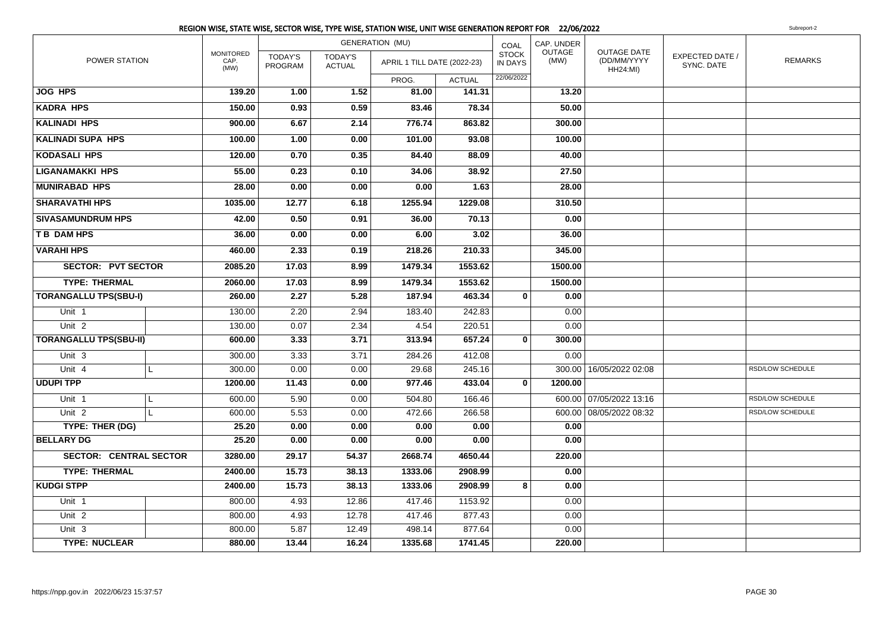|                               | REGION WISE, STATE WISE, SECTOR WISE, TYPE WISE, STATION WISE, UNIT WISE GENERATION REPORT FOR 22/06/2022 |                           |                                 |                             |               |                                |                |                                                      |                               | Subreport-2      |
|-------------------------------|-----------------------------------------------------------------------------------------------------------|---------------------------|---------------------------------|-----------------------------|---------------|--------------------------------|----------------|------------------------------------------------------|-------------------------------|------------------|
|                               |                                                                                                           |                           |                                 | <b>GENERATION (MU)</b>      |               | COAL                           | CAP. UNDER     |                                                      |                               |                  |
| POWER STATION                 | <b>MONITORED</b><br>CAP.<br>(MW)                                                                          | <b>TODAY'S</b><br>PROGRAM | <b>TODAY'S</b><br><b>ACTUAL</b> | APRIL 1 TILL DATE (2022-23) |               | <b>STOCK</b><br><b>IN DAYS</b> | OUTAGE<br>(MW) | <b>OUTAGE DATE</b><br>(DD/MM/YYYY<br><b>HH24:MI)</b> | EXPECTED DATE /<br>SYNC. DATE | <b>REMARKS</b>   |
|                               |                                                                                                           |                           |                                 | PROG.                       | <b>ACTUAL</b> | 22/06/2022                     |                |                                                      |                               |                  |
| <b>JOG HPS</b>                | 139.20                                                                                                    | 1.00                      | 1.52                            | 81.00                       | 141.31        |                                | 13.20          |                                                      |                               |                  |
| <b>KADRA HPS</b>              | 150.00                                                                                                    | 0.93                      | 0.59                            | 83.46                       | 78.34         |                                | 50.00          |                                                      |                               |                  |
| <b>KALINADI HPS</b>           | 900.00                                                                                                    | 6.67                      | 2.14                            | 776.74                      | 863.82        |                                | 300.00         |                                                      |                               |                  |
| <b>KALINADI SUPA HPS</b>      | 100.00                                                                                                    | 1.00                      | 0.00                            | 101.00                      | 93.08         |                                | 100.00         |                                                      |                               |                  |
| <b>KODASALI HPS</b>           | 120.00                                                                                                    | 0.70                      | 0.35                            | 84.40                       | 88.09         |                                | 40.00          |                                                      |                               |                  |
| <b>LIGANAMAKKI HPS</b>        | 55.00                                                                                                     | 0.23                      | 0.10                            | 34.06                       | 38.92         |                                | 27.50          |                                                      |                               |                  |
| <b>MUNIRABAD HPS</b>          | 28.00                                                                                                     | 0.00                      | 0.00                            | 0.00                        | 1.63          |                                | 28.00          |                                                      |                               |                  |
| <b>SHARAVATHI HPS</b>         | 1035.00                                                                                                   | 12.77                     | 6.18                            | 1255.94                     | 1229.08       |                                | 310.50         |                                                      |                               |                  |
| <b>SIVASAMUNDRUM HPS</b>      | 42.00                                                                                                     | 0.50                      | 0.91                            | 36.00                       | 70.13         |                                | 0.00           |                                                      |                               |                  |
| <b>TB DAM HPS</b>             | 36.00                                                                                                     | 0.00                      | 0.00                            | 6.00                        | 3.02          |                                | 36.00          |                                                      |                               |                  |
| <b>VARAHI HPS</b>             | 460.00                                                                                                    | 2.33                      | 0.19                            | 218.26                      | 210.33        |                                | 345.00         |                                                      |                               |                  |
| <b>SECTOR: PVT SECTOR</b>     | 2085.20                                                                                                   | 17.03                     | 8.99                            | 1479.34                     | 1553.62       |                                | 1500.00        |                                                      |                               |                  |
| <b>TYPE: THERMAL</b>          | 2060.00                                                                                                   | 17.03                     | 8.99                            | 1479.34                     | 1553.62       |                                | 1500.00        |                                                      |                               |                  |
| <b>TORANGALLU TPS(SBU-I)</b>  | 260.00                                                                                                    | 2.27                      | 5.28                            | 187.94                      | 463.34        | $\mathbf{0}$                   | 0.00           |                                                      |                               |                  |
| Unit 1                        | 130.00                                                                                                    | 2.20                      | 2.94                            | 183.40                      | 242.83        |                                | 0.00           |                                                      |                               |                  |
| Unit $2$                      | 130.00                                                                                                    | 0.07                      | 2.34                            | 4.54                        | 220.51        |                                | 0.00           |                                                      |                               |                  |
| <b>TORANGALLU TPS(SBU-II)</b> | 600.00                                                                                                    | 3.33                      | 3.71                            | 313.94                      | 657.24        | $\mathbf 0$                    | 300.00         |                                                      |                               |                  |
| Unit 3                        | 300.00                                                                                                    | 3.33                      | 3.71                            | 284.26                      | 412.08        |                                | 0.00           |                                                      |                               |                  |
| Unit 4<br>L                   | 300.00                                                                                                    | 0.00                      | 0.00                            | 29.68                       | 245.16        |                                |                | 300.00 16/05/2022 02:08                              |                               | RSD/LOW SCHEDULE |
| <b>UDUPI TPP</b>              | 1200.00                                                                                                   | 11.43                     | 0.00                            | 977.46                      | 433.04        | $\mathbf 0$                    | 1200.00        |                                                      |                               |                  |
| Unit 1<br>L.                  | 600.00                                                                                                    | 5.90                      | 0.00                            | 504.80                      | 166.46        |                                |                | 600.00 07/05/2022 13:16                              |                               | RSD/LOW SCHEDULE |
| Unit <sub>2</sub><br>L        | 600.00                                                                                                    | 5.53                      | 0.00                            | 472.66                      | 266.58        |                                |                | 600.00 08/05/2022 08:32                              |                               | RSD/LOW SCHEDULE |
| TYPE: THER (DG)               | 25.20                                                                                                     | 0.00                      | 0.00                            | 0.00                        | 0.00          |                                | 0.00           |                                                      |                               |                  |
| <b>BELLARY DG</b>             | 25.20                                                                                                     | 0.00                      | 0.00                            | 0.00                        | 0.00          |                                | 0.00           |                                                      |                               |                  |
| <b>SECTOR: CENTRAL SECTOR</b> | 3280.00                                                                                                   | 29.17                     | 54.37                           | 2668.74                     | 4650.44       |                                | 220.00         |                                                      |                               |                  |
| <b>TYPE: THERMAL</b>          | 2400.00                                                                                                   | 15.73                     | 38.13                           | 1333.06                     | 2908.99       |                                | 0.00           |                                                      |                               |                  |
| <b>KUDGI STPP</b>             | 2400.00                                                                                                   | 15.73                     | 38.13                           | 1333.06                     | 2908.99       | 8                              | 0.00           |                                                      |                               |                  |
| Unit 1                        | 800.00                                                                                                    | 4.93                      | 12.86                           | 417.46                      | 1153.92       |                                | 0.00           |                                                      |                               |                  |
| Unit 2                        | 800.00                                                                                                    | 4.93                      | 12.78                           | 417.46                      | 877.43        |                                | 0.00           |                                                      |                               |                  |
| Unit 3                        | 800.00                                                                                                    | 5.87                      | 12.49                           | 498.14                      | 877.64        |                                | 0.00           |                                                      |                               |                  |
| <b>TYPE: NUCLEAR</b>          | 880.00                                                                                                    | 13.44                     | 16.24                           | 1335.68                     | 1741.45       |                                | 220.00         |                                                      |                               |                  |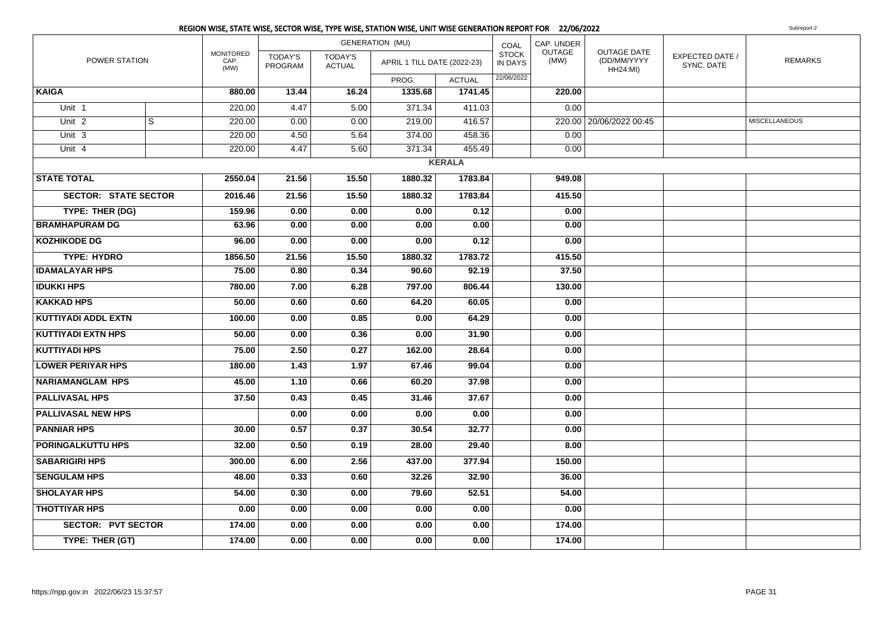POWER STATIONMONITOREDCAP. (MW)TODAY'S PROGRAMGENERATION (MU)TODAY'S ACTUALPROG. ACTUAL1741.45 COAL STOCK IN DAYSCAP. UNDEROUTAGE(MW)OUTAGE DATE (DD/MM/YYYYHH24:MI) EXPECTED DATE /SYNC. DATEAPRIL 1 TILL DATE (2022-23) IN DAYS (MW) CD/MM/YYYY  $\left| \begin{array}{cc} \text{EXERCISE 1} & \text{EXERCISE 2} \\ \text{XNIC} & \text{EXERCISE 2} \end{array} \right|$ 22/06/2022**KAIGA 880.00 13.44 16.24 1335.68 1741.45 220.00** Unit 11 220.00 | 4.47 | 5.00 | 371.34 | 411.03 | | 0.00 Unit 22 | S  $S$   $[$   $220.00$   $]$   $0.00$   $0.00$   $219.00$   $416.57$   $220.00$   $20/06/2022$   $00:45$   $miscellaneous$ Unit 33 | | 220.00 | 4.50 | 5.64 | 374.00 | 458.36 | | 0.00 Unit 44 | | 220.00 | 4.47 | 5.60 | 371.34 | 455.49 | | 0.00 **KERALASTATE TOTAL 2550.04 21.56 15.50 1880.32 1783.84 949.08 SECTOR: STATE SECTOR 2016.46 21.56 15.50 1880.32 1783.84 415.50 TYPE: THER (DG) 159.96 0.00 0.00 0.00 0.12 0.00 BRAMHAPURAM DG 63.96 0.00 0.00 0.00 0.00 0.00 KOZHIKODE DG 96.00 0.00 0.00 0.00 0.12 0.00 TYPE: HYDRO 1856.50 21.56 15.50 1880.32 1783.72 415.50 IDAMALAYAR HPS 75.00 0.80 0.34 90.60 92.19 37.50 IDUKKI HPS 780.00 7.00 6.28 797.00 806.44 130.00 KAKKAD HPS 50.00 0.60 0.60 64.20 60.05 0.00 KUTTIYADI ADDL EXTN 100.00 0.00 0.85 0.00 64.29 0.00 KUTTIYADI EXTN HPS 50.00 0.00 0.36 0.00 31.90 0.00 KUTTIYADI HPS 75.00 2.50 0.27 162.00 28.64 0.00 LOWER PERIYAR HPS 180.00 1.43 1.97 67.46 99.04 0.00 NARIAMANGLAM HPS 45.00 1.10 0.66 60.20 37.98 0.00 PALLIVASAL HPS 37.50 0.43 0.45 31.46 37.67 0.00 PALLIVASAL NEW HPS 0.00 0.00 0.00 0.00 0.00 PANNIAR HPS 30.00 0.57 0.37 30.54 32.77 0.00 PORINGALKUTTU HPS 32.00 0.50 0.19 28.00 29.40 8.00 SABARIGIRI HPS 300.00 6.00 2.56 437.00 377.94 150.00 SENGULAM HPS 48.00 0.33 0.60 32.26 32.90 36.00 SHOLAYAR HPS 54.00 0.30 0.00 79.60 52.51 54.00 THOTTIYAR HPS 0.00 0.00 0.00 0.00 0.00 0.00 SECTOR: PVT SECTOR 174.00 0.00 0.00 0.00 0.00 174.00 TYPE: THER (GT) 174.000.00 0.00 0.00 0.00 174.00**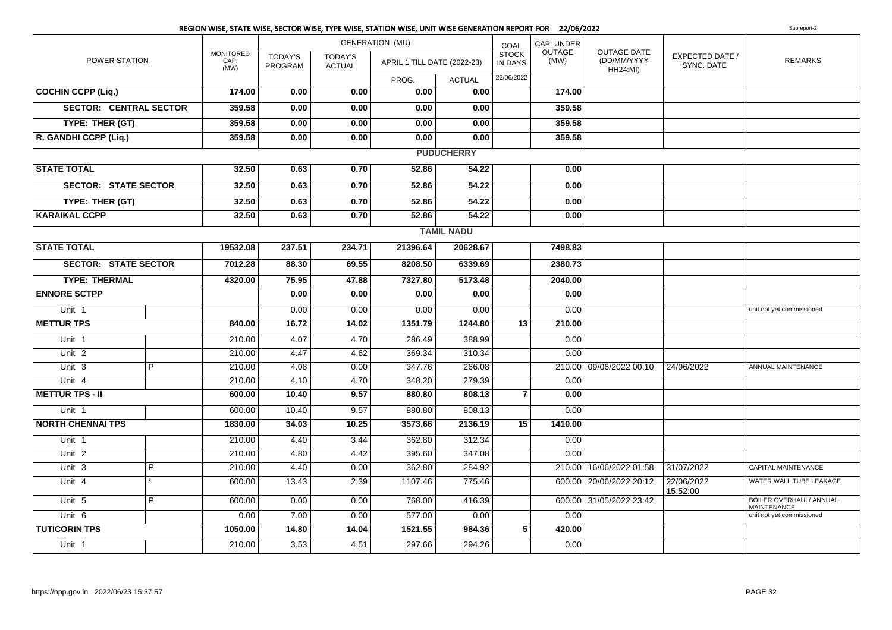|                               |                |                                  |                           |                                 | REGION WISE, STATE WISE, SECTOR WISE, TYPE WISE, STATION WISE, UNIT WISE GENERATION REPORT FOR 22/06/2022 |                   |                                |                |                                               |                               | Subreport-2                                   |
|-------------------------------|----------------|----------------------------------|---------------------------|---------------------------------|-----------------------------------------------------------------------------------------------------------|-------------------|--------------------------------|----------------|-----------------------------------------------|-------------------------------|-----------------------------------------------|
|                               |                |                                  |                           |                                 | <b>GENERATION (MU)</b>                                                                                    |                   | COAL                           | CAP. UNDER     |                                               |                               |                                               |
| POWER STATION                 |                | <b>MONITORED</b><br>CAP.<br>(MW) | <b>TODAY'S</b><br>PROGRAM | <b>TODAY'S</b><br><b>ACTUAL</b> | APRIL 1 TILL DATE (2022-23)                                                                               |                   | <b>STOCK</b><br><b>IN DAYS</b> | OUTAGE<br>(MW) | OUTAGE DATE<br>(DD/MM/YYYY<br><b>HH24:MI)</b> | EXPECTED DATE /<br>SYNC. DATE | <b>REMARKS</b>                                |
|                               |                |                                  |                           |                                 | PROG.                                                                                                     | <b>ACTUAL</b>     | 22/06/2022                     |                |                                               |                               |                                               |
| <b>COCHIN CCPP (Liq.)</b>     |                | 174.00                           | 0.00                      | 0.00                            | 0.00                                                                                                      | 0.00              |                                | 174.00         |                                               |                               |                                               |
| <b>SECTOR: CENTRAL SECTOR</b> |                | 359.58                           | 0.00                      | 0.00                            | 0.00                                                                                                      | 0.00              |                                | 359.58         |                                               |                               |                                               |
| TYPE: THER (GT)               |                | 359.58                           | 0.00                      | 0.00                            | 0.00                                                                                                      | 0.00              |                                | 359.58         |                                               |                               |                                               |
| R. GANDHI CCPP (Liq.)         |                | 359.58                           | 0.00                      | 0.00                            | 0.00                                                                                                      | 0.00              |                                | 359.58         |                                               |                               |                                               |
|                               |                |                                  |                           |                                 |                                                                                                           | <b>PUDUCHERRY</b> |                                |                |                                               |                               |                                               |
| <b>STATE TOTAL</b>            |                | 32.50                            | 0.63                      | 0.70                            | 52.86                                                                                                     | 54.22             |                                | 0.00           |                                               |                               |                                               |
| <b>SECTOR: STATE SECTOR</b>   |                | 32.50                            | 0.63                      | 0.70                            | 52.86                                                                                                     | 54.22             |                                | 0.00           |                                               |                               |                                               |
| TYPE: THER (GT)               |                | 32.50                            | 0.63                      | 0.70                            | 52.86                                                                                                     | 54.22             |                                | 0.00           |                                               |                               |                                               |
| <b>KARAIKAL CCPP</b>          |                | 32.50                            | 0.63                      | 0.70                            | 52.86                                                                                                     | 54.22             |                                | 0.00           |                                               |                               |                                               |
|                               |                |                                  |                           |                                 |                                                                                                           | <b>TAMIL NADU</b> |                                |                |                                               |                               |                                               |
| <b>STATE TOTAL</b>            |                | 19532.08                         | 237.51                    | 234.71                          | 21396.64                                                                                                  | 20628.67          |                                | 7498.83        |                                               |                               |                                               |
| <b>SECTOR: STATE SECTOR</b>   |                | 7012.28                          | 88.30                     | 69.55                           | 8208.50                                                                                                   | 6339.69           |                                | 2380.73        |                                               |                               |                                               |
| <b>TYPE: THERMAL</b>          |                | 4320.00                          | 75.95                     | 47.88                           | 7327.80                                                                                                   | 5173.48           |                                | 2040.00        |                                               |                               |                                               |
| <b>ENNORE SCTPP</b>           |                |                                  | 0.00                      | 0.00                            | 0.00                                                                                                      | 0.00              |                                | 0.00           |                                               |                               |                                               |
| Unit 1                        |                |                                  | 0.00                      | 0.00                            | 0.00                                                                                                      | 0.00              |                                | 0.00           |                                               |                               | unit not yet commissioned                     |
| <b>METTUR TPS</b>             |                | 840.00                           | 16.72                     | 14.02                           | 1351.79                                                                                                   | 1244.80           | 13                             | 210.00         |                                               |                               |                                               |
| Unit 1                        |                | 210.00                           | 4.07                      | 4.70                            | 286.49                                                                                                    | 388.99            |                                | 0.00           |                                               |                               |                                               |
| Unit <sub>2</sub>             |                | 210.00                           | 4.47                      | 4.62                            | 369.34                                                                                                    | 310.34            |                                | 0.00           |                                               |                               |                                               |
| Unit $3$                      | $\overline{P}$ | 210.00                           | 4.08                      | 0.00                            | 347.76                                                                                                    | 266.08            |                                |                | 210.00 09/06/2022 00:10                       | 24/06/2022                    | ANNUAL MAINTENANCE                            |
| Unit 4                        |                | 210.00                           | 4.10                      | 4.70                            | 348.20                                                                                                    | 279.39            |                                | 0.00           |                                               |                               |                                               |
| <b>METTUR TPS - II</b>        |                | 600.00                           | 10.40                     | 9.57                            | 880.80                                                                                                    | 808.13            | $\overline{7}$                 | 0.00           |                                               |                               |                                               |
| Unit 1                        |                | 600.00                           | 10.40                     | 9.57                            | 880.80                                                                                                    | 808.13            |                                | 0.00           |                                               |                               |                                               |
| <b>NORTH CHENNAI TPS</b>      |                | 1830.00                          | 34.03                     | 10.25                           | 3573.66                                                                                                   | 2136.19           | 15                             | 1410.00        |                                               |                               |                                               |
| Unit 1                        |                | 210.00                           | 4.40                      | 3.44                            | 362.80                                                                                                    | 312.34            |                                | 0.00           |                                               |                               |                                               |
| Unit <sub>2</sub>             |                | 210.00                           | 4.80                      | 4.42                            | 395.60                                                                                                    | 347.08            |                                | 0.00           |                                               |                               |                                               |
| Unit 3                        | $\overline{P}$ | 210.00                           | 4.40                      | 0.00                            | 362.80                                                                                                    | 284.92            |                                |                | 210.00   16/06/2022 01:58                     | 31/07/2022                    | CAPITAL MAINTENANCE                           |
| Unit 4                        |                | 600.00                           | 13.43                     | 2.39                            | 1107.46                                                                                                   | 775.46            |                                |                | 600.00   20/06/2022 20:12                     | 22/06/2022<br>15:52:00        | WATER WALL TUBE LEAKAGE                       |
| Unit 5                        | $\overline{P}$ | 600.00                           | 0.00                      | 0.00                            | 768.00                                                                                                    | 416.39            |                                |                | 600.00 31/05/2022 23:42                       |                               | BOILER OVERHAUL/ ANNUAL<br><b>MAINTENANCE</b> |
| Unit 6                        |                | 0.00                             | 7.00                      | 0.00                            | 577.00                                                                                                    | 0.00              |                                | 0.00           |                                               |                               | unit not yet commissioned                     |
| <b>TUTICORIN TPS</b>          |                | 1050.00                          | 14.80                     | 14.04                           | 1521.55                                                                                                   | 984.36            | 5                              | 420.00         |                                               |                               |                                               |
| Unit 1                        |                | 210.00                           | 3.53                      | 4.51                            | 297.66                                                                                                    | 294.26            |                                | 0.00           |                                               |                               |                                               |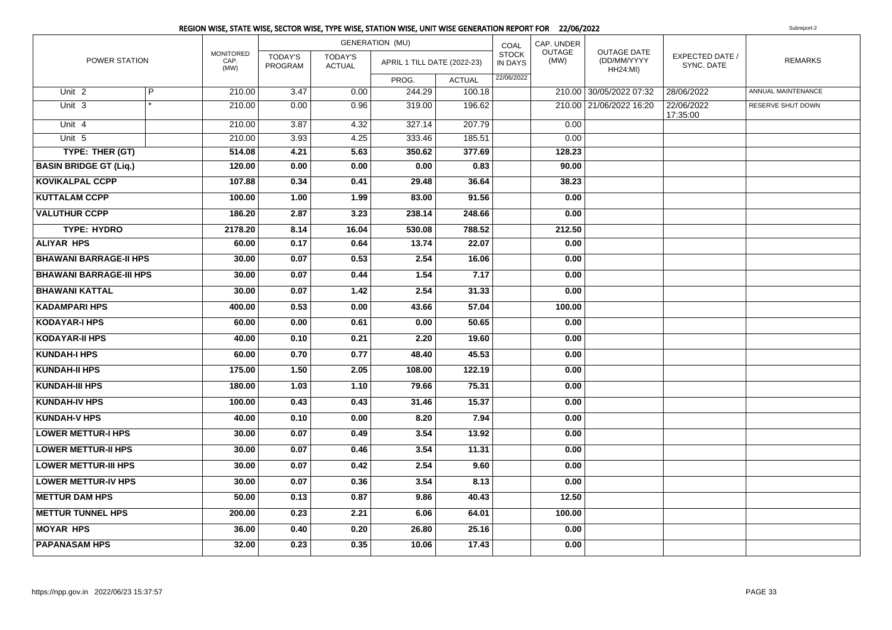|                                |   |                                  |                           |                                 | REGION WISE, STATE WISE, SECTOR WISE, TYPE WISE, STATION WISE, UNIT WISE GENERATION REPORT FOR 22/06/2022 |               |                                |                |                                        |                               | Subreport-2        |
|--------------------------------|---|----------------------------------|---------------------------|---------------------------------|-----------------------------------------------------------------------------------------------------------|---------------|--------------------------------|----------------|----------------------------------------|-------------------------------|--------------------|
|                                |   |                                  |                           |                                 | <b>GENERATION (MU)</b>                                                                                    |               | COAL                           | CAP. UNDER     |                                        |                               |                    |
| POWER STATION                  |   | <b>MONITORED</b><br>CAP.<br>(MW) | <b>TODAY'S</b><br>PROGRAM | <b>TODAY'S</b><br><b>ACTUAL</b> | APRIL 1 TILL DATE (2022-23)                                                                               |               | <b>STOCK</b><br><b>IN DAYS</b> | OUTAGE<br>(MW) | OUTAGE DATE<br>(DD/MM/YYYY<br>HH24:MI) | EXPECTED DATE /<br>SYNC. DATE | <b>REMARKS</b>     |
|                                |   |                                  |                           |                                 | PROG.                                                                                                     | <b>ACTUAL</b> | 22/06/2022                     |                |                                        |                               |                    |
| Unit <sub>2</sub>              | P | 210.00                           | 3.47                      | 0.00                            | 244.29                                                                                                    | 100.18        |                                |                | 210.00 30/05/2022 07:32                | 28/06/2022                    | ANNUAL MAINTENANCE |
| Unit 3                         |   | 210.00                           | 0.00                      | 0.96                            | 319.00                                                                                                    | 196.62        |                                |                | 210.00 21/06/2022 16:20                | 22/06/2022<br>17:35:00        | RESERVE SHUT DOWN  |
| Unit 4                         |   | 210.00                           | 3.87                      | 4.32                            | 327.14                                                                                                    | 207.79        |                                | 0.00           |                                        |                               |                    |
| Unit 5                         |   | 210.00                           | 3.93                      | 4.25                            | 333.46                                                                                                    | 185.51        |                                | 0.00           |                                        |                               |                    |
| TYPE: THER (GT)                |   | 514.08                           | 4.21                      | 5.63                            | 350.62                                                                                                    | 377.69        |                                | 128.23         |                                        |                               |                    |
| <b>BASIN BRIDGE GT (Liq.)</b>  |   | 120.00                           | 0.00                      | 0.00                            | 0.00                                                                                                      | 0.83          |                                | 90.00          |                                        |                               |                    |
| <b>KOVIKALPAL CCPP</b>         |   | 107.88                           | 0.34                      | 0.41                            | 29.48                                                                                                     | 36.64         |                                | 38.23          |                                        |                               |                    |
| <b>KUTTALAM CCPP</b>           |   | 100.00                           | 1.00                      | 1.99                            | 83.00                                                                                                     | 91.56         |                                | 0.00           |                                        |                               |                    |
| <b>VALUTHUR CCPP</b>           |   | 186.20                           | 2.87                      | 3.23                            | 238.14                                                                                                    | 248.66        |                                | 0.00           |                                        |                               |                    |
| <b>TYPE: HYDRO</b>             |   | 2178.20                          | 8.14                      | 16.04                           | 530.08                                                                                                    | 788.52        |                                | 212.50         |                                        |                               |                    |
| <b>ALIYAR HPS</b>              |   | 60.00                            | 0.17                      | 0.64                            | 13.74                                                                                                     | 22.07         |                                | 0.00           |                                        |                               |                    |
| <b>BHAWANI BARRAGE-II HPS</b>  |   | 30.00                            | 0.07                      | 0.53                            | 2.54                                                                                                      | 16.06         |                                | 0.00           |                                        |                               |                    |
| <b>BHAWANI BARRAGE-III HPS</b> |   | 30.00                            | 0.07                      | 0.44                            | 1.54                                                                                                      | 7.17          |                                | 0.00           |                                        |                               |                    |
| <b>BHAWANI KATTAL</b>          |   | 30.00                            | 0.07                      | 1.42                            | 2.54                                                                                                      | 31.33         |                                | 0.00           |                                        |                               |                    |
| <b>KADAMPARI HPS</b>           |   | 400.00                           | 0.53                      | 0.00                            | 43.66                                                                                                     | 57.04         |                                | 100.00         |                                        |                               |                    |
| <b>KODAYAR-I HPS</b>           |   | 60.00                            | 0.00                      | 0.61                            | 0.00                                                                                                      | 50.65         |                                | 0.00           |                                        |                               |                    |
| <b>KODAYAR-II HPS</b>          |   | 40.00                            | 0.10                      | 0.21                            | 2.20                                                                                                      | 19.60         |                                | 0.00           |                                        |                               |                    |
| <b>KUNDAH-I HPS</b>            |   | 60.00                            | 0.70                      | 0.77                            | 48.40                                                                                                     | 45.53         |                                | 0.00           |                                        |                               |                    |
| <b>KUNDAH-II HPS</b>           |   | 175.00                           | 1.50                      | 2.05                            | 108.00                                                                                                    | 122.19        |                                | 0.00           |                                        |                               |                    |
| <b>KUNDAH-III HPS</b>          |   | 180.00                           | 1.03                      | 1.10                            | 79.66                                                                                                     | 75.31         |                                | 0.00           |                                        |                               |                    |
| <b>KUNDAH-IV HPS</b>           |   | 100.00                           | 0.43                      | 0.43                            | 31.46                                                                                                     | 15.37         |                                | 0.00           |                                        |                               |                    |
| <b>KUNDAH-V HPS</b>            |   | 40.00                            | 0.10                      | 0.00                            | 8.20                                                                                                      | 7.94          |                                | 0.00           |                                        |                               |                    |
| <b>LOWER METTUR-I HPS</b>      |   | 30.00                            | 0.07                      | 0.49                            | 3.54                                                                                                      | 13.92         |                                | 0.00           |                                        |                               |                    |
| <b>LOWER METTUR-II HPS</b>     |   | 30.00                            | 0.07                      | 0.46                            | 3.54                                                                                                      | 11.31         |                                | 0.00           |                                        |                               |                    |
| <b>LOWER METTUR-III HPS</b>    |   | 30.00                            | 0.07                      | 0.42                            | 2.54                                                                                                      | 9.60          |                                | 0.00           |                                        |                               |                    |
| <b>LOWER METTUR-IV HPS</b>     |   | 30.00                            | 0.07                      | 0.36                            | 3.54                                                                                                      | 8.13          |                                | 0.00           |                                        |                               |                    |
| <b>METTUR DAM HPS</b>          |   | 50.00                            | 0.13                      | 0.87                            | 9.86                                                                                                      | 40.43         |                                | 12.50          |                                        |                               |                    |
| <b>METTUR TUNNEL HPS</b>       |   | 200.00                           | 0.23                      | 2.21                            | 6.06                                                                                                      | 64.01         |                                | 100.00         |                                        |                               |                    |
| <b>MOYAR HPS</b>               |   | 36.00                            | 0.40                      | 0.20                            | 26.80                                                                                                     | 25.16         |                                | 0.00           |                                        |                               |                    |
| <b>PAPANASAM HPS</b>           |   | 32.00                            | 0.23                      | 0.35                            | 10.06                                                                                                     | 17.43         |                                | 0.00           |                                        |                               |                    |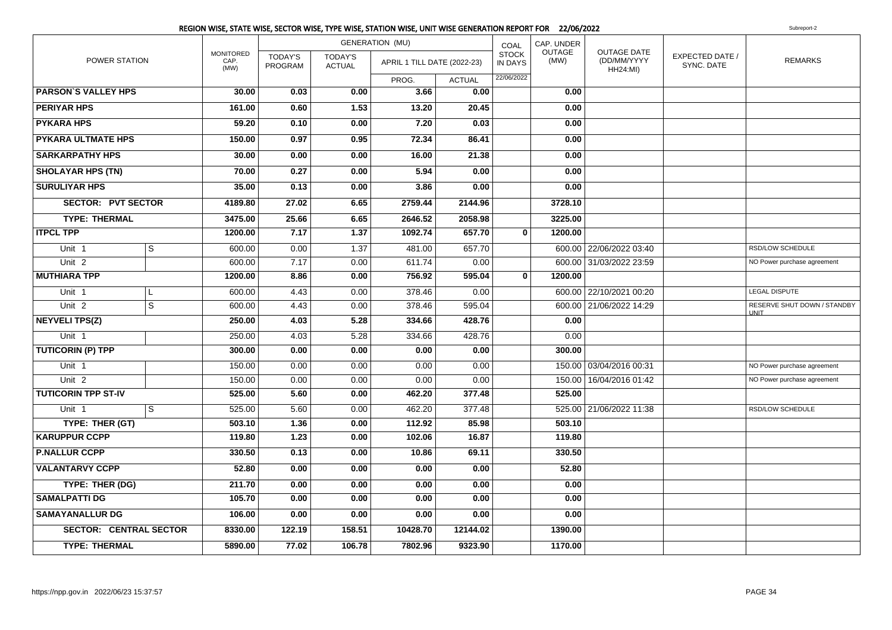|                               |                |                                  |                           |                                 | REGION WISE, STATE WISE, SECTOR WISE, TYPE WISE, STATION WISE, UNIT WISE GENERATION REPORT FOR 22/06/2022 |               |                                |                       |                                                      |                               | Subreport-2                                |
|-------------------------------|----------------|----------------------------------|---------------------------|---------------------------------|-----------------------------------------------------------------------------------------------------------|---------------|--------------------------------|-----------------------|------------------------------------------------------|-------------------------------|--------------------------------------------|
|                               |                |                                  |                           |                                 | <b>GENERATION (MU)</b>                                                                                    |               | COAL                           | CAP. UNDER            |                                                      |                               |                                            |
| POWER STATION                 |                | <b>MONITORED</b><br>CAP.<br>(MW) | <b>TODAY'S</b><br>PROGRAM | <b>TODAY'S</b><br><b>ACTUAL</b> | APRIL 1 TILL DATE (2022-23)                                                                               |               | <b>STOCK</b><br><b>IN DAYS</b> | <b>OUTAGE</b><br>(MW) | <b>OUTAGE DATE</b><br>(DD/MM/YYYY<br><b>HH24:MI)</b> | EXPECTED DATE /<br>SYNC. DATE | <b>REMARKS</b>                             |
|                               |                |                                  |                           |                                 | PROG.                                                                                                     | <b>ACTUAL</b> | 22/06/2022                     |                       |                                                      |                               |                                            |
| <b>PARSON'S VALLEY HPS</b>    |                | 30.00                            | 0.03                      | 0.00                            | 3.66                                                                                                      | 0.00          |                                | 0.00                  |                                                      |                               |                                            |
| <b>PERIYAR HPS</b>            |                | 161.00                           | 0.60                      | 1.53                            | 13.20                                                                                                     | 20.45         |                                | 0.00                  |                                                      |                               |                                            |
| <b>PYKARA HPS</b>             |                | 59.20                            | 0.10                      | 0.00                            | 7.20                                                                                                      | 0.03          |                                | 0.00                  |                                                      |                               |                                            |
| <b>PYKARA ULTMATE HPS</b>     |                | 150.00                           | 0.97                      | 0.95                            | 72.34                                                                                                     | 86.41         |                                | 0.00                  |                                                      |                               |                                            |
| <b>SARKARPATHY HPS</b>        |                | 30.00                            | 0.00                      | 0.00                            | 16.00                                                                                                     | 21.38         |                                | 0.00                  |                                                      |                               |                                            |
| <b>SHOLAYAR HPS (TN)</b>      |                | 70.00                            | 0.27                      | 0.00                            | 5.94                                                                                                      | 0.00          |                                | 0.00                  |                                                      |                               |                                            |
| <b>SURULIYAR HPS</b>          |                | 35.00                            | 0.13                      | 0.00                            | 3.86                                                                                                      | 0.00          |                                | 0.00                  |                                                      |                               |                                            |
| <b>SECTOR: PVT SECTOR</b>     |                | 4189.80                          | 27.02                     | 6.65                            | 2759.44                                                                                                   | 2144.96       |                                | 3728.10               |                                                      |                               |                                            |
| <b>TYPE: THERMAL</b>          |                | 3475.00                          | 25.66                     | 6.65                            | 2646.52                                                                                                   | 2058.98       |                                | 3225.00               |                                                      |                               |                                            |
| <b>ITPCL TPP</b>              |                | 1200.00                          | 7.17                      | 1.37                            | 1092.74                                                                                                   | 657.70        | $\mathbf{0}$                   | 1200.00               |                                                      |                               |                                            |
| Unit 1                        | $\mathsf{s}$   | 600.00                           | 0.00                      | 1.37                            | 481.00                                                                                                    | 657.70        |                                |                       | 600.00 22/06/2022 03:40                              |                               | RSD/LOW SCHEDULE                           |
| Unit $2$                      |                | 600.00                           | 7.17                      | 0.00                            | 611.74                                                                                                    | 0.00          |                                |                       | 600.00 31/03/2022 23:59                              |                               | NO Power purchase agreement                |
| <b>MUTHIARA TPP</b>           |                | 1200.00                          | 8.86                      | 0.00                            | 756.92                                                                                                    | 595.04        | $\mathbf{0}$                   | 1200.00               |                                                      |                               |                                            |
| Unit 1                        | L              | 600.00                           | 4.43                      | 0.00                            | 378.46                                                                                                    | 0.00          |                                |                       | 600.00 22/10/2021 00:20                              |                               | <b>LEGAL DISPUTE</b>                       |
| Unit <sub>2</sub>             | $\overline{s}$ | 600.00                           | 4.43                      | 0.00                            | 378.46                                                                                                    | 595.04        |                                |                       | 600.00 21/06/2022 14:29                              |                               | RESERVE SHUT DOWN / STANDBY<br><b>UNIT</b> |
| <b>NEYVELI TPS(Z)</b>         |                | 250.00                           | 4.03                      | 5.28                            | 334.66                                                                                                    | 428.76        |                                | 0.00                  |                                                      |                               |                                            |
| Unit 1                        |                | 250.00                           | 4.03                      | 5.28                            | 334.66                                                                                                    | 428.76        |                                | 0.00                  |                                                      |                               |                                            |
| <b>TUTICORIN (P) TPP</b>      |                | 300.00                           | 0.00                      | 0.00                            | 0.00                                                                                                      | 0.00          |                                | 300.00                |                                                      |                               |                                            |
| Unit 1                        |                | 150.00                           | 0.00                      | 0.00                            | 0.00                                                                                                      | 0.00          |                                |                       | 150.00 03/04/2016 00:31                              |                               | NO Power purchase agreement                |
| Unit <sub>2</sub>             |                | 150.00                           | 0.00                      | 0.00                            | 0.00                                                                                                      | 0.00          |                                |                       | 150.00   16/04/2016 01:42                            |                               | NO Power purchase agreement                |
| <b>TUTICORIN TPP ST-IV</b>    |                | 525.00                           | 5.60                      | 0.00                            | 462.20                                                                                                    | 377.48        |                                | 525.00                |                                                      |                               |                                            |
| Unit 1                        | S              | 525.00                           | 5.60                      | 0.00                            | 462.20                                                                                                    | 377.48        |                                |                       | 525.00 21/06/2022 11:38                              |                               | RSD/LOW SCHEDULE                           |
| TYPE: THER (GT)               |                | 503.10                           | 1.36                      | 0.00                            | 112.92                                                                                                    | 85.98         |                                | 503.10                |                                                      |                               |                                            |
| <b>KARUPPUR CCPP</b>          |                | 119.80                           | 1.23                      | 0.00                            | 102.06                                                                                                    | 16.87         |                                | 119.80                |                                                      |                               |                                            |
| <b>P.NALLUR CCPP</b>          |                | 330.50                           | 0.13                      | 0.00                            | 10.86                                                                                                     | 69.11         |                                | 330.50                |                                                      |                               |                                            |
| <b>VALANTARVY CCPP</b>        |                | 52.80                            | 0.00                      | 0.00                            | 0.00                                                                                                      | 0.00          |                                | 52.80                 |                                                      |                               |                                            |
| TYPE: THER (DG)               |                | 211.70                           | 0.00                      | 0.00                            | 0.00                                                                                                      | 0.00          |                                | 0.00                  |                                                      |                               |                                            |
| <b>SAMALPATTI DG</b>          |                | 105.70                           | 0.00                      | 0.00                            | 0.00                                                                                                      | 0.00          |                                | 0.00                  |                                                      |                               |                                            |
| <b>SAMAYANALLUR DG</b>        |                | 106.00                           | 0.00                      | 0.00                            | 0.00                                                                                                      | 0.00          |                                | 0.00                  |                                                      |                               |                                            |
| <b>SECTOR: CENTRAL SECTOR</b> |                | 8330.00                          | 122.19                    | 158.51                          | 10428.70                                                                                                  | 12144.02      |                                | 1390.00               |                                                      |                               |                                            |
| <b>TYPE: THERMAL</b>          |                | 5890.00                          | 77.02                     | 106.78                          | 7802.96                                                                                                   | 9323.90       |                                | 1170.00               |                                                      |                               |                                            |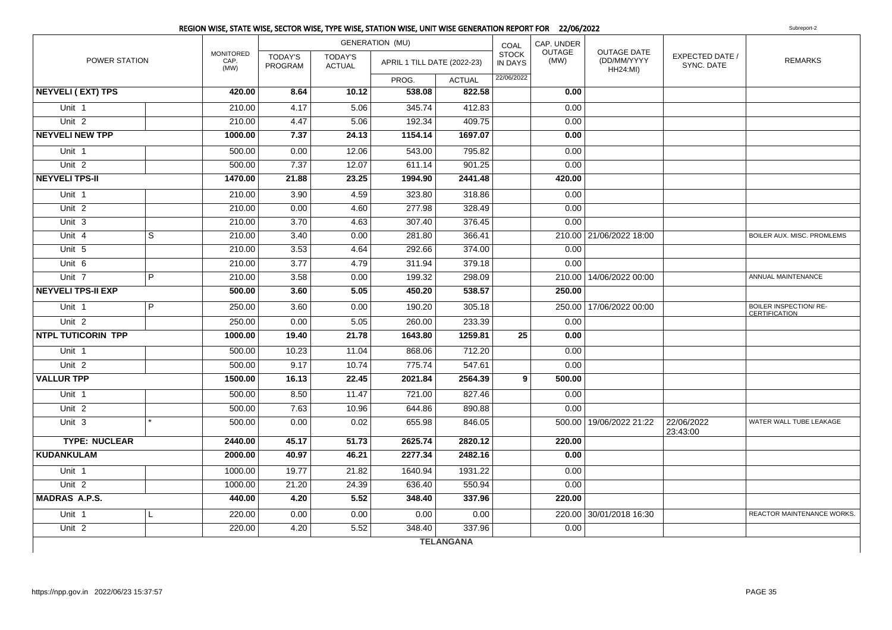| POWER STATION             |                |                                  |                           | <b>GENERATION (MU)</b>          |                             |               | CAP. UNDER<br>COAL<br>OUTAGE   |        |                                                      |                                      |                                                       |
|---------------------------|----------------|----------------------------------|---------------------------|---------------------------------|-----------------------------|---------------|--------------------------------|--------|------------------------------------------------------|--------------------------------------|-------------------------------------------------------|
|                           |                | <b>MONITORED</b><br>CAP.<br>(MW) | <b>TODAY'S</b><br>PROGRAM | <b>TODAY'S</b><br><b>ACTUAL</b> | APRIL 1 TILL DATE (2022-23) |               | <b>STOCK</b><br><b>IN DAYS</b> | (MW)   | <b>OUTAGE DATE</b><br>(DD/MM/YYYY<br><b>HH24:MI)</b> | <b>EXPECTED DATE /</b><br>SYNC, DATE | <b>REMARKS</b>                                        |
|                           |                |                                  |                           |                                 | PROG.                       | <b>ACTUAL</b> | 22/06/2022                     |        |                                                      |                                      |                                                       |
| <b>NEYVELI (EXT) TPS</b>  |                | 420.00                           | 8.64                      | 10.12                           | 538.08                      | 822.58        |                                | 0.00   |                                                      |                                      |                                                       |
| Unit 1                    |                | 210.00                           | 4.17                      | 5.06                            | 345.74                      | 412.83        |                                | 0.00   |                                                      |                                      |                                                       |
| Unit <sub>2</sub>         |                | 210.00                           | 4.47                      | 5.06                            | 192.34                      | 409.75        |                                | 0.00   |                                                      |                                      |                                                       |
| <b>NEYVELI NEW TPP</b>    |                | 1000.00                          | 7.37                      | 24.13                           | 1154.14                     | 1697.07       |                                | 0.00   |                                                      |                                      |                                                       |
| Unit 1                    |                | 500.00                           | 0.00                      | 12.06                           | 543.00                      | 795.82        |                                | 0.00   |                                                      |                                      |                                                       |
| Unit <sub>2</sub>         |                | 500.00                           | 7.37                      | 12.07                           | 611.14                      | 901.25        |                                | 0.00   |                                                      |                                      |                                                       |
| <b>NEYVELI TPS-II</b>     |                | 1470.00                          | 21.88                     | 23.25                           | 1994.90                     | 2441.48       |                                | 420.00 |                                                      |                                      |                                                       |
| Unit 1                    |                | 210.00                           | 3.90                      | 4.59                            | 323.80                      | 318.86        |                                | 0.00   |                                                      |                                      |                                                       |
| Unit <sub>2</sub>         |                | 210.00                           | 0.00                      | 4.60                            | 277.98                      | 328.49        |                                | 0.00   |                                                      |                                      |                                                       |
| Unit 3                    |                | 210.00                           | 3.70                      | 4.63                            | 307.40                      | 376.45        |                                | 0.00   |                                                      |                                      |                                                       |
| Unit 4                    | $\overline{s}$ | 210.00                           | 3.40                      | 0.00                            | 281.80                      | 366.41        |                                |        | 210.00 21/06/2022 18:00                              |                                      | BOILER AUX. MISC. PROMLEMS                            |
| Unit 5                    |                | 210.00                           | 3.53                      | 4.64                            | 292.66                      | 374.00        |                                | 0.00   |                                                      |                                      |                                                       |
| Unit 6                    |                | 210.00                           | 3.77                      | 4.79                            | 311.94                      | 379.18        |                                | 0.00   |                                                      |                                      |                                                       |
| Unit 7                    | P              | 210.00                           | 3.58                      | 0.00                            | 199.32                      | 298.09        |                                |        | 210.00   14/06/2022 00:00                            |                                      | ANNUAL MAINTENANCE                                    |
| <b>NEYVELI TPS-II EXP</b> |                | 500.00                           | 3.60                      | 5.05                            | 450.20                      | 538.57        |                                | 250.00 |                                                      |                                      |                                                       |
| Unit 1                    | P              | 250.00                           | 3.60                      | 0.00                            | 190.20                      | 305.18        |                                |        | 250.00 17/06/2022 00:00                              |                                      | <b>BOILER INSPECTION/ RE-</b><br><b>CERTIFICATION</b> |
| Unit <sub>2</sub>         |                | 250.00                           | 0.00                      | 5.05                            | 260.00                      | 233.39        |                                | 0.00   |                                                      |                                      |                                                       |
| <b>NTPL TUTICORIN TPP</b> |                | 1000.00                          | 19.40                     | 21.78                           | 1643.80                     | 1259.81       | 25                             | 0.00   |                                                      |                                      |                                                       |
| Unit 1                    |                | 500.00                           | 10.23                     | 11.04                           | 868.06                      | 712.20        |                                | 0.00   |                                                      |                                      |                                                       |
| Unit <sub>2</sub>         |                | 500.00                           | 9.17                      | 10.74                           | 775.74                      | 547.61        |                                | 0.00   |                                                      |                                      |                                                       |
| <b>VALLUR TPP</b>         |                | 1500.00                          | 16.13                     | 22.45                           | 2021.84                     | 2564.39       | 9 <sup>1</sup>                 | 500.00 |                                                      |                                      |                                                       |
| Unit 1                    |                | 500.00                           | 8.50                      | 11.47                           | 721.00                      | 827.46        |                                | 0.00   |                                                      |                                      |                                                       |
| Unit <sub>2</sub>         |                | 500.00                           | 7.63                      | 10.96                           | 644.86                      | 890.88        |                                | 0.00   |                                                      |                                      |                                                       |
| Unit 3                    |                | 500.00                           | 0.00                      | 0.02                            | 655.98                      | 846.05        |                                |        | 500.00   19/06/2022 21:22                            | 22/06/2022<br>23:43:00               | WATER WALL TUBE LEAKAGE                               |
| <b>TYPE: NUCLEAR</b>      |                | 2440.00                          | 45.17                     | 51.73                           | 2625.74                     | 2820.12       |                                | 220.00 |                                                      |                                      |                                                       |
| <b>KUDANKULAM</b>         |                | 2000.00                          | 40.97                     | 46.21                           | 2277.34                     | 2482.16       |                                | 0.00   |                                                      |                                      |                                                       |
| Unit 1                    |                | 1000.00                          | 19.77                     | 21.82                           | 1640.94                     | 1931.22       |                                | 0.00   |                                                      |                                      |                                                       |
| Unit 2                    |                | 1000.00                          | 21.20                     | 24.39                           | 636.40                      | 550.94        |                                | 0.00   |                                                      |                                      |                                                       |
| <b>MADRAS A.P.S.</b>      |                | 440.00                           | 4.20                      | 5.52                            | 348.40                      | 337.96        |                                | 220.00 |                                                      |                                      |                                                       |
| Unit 1                    | L              | 220.00                           | 0.00                      | 0.00                            | 0.00                        | 0.00          |                                |        | 220.00 30/01/2018 16:30                              |                                      | REACTOR MAINTENANCE WORKS.                            |
| Unit <sub>2</sub>         |                | 220.00                           | 4.20                      | 5.52                            | 348.40                      | 337.96        |                                | 0.00   |                                                      |                                      |                                                       |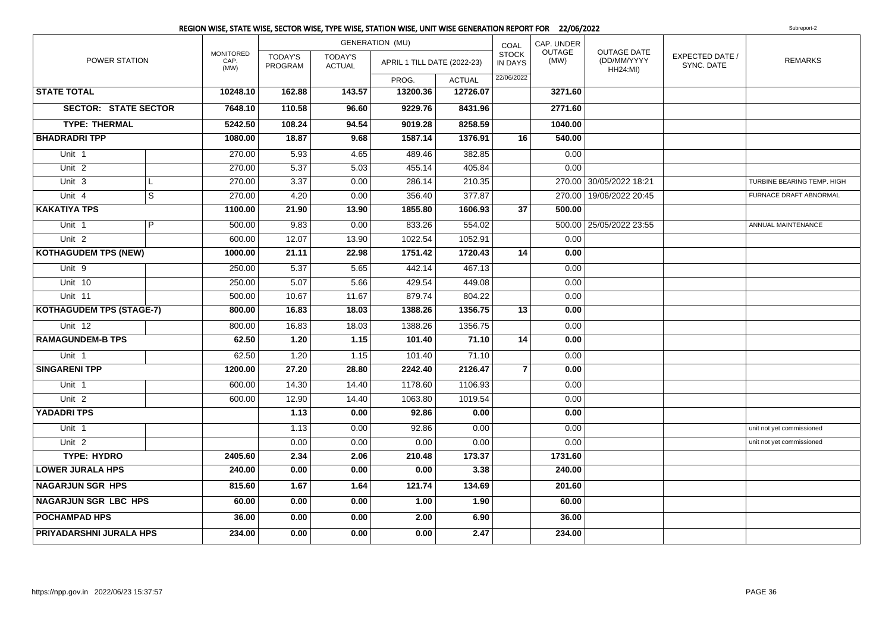|                                 |                |                                  | <b>GENERATION (MU)</b>    |                          |                             |               |                                | CAP. UNDER     |                                                      |                               |                            |
|---------------------------------|----------------|----------------------------------|---------------------------|--------------------------|-----------------------------|---------------|--------------------------------|----------------|------------------------------------------------------|-------------------------------|----------------------------|
| POWER STATION                   |                | <b>MONITORED</b><br>CAP.<br>(MW) | <b>TODAY'S</b><br>PROGRAM | TODAY'S<br><b>ACTUAL</b> | APRIL 1 TILL DATE (2022-23) |               | <b>STOCK</b><br><b>IN DAYS</b> | OUTAGE<br>(MW) | <b>OUTAGE DATE</b><br>(DD/MM/YYYY<br><b>HH24:MI)</b> | EXPECTED DATE /<br>SYNC. DATE | <b>REMARKS</b>             |
|                                 |                |                                  |                           |                          | PROG.                       | <b>ACTUAL</b> | 22/06/2022                     |                |                                                      |                               |                            |
| <b>STATE TOTAL</b>              |                | 10248.10                         | 162.88                    | 143.57                   | 13200.36                    | 12726.07      |                                | 3271.60        |                                                      |                               |                            |
| <b>SECTOR: STATE SECTOR</b>     |                | 7648.10                          | 110.58                    | 96.60                    | 9229.76                     | 8431.96       |                                | 2771.60        |                                                      |                               |                            |
| <b>TYPE: THERMAL</b>            |                | 5242.50                          | 108.24                    | 94.54                    | 9019.28                     | 8258.59       |                                | 1040.00        |                                                      |                               |                            |
| <b>BHADRADRITPP</b>             |                | 1080.00                          | 18.87                     | 9.68                     | 1587.14                     | 1376.91       | 16                             | 540.00         |                                                      |                               |                            |
| Unit 1                          |                | 270.00                           | 5.93                      | 4.65                     | 489.46                      | 382.85        |                                | 0.00           |                                                      |                               |                            |
| Unit <sub>2</sub>               |                | 270.00                           | 5.37                      | 5.03                     | 455.14                      | 405.84        |                                | 0.00           |                                                      |                               |                            |
| Unit <sub>3</sub>               | $\mathbf{L}$   | 270.00                           | 3.37                      | 0.00                     | 286.14                      | 210.35        |                                |                | 270.00 30/05/2022 18:21                              |                               | TURBINE BEARING TEMP. HIGH |
| Unit $4$                        | $\overline{s}$ | 270.00                           | 4.20                      | 0.00                     | 356.40                      | 377.87        |                                |                | 270.00 19/06/2022 20:45                              |                               | FURNACE DRAFT ABNORMAL     |
| <b>KAKATIYA TPS</b>             |                | 1100.00                          | 21.90                     | 13.90                    | 1855.80                     | 1606.93       | 37                             | 500.00         |                                                      |                               |                            |
| Unit 1                          | P              | 500.00                           | 9.83                      | 0.00                     | 833.26                      | 554.02        |                                |                | 500.00 25/05/2022 23:55                              |                               | ANNUAL MAINTENANCE         |
| Unit <sub>2</sub>               |                | 600.00                           | 12.07                     | 13.90                    | 1022.54                     | 1052.91       |                                | 0.00           |                                                      |                               |                            |
| <b>KOTHAGUDEM TPS (NEW)</b>     |                | 1000.00                          | 21.11                     | 22.98                    | 1751.42                     | 1720.43       | 14                             | 0.00           |                                                      |                               |                            |
| Unit 9                          |                | 250.00                           | 5.37                      | 5.65                     | 442.14                      | 467.13        |                                | 0.00           |                                                      |                               |                            |
| Unit 10                         |                | 250.00                           | 5.07                      | 5.66                     | 429.54                      | 449.08        |                                | 0.00           |                                                      |                               |                            |
| Unit 11                         |                | 500.00                           | 10.67                     | 11.67                    | 879.74                      | 804.22        |                                | 0.00           |                                                      |                               |                            |
| <b>KOTHAGUDEM TPS (STAGE-7)</b> |                | 800.00                           | 16.83                     | 18.03                    | 1388.26                     | 1356.75       | 13                             | 0.00           |                                                      |                               |                            |
| Unit 12                         |                | 800.00                           | 16.83                     | 18.03                    | 1388.26                     | 1356.75       |                                | 0.00           |                                                      |                               |                            |
| <b>RAMAGUNDEM-B TPS</b>         |                | 62.50                            | 1.20                      | 1.15                     | 101.40                      | 71.10         | 14                             | 0.00           |                                                      |                               |                            |
| Unit 1                          |                | 62.50                            | 1.20                      | 1.15                     | 101.40                      | 71.10         |                                | 0.00           |                                                      |                               |                            |
| <b>SINGARENI TPP</b>            |                | 1200.00                          | 27.20                     | 28.80                    | 2242.40                     | 2126.47       | $\overline{7}$                 | 0.00           |                                                      |                               |                            |
| Unit 1                          |                | 600.00                           | 14.30                     | 14.40                    | 1178.60                     | 1106.93       |                                | 0.00           |                                                      |                               |                            |
| Unit <sub>2</sub>               |                | 600.00                           | 12.90                     | 14.40                    | 1063.80                     | 1019.54       |                                | 0.00           |                                                      |                               |                            |
| <b>YADADRI TPS</b>              |                |                                  | 1.13                      | 0.00                     | 92.86                       | 0.00          |                                | 0.00           |                                                      |                               |                            |
| Unit <sub>1</sub>               |                |                                  | 1.13                      | 0.00                     | 92.86                       | 0.00          |                                | 0.00           |                                                      |                               | unit not yet commissioned  |
| Unit 2                          |                |                                  | 0.00                      | 0.00                     | 0.00                        | 0.00          |                                | 0.00           |                                                      |                               | unit not yet commissioned  |
| <b>TYPE: HYDRO</b>              |                | 2405.60                          | 2.34                      | 2.06                     | $\overline{210.48}$         | 173.37        |                                | 1731.60        |                                                      |                               |                            |
| <b>LOWER JURALA HPS</b>         |                | 240.00                           | 0.00                      | 0.00                     | 0.00                        | 3.38          |                                | 240.00         |                                                      |                               |                            |
| <b>NAGARJUN SGR HPS</b>         |                | 815.60                           | 1.67                      | 1.64                     | 121.74                      | 134.69        |                                | 201.60         |                                                      |                               |                            |
| <b>NAGARJUN SGR LBC HPS</b>     |                | 60.00                            | 0.00                      | 0.00                     | 1.00                        | 1.90          |                                | 60.00          |                                                      |                               |                            |
| <b>POCHAMPAD HPS</b>            |                | 36.00                            | 0.00                      | 0.00                     | 2.00                        | 6.90          |                                | 36.00          |                                                      |                               |                            |
| PRIYADARSHNI JURALA HPS         |                | 234.00                           | 0.00                      | 0.00                     | 0.00                        | 2.47          |                                | 234.00         |                                                      |                               |                            |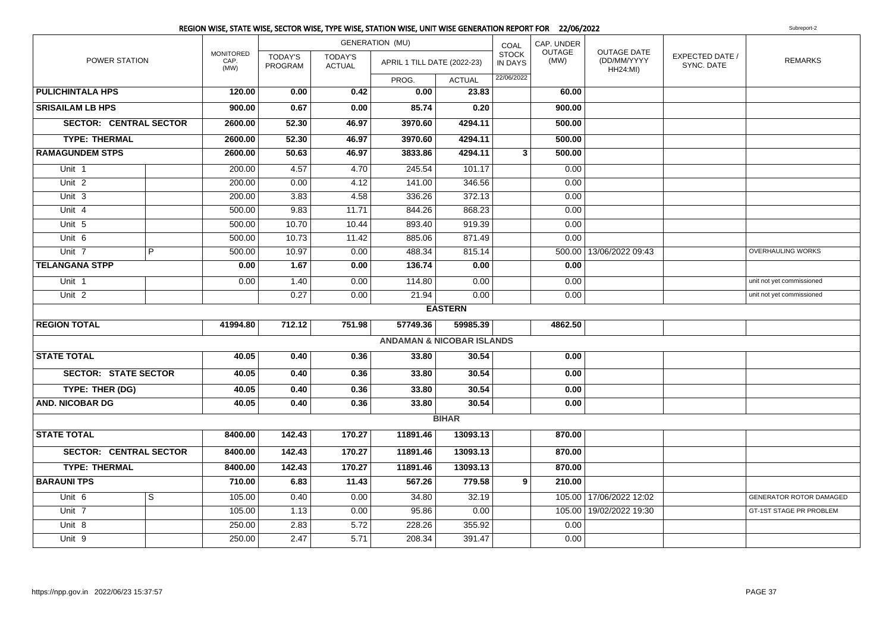|                               |   |                                  |                           |                                 | REGION WISE, STATE WISE, SECTOR WISE, TYPE WISE, STATION WISE, UNIT WISE GENERATION REPORT FOR 22/06/2022 |                |                                |                       |                                               |                               | Subreport-2               |
|-------------------------------|---|----------------------------------|---------------------------|---------------------------------|-----------------------------------------------------------------------------------------------------------|----------------|--------------------------------|-----------------------|-----------------------------------------------|-------------------------------|---------------------------|
| POWER STATION                 |   |                                  |                           | <b>GENERATION (MU)</b>          |                                                                                                           | COAL           | CAP. UNDER                     |                       |                                               |                               |                           |
|                               |   | <b>MONITORED</b><br>CAP.<br>(MW) | <b>TODAY'S</b><br>PROGRAM | <b>TODAY'S</b><br><b>ACTUAL</b> | APRIL 1 TILL DATE (2022-23)                                                                               |                | <b>STOCK</b><br><b>IN DAYS</b> | <b>OUTAGE</b><br>(MW) | OUTAGE DATE<br>(DD/MM/YYYY<br><b>HH24:MI)</b> | EXPECTED DATE /<br>SYNC. DATE | <b>REMARKS</b>            |
|                               |   |                                  |                           |                                 | PROG.                                                                                                     | <b>ACTUAL</b>  | 22/06/2022                     |                       |                                               |                               |                           |
| <b>PULICHINTALA HPS</b>       |   | 120.00                           | 0.00                      | 0.42                            | 0.00                                                                                                      | 23.83          |                                | 60.00                 |                                               |                               |                           |
| <b>SRISAILAM LB HPS</b>       |   | 900.00                           | 0.67                      | 0.00                            | 85.74                                                                                                     | 0.20           |                                | 900.00                |                                               |                               |                           |
| <b>SECTOR: CENTRAL SECTOR</b> |   | 2600.00                          | 52.30                     | 46.97                           | 3970.60                                                                                                   | 4294.11        |                                | 500.00                |                                               |                               |                           |
| <b>TYPE: THERMAL</b>          |   | 2600.00                          | 52.30                     | 46.97                           | 3970.60                                                                                                   | 4294.11        |                                | 500.00                |                                               |                               |                           |
| <b>RAMAGUNDEM STPS</b>        |   | 2600.00                          | 50.63                     | 46.97                           | 3833.86                                                                                                   | 4294.11        | 3                              | 500.00                |                                               |                               |                           |
| Unit 1                        |   | 200.00                           | 4.57                      | 4.70                            | 245.54                                                                                                    | 101.17         |                                | 0.00                  |                                               |                               |                           |
| Unit $2$                      |   | 200.00                           | 0.00                      | 4.12                            | 141.00                                                                                                    | 346.56         |                                | 0.00                  |                                               |                               |                           |
| Unit $3$                      |   | 200.00                           | 3.83                      | 4.58                            | 336.26                                                                                                    | 372.13         |                                | 0.00                  |                                               |                               |                           |
| Unit 4                        |   | 500.00                           | 9.83                      | 11.71                           | 844.26                                                                                                    | 868.23         |                                | 0.00                  |                                               |                               |                           |
| Unit $5$                      |   | 500.00                           | 10.70                     | 10.44                           | 893.40                                                                                                    | 919.39         |                                | 0.00                  |                                               |                               |                           |
| Unit 6                        |   | 500.00                           | 10.73                     | 11.42                           | 885.06                                                                                                    | 871.49         |                                | 0.00                  |                                               |                               |                           |
| Unit 7                        | P | 500.00                           | 10.97                     | 0.00                            | 488.34                                                                                                    | 815.14         |                                |                       | 500.00 13/06/2022 09:43                       |                               | OVERHAULING WORKS         |
| <b>TELANGANA STPP</b>         |   | 0.00                             | 1.67                      | 0.00                            | 136.74                                                                                                    | 0.00           |                                | 0.00                  |                                               |                               |                           |
| Unit 1                        |   | 0.00                             | 1.40                      | 0.00                            | 114.80                                                                                                    | 0.00           |                                | 0.00                  |                                               |                               | unit not yet commissioned |
| Unit <sub>2</sub>             |   |                                  | 0.27                      | 0.00                            | 21.94                                                                                                     | 0.00           |                                | 0.00                  |                                               |                               | unit not yet commissioned |
|                               |   |                                  |                           |                                 |                                                                                                           | <b>EASTERN</b> |                                |                       |                                               |                               |                           |
| <b>REGION TOTAL</b>           |   | 41994.80                         | 712.12                    | 751.98                          | 57749.36                                                                                                  | 59985.39       |                                | 4862.50               |                                               |                               |                           |
|                               |   |                                  |                           |                                 | <b>ANDAMAN &amp; NICOBAR ISLANDS</b>                                                                      |                |                                |                       |                                               |                               |                           |
| <b>STATE TOTAL</b>            |   | 40.05                            | 0.40                      | 0.36                            | 33.80                                                                                                     | 30.54          |                                | 0.00                  |                                               |                               |                           |
| <b>SECTOR: STATE SECTOR</b>   |   | 40.05                            | 0.40                      | 0.36                            | 33.80                                                                                                     | 30.54          |                                | 0.00                  |                                               |                               |                           |
| TYPE: THER (DG)               |   | 40.05                            | 0.40                      | 0.36                            | 33.80                                                                                                     | 30.54          |                                | 0.00                  |                                               |                               |                           |
| <b>AND. NICOBAR DG</b>        |   | 40.05                            | 0.40                      | 0.36                            | 33.80                                                                                                     | 30.54          |                                | 0.00                  |                                               |                               |                           |
|                               |   |                                  |                           |                                 |                                                                                                           | <b>BIHAR</b>   |                                |                       |                                               |                               |                           |
| <b>STATE TOTAL</b>            |   | 8400.00                          | 142.43                    | 170.27                          | 11891.46                                                                                                  | 13093.13       |                                | 870.00                |                                               |                               |                           |
| <b>SECTOR: CENTRAL SECTOR</b> |   | 8400.00                          | 142.43                    | 170.27                          | 11891.46                                                                                                  | 13093.13       |                                | 870.00                |                                               |                               |                           |
| <b>TYPE: THERMAL</b>          |   | 8400.00                          | 142.43                    | 170.27                          | 11891.46                                                                                                  | 13093.13       |                                | 870.00                |                                               |                               |                           |
| <b>BARAUNI TPS</b>            |   | 710.00                           | 6.83                      | 11.43                           | 567.26                                                                                                    | 779.58         | 9                              | 210.00                |                                               |                               |                           |
| Unit 6                        | S | 105.00                           | 0.40                      | 0.00                            | 34.80                                                                                                     | 32.19          |                                |                       | 105.00 17/06/2022 12:02                       |                               | GENERATOR ROTOR DAMAGED   |
| Unit 7                        |   | 105.00                           | 1.13                      | 0.00                            | 95.86                                                                                                     | 0.00           |                                |                       | 105.00 19/02/2022 19:30                       |                               | GT-1ST STAGE PR PROBLEM   |
| Unit 8                        |   | 250.00                           | 2.83                      | 5.72                            | 228.26                                                                                                    | 355.92         |                                | 0.00                  |                                               |                               |                           |
| Unit 9                        |   | 250.00                           | 2.47                      | 5.71                            | 208.34                                                                                                    | 391.47         |                                | 0.00                  |                                               |                               |                           |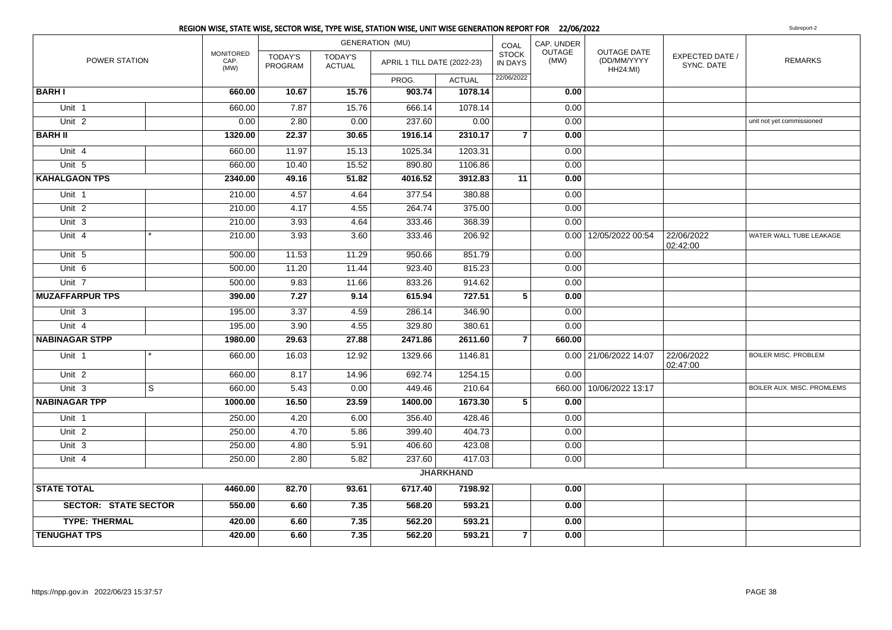|                             |   |                           |                                  |                                 | REGION WISE, STATE WISE, SECTOR WISE, TYPE WISE, STATION WISE, UNIT WISE GENERATION REPORT FOR 22/06/2022 |               |                                |                |                                                      |                               | Subreport-2                 |
|-----------------------------|---|---------------------------|----------------------------------|---------------------------------|-----------------------------------------------------------------------------------------------------------|---------------|--------------------------------|----------------|------------------------------------------------------|-------------------------------|-----------------------------|
|                             |   |                           |                                  |                                 | <b>GENERATION (MU)</b>                                                                                    |               | COAL                           | CAP. UNDER     |                                                      |                               |                             |
| POWER STATION               |   | MONITORED<br>CAP.<br>(MW) | <b>TODAY'S</b><br><b>PROGRAM</b> | <b>TODAY'S</b><br><b>ACTUAL</b> | APRIL 1 TILL DATE (2022-23)                                                                               |               | <b>STOCK</b><br><b>IN DAYS</b> | OUTAGE<br>(MW) | <b>OUTAGE DATE</b><br>(DD/MM/YYYY<br><b>HH24:MI)</b> | EXPECTED DATE /<br>SYNC, DATE | <b>REMARKS</b>              |
|                             |   |                           |                                  |                                 | PROG.                                                                                                     | <b>ACTUAL</b> | 22/06/2022                     |                |                                                      |                               |                             |
| <b>BARHI</b>                |   | 660.00                    | 10.67                            | 15.76                           | 903.74                                                                                                    | 1078.14       |                                | 0.00           |                                                      |                               |                             |
| Unit 1                      |   | 660.00                    | 7.87                             | 15.76                           | 666.14                                                                                                    | 1078.14       |                                | 0.00           |                                                      |                               |                             |
| Unit $2$                    |   | 0.00                      | 2.80                             | 0.00                            | 237.60                                                                                                    | 0.00          |                                | 0.00           |                                                      |                               | unit not yet commissioned   |
| <b>BARH II</b>              |   | 1320.00                   | 22.37                            | 30.65                           | 1916.14                                                                                                   | 2310.17       | $\overline{7}$                 | 0.00           |                                                      |                               |                             |
| Unit 4                      |   | 660.00                    | 11.97                            | 15.13                           | 1025.34                                                                                                   | 1203.31       |                                | 0.00           |                                                      |                               |                             |
| Unit 5                      |   | 660.00                    | 10.40                            | 15.52                           | 890.80                                                                                                    | 1106.86       |                                | 0.00           |                                                      |                               |                             |
| <b>KAHALGAON TPS</b>        |   | 2340.00                   | 49.16                            | 51.82                           | 4016.52                                                                                                   | 3912.83       | 11                             | 0.00           |                                                      |                               |                             |
| Unit 1                      |   | 210.00                    | 4.57                             | 4.64                            | 377.54                                                                                                    | 380.88        |                                | 0.00           |                                                      |                               |                             |
| Unit <sub>2</sub>           |   | 210.00                    | 4.17                             | 4.55                            | 264.74                                                                                                    | 375.00        |                                | 0.00           |                                                      |                               |                             |
| Unit $3$                    |   | 210.00                    | 3.93                             | 4.64                            | 333.46                                                                                                    | 368.39        |                                | 0.00           |                                                      |                               |                             |
| Unit 4                      |   | 210.00                    | 3.93                             | 3.60                            | 333.46                                                                                                    | 206.92        |                                |                | 0.00 12/05/2022 00:54                                | 22/06/2022<br>02:42:00        | WATER WALL TUBE LEAKAGE     |
| Unit 5                      |   | 500.00                    | 11.53                            | 11.29                           | 950.66                                                                                                    | 851.79        |                                | 0.00           |                                                      |                               |                             |
| Unit 6                      |   | 500.00                    | 11.20                            | 11.44                           | 923.40                                                                                                    | 815.23        |                                | 0.00           |                                                      |                               |                             |
| Unit $7$                    |   | 500.00                    | 9.83                             | 11.66                           | 833.26                                                                                                    | 914.62        |                                | 0.00           |                                                      |                               |                             |
| <b>MUZAFFARPUR TPS</b>      |   | 390.00                    | 7.27                             | 9.14                            | 615.94                                                                                                    | 727.51        | $\overline{\mathbf{5}}$        | 0.00           |                                                      |                               |                             |
| Unit 3                      |   | 195.00                    | 3.37                             | 4.59                            | 286.14                                                                                                    | 346.90        |                                | 0.00           |                                                      |                               |                             |
| Unit $4$                    |   | 195.00                    | 3.90                             | 4.55                            | 329.80                                                                                                    | 380.61        |                                | 0.00           |                                                      |                               |                             |
| <b>NABINAGAR STPP</b>       |   | 1980.00                   | 29.63                            | 27.88                           | 2471.86                                                                                                   | 2611.60       | $\overline{7}$                 | 660.00         |                                                      |                               |                             |
| Unit 1                      |   | 660.00                    | 16.03                            | 12.92                           | 1329.66                                                                                                   | 1146.81       |                                |                | 0.00 21/06/2022 14:07                                | 22/06/2022<br>02:47:00        | <b>BOILER MISC. PROBLEM</b> |
| Unit <sub>2</sub>           |   | 660.00                    | 8.17                             | 14.96                           | 692.74                                                                                                    | 1254.15       |                                | 0.00           |                                                      |                               |                             |
| Unit 3                      | S | 660.00                    | 5.43                             | 0.00                            | 449.46                                                                                                    | 210.64        |                                |                | 660.00 10/06/2022 13:17                              |                               | BOILER AUX. MISC. PROMLEMS  |
| <b>NABINAGAR TPP</b>        |   | 1000.00                   | 16.50                            | 23.59                           | 1400.00                                                                                                   | 1673.30       | 5                              | 0.00           |                                                      |                               |                             |
| Unit 1                      |   | 250.00                    | 4.20                             | 6.00                            | 356.40                                                                                                    | 428.46        |                                | 0.00           |                                                      |                               |                             |
| Unit $2$                    |   | 250.00                    | 4.70                             | 5.86                            | 399.40                                                                                                    | 404.73        |                                | 0.00           |                                                      |                               |                             |
| Unit 3                      |   | 250.00                    | 4.80                             | 5.91                            | 406.60                                                                                                    | 423.08        |                                | 0.00           |                                                      |                               |                             |
| Unit 4                      |   | 250.00                    | 2.80                             | 5.82                            | 237.60                                                                                                    | 417.03        |                                | 0.00           |                                                      |                               |                             |
|                             |   |                           |                                  |                                 | <b>JHARKHAND</b>                                                                                          |               |                                |                |                                                      |                               |                             |
| <b>STATE TOTAL</b>          |   | 4460.00                   | 82.70                            | 93.61                           | 6717.40                                                                                                   | 7198.92       |                                | 0.00           |                                                      |                               |                             |
| <b>SECTOR: STATE SECTOR</b> |   | 550.00                    | 6.60                             | 7.35                            | 568.20                                                                                                    | 593.21        |                                | 0.00           |                                                      |                               |                             |
| <b>TYPE: THERMAL</b>        |   | 420.00                    | 6.60                             | 7.35                            | 562.20                                                                                                    | 593.21        |                                | 0.00           |                                                      |                               |                             |
| <b>TENUGHAT TPS</b>         |   | 420.00                    | 6.60                             | 7.35                            | 562.20                                                                                                    | 593.21        | $\overline{7}$                 | 0.00           |                                                      |                               |                             |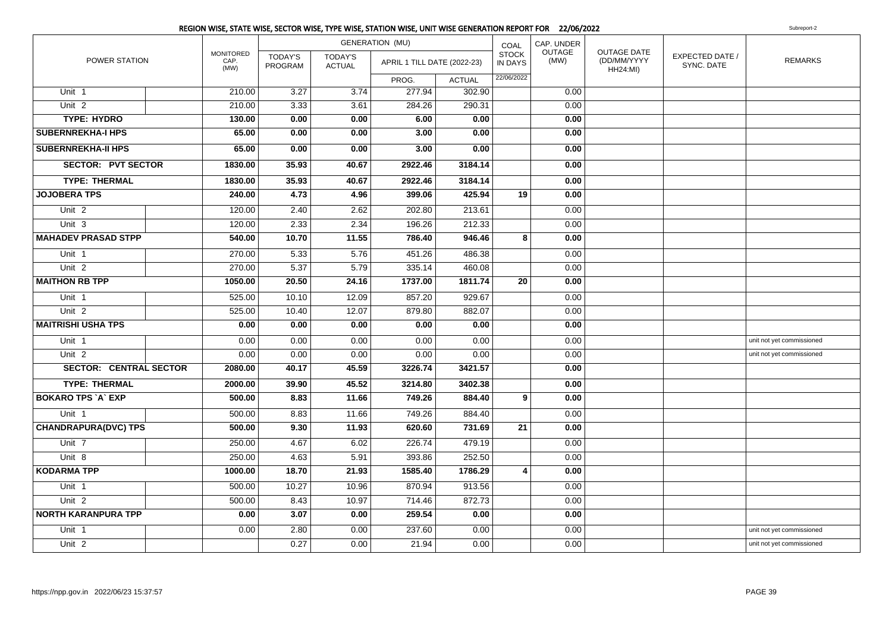|                               |                                  |                           |                                 | <b>GENERATION (MU)</b>      |               | COAL                           | CAP. UNDER            |                                                      |                                      |                           |
|-------------------------------|----------------------------------|---------------------------|---------------------------------|-----------------------------|---------------|--------------------------------|-----------------------|------------------------------------------------------|--------------------------------------|---------------------------|
| POWER STATION                 | <b>MONITORED</b><br>CAP.<br>(MW) | <b>TODAY'S</b><br>PROGRAM | <b>TODAY'S</b><br><b>ACTUAL</b> | APRIL 1 TILL DATE (2022-23) |               | <b>STOCK</b><br><b>IN DAYS</b> | <b>OUTAGE</b><br>(MW) | <b>OUTAGE DATE</b><br>(DD/MM/YYYY<br><b>HH24:MI)</b> | <b>EXPECTED DATE /</b><br>SYNC. DATE | <b>REMARKS</b>            |
|                               |                                  |                           |                                 | PROG.                       | <b>ACTUAL</b> | 22/06/2022                     |                       |                                                      |                                      |                           |
| Unit 1                        | 210.00                           | 3.27                      | 3.74                            | 277.94                      | 302.90        |                                | 0.00                  |                                                      |                                      |                           |
| Unit $2$                      | 210.00                           | 3.33                      | 3.61                            | 284.26                      | 290.31        |                                | 0.00                  |                                                      |                                      |                           |
| <b>TYPE: HYDRO</b>            | 130.00                           | 0.00                      | 0.00                            | 6.00                        | 0.00          |                                | 0.00                  |                                                      |                                      |                           |
| <b>SUBERNREKHA-I HPS</b>      | 65.00                            | 0.00                      | 0.00                            | 3.00                        | 0.00          |                                | 0.00                  |                                                      |                                      |                           |
| <b>SUBERNREKHA-II HPS</b>     | 65.00                            | 0.00                      | 0.00                            | 3.00                        | 0.00          |                                | 0.00                  |                                                      |                                      |                           |
| <b>SECTOR: PVT SECTOR</b>     | 1830.00                          | 35.93                     | 40.67                           | 2922.46                     | 3184.14       |                                | 0.00                  |                                                      |                                      |                           |
| <b>TYPE: THERMAL</b>          | 1830.00                          | 35.93                     | 40.67                           | 2922.46                     | 3184.14       |                                | 0.00                  |                                                      |                                      |                           |
| <b>JOJOBERA TPS</b>           | 240.00                           | 4.73                      | 4.96                            | 399.06                      | 425.94        | 19                             | 0.00                  |                                                      |                                      |                           |
| Unit <sub>2</sub>             | 120.00                           | 2.40                      | 2.62                            | 202.80                      | 213.61        |                                | 0.00                  |                                                      |                                      |                           |
| Unit 3                        | 120.00                           | 2.33                      | 2.34                            | 196.26                      | 212.33        |                                | 0.00                  |                                                      |                                      |                           |
| <b>MAHADEV PRASAD STPP</b>    | 540.00                           | 10.70                     | 11.55                           | 786.40                      | 946.46        | 8                              | 0.00                  |                                                      |                                      |                           |
| Unit 1                        | 270.00                           | 5.33                      | 5.76                            | 451.26                      | 486.38        |                                | 0.00                  |                                                      |                                      |                           |
| Unit <sub>2</sub>             | 270.00                           | 5.37                      | 5.79                            | 335.14                      | 460.08        |                                | 0.00                  |                                                      |                                      |                           |
| <b>MAITHON RB TPP</b>         | 1050.00                          | 20.50                     | 24.16                           | 1737.00                     | 1811.74       | 20                             | 0.00                  |                                                      |                                      |                           |
| Unit 1                        | 525.00                           | 10.10                     | 12.09                           | 857.20                      | 929.67        |                                | 0.00                  |                                                      |                                      |                           |
| Unit <sub>2</sub>             | 525.00                           | 10.40                     | 12.07                           | 879.80                      | 882.07        |                                | 0.00                  |                                                      |                                      |                           |
| <b>MAITRISHI USHA TPS</b>     | 0.00                             | 0.00                      | 0.00                            | 0.00                        | 0.00          |                                | 0.00                  |                                                      |                                      |                           |
| Unit 1                        | 0.00                             | 0.00                      | 0.00                            | 0.00                        | 0.00          |                                | 0.00                  |                                                      |                                      | unit not yet commissioned |
| Unit <sub>2</sub>             | 0.00                             | 0.00                      | 0.00                            | 0.00                        | 0.00          |                                | 0.00                  |                                                      |                                      | unit not yet commissioned |
| <b>SECTOR: CENTRAL SECTOR</b> | 2080.00                          | 40.17                     | 45.59                           | 3226.74                     | 3421.57       |                                | 0.00                  |                                                      |                                      |                           |
| <b>TYPE: THERMAL</b>          | 2000.00                          | 39.90                     | 45.52                           | 3214.80                     | 3402.38       |                                | 0.00                  |                                                      |                                      |                           |
| <b>BOKARO TPS A EXP</b>       | 500.00                           | 8.83                      | 11.66                           | 749.26                      | 884.40        | 9                              | 0.00                  |                                                      |                                      |                           |
| Unit 1                        | 500.00                           | 8.83                      | 11.66                           | 749.26                      | 884.40        |                                | 0.00                  |                                                      |                                      |                           |
| <b>CHANDRAPURA(DVC) TPS</b>   | 500.00                           | 9.30                      | 11.93                           | 620.60                      | 731.69        | 21                             | 0.00                  |                                                      |                                      |                           |
| Unit 7                        | 250.00                           | 4.67                      | 6.02                            | 226.74                      | 479.19        |                                | 0.00                  |                                                      |                                      |                           |
| Unit 8                        | 250.00                           | 4.63                      | 5.91                            | 393.86                      | 252.50        |                                | 0.00                  |                                                      |                                      |                           |
| <b>KODARMA TPP</b>            | 1000.00                          | 18.70                     | 21.93                           | 1585.40                     | 1786.29       | 4                              | 0.00                  |                                                      |                                      |                           |
| Unit 1                        | 500.00                           | 10.27                     | 10.96                           | 870.94                      | 913.56        |                                | 0.00                  |                                                      |                                      |                           |
| Unit <sub>2</sub>             | 500.00                           | 8.43                      | 10.97                           | 714.46                      | 872.73        |                                | 0.00                  |                                                      |                                      |                           |
| <b>NORTH KARANPURA TPP</b>    | 0.00                             | 3.07                      | 0.00                            | 259.54                      | 0.00          |                                | 0.00                  |                                                      |                                      |                           |
| Unit 1                        | 0.00                             | 2.80                      | 0.00                            | 237.60                      | 0.00          |                                | 0.00                  |                                                      |                                      | unit not yet commissioned |
| Unit <sub>2</sub>             |                                  | 0.27                      | 0.00                            | 21.94                       | 0.00          |                                | 0.00                  |                                                      |                                      | unit not yet commissioned |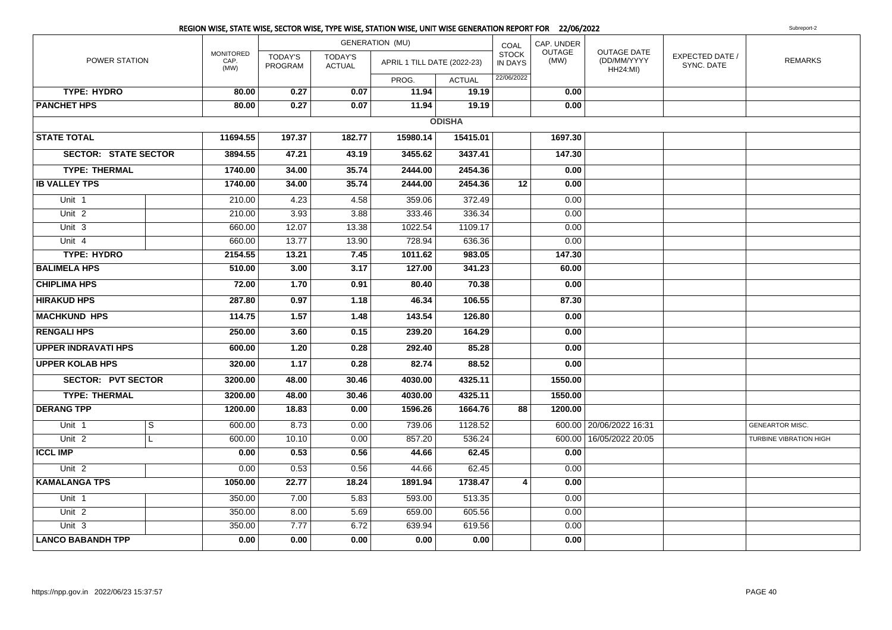|                             | REGION WISE, STATE WISE, SECTOR WISE, TYPE WISE, STATION WISE, UNIT WISE GENERATION REPORT FOR 22/06/2022 |                                  |                                 |                             |               |                         |                |                                                      |                                      | Subreport-2                   |
|-----------------------------|-----------------------------------------------------------------------------------------------------------|----------------------------------|---------------------------------|-----------------------------|---------------|-------------------------|----------------|------------------------------------------------------|--------------------------------------|-------------------------------|
|                             |                                                                                                           |                                  |                                 | <b>GENERATION (MU)</b>      |               | COAL                    | CAP. UNDER     |                                                      |                                      |                               |
| POWER STATION               | <b>MONITORED</b><br>CAP.<br>(MW)                                                                          | <b>TODAY'S</b><br><b>PROGRAM</b> | <b>TODAY'S</b><br><b>ACTUAL</b> | APRIL 1 TILL DATE (2022-23) |               | <b>STOCK</b><br>IN DAYS | OUTAGE<br>(MW) | <b>OUTAGE DATE</b><br>(DD/MM/YYYY<br><b>HH24:MI)</b> | <b>EXPECTED DATE /</b><br>SYNC. DATE | <b>REMARKS</b>                |
|                             |                                                                                                           |                                  |                                 | PROG.                       | <b>ACTUAL</b> | 22/06/2022              |                |                                                      |                                      |                               |
| <b>TYPE: HYDRO</b>          | 80.00                                                                                                     | 0.27                             | 0.07                            | 11.94                       | 19.19         |                         | 0.00           |                                                      |                                      |                               |
| <b>PANCHET HPS</b>          | 80.00                                                                                                     | 0.27                             | 0.07                            | 11.94                       | 19.19         |                         | 0.00           |                                                      |                                      |                               |
|                             |                                                                                                           |                                  |                                 |                             | <b>ODISHA</b> |                         |                |                                                      |                                      |                               |
| <b>STATE TOTAL</b>          | 11694.55                                                                                                  | 197.37                           | 182.77                          | 15980.14                    | 15415.01      |                         | 1697.30        |                                                      |                                      |                               |
| <b>SECTOR: STATE SECTOR</b> | 3894.55                                                                                                   | 47.21                            | 43.19                           | 3455.62                     | 3437.41       |                         | 147.30         |                                                      |                                      |                               |
| <b>TYPE: THERMAL</b>        | 1740.00                                                                                                   | 34.00                            | 35.74                           | 2444.00                     | 2454.36       |                         | 0.00           |                                                      |                                      |                               |
| <b>IB VALLEY TPS</b>        | 1740.00                                                                                                   | 34.00                            | 35.74                           | 2444.00                     | 2454.36       | 12                      | 0.00           |                                                      |                                      |                               |
| Unit 1                      | 210.00                                                                                                    | 4.23                             | 4.58                            | 359.06                      | 372.49        |                         | 0.00           |                                                      |                                      |                               |
| Unit <sub>2</sub>           | 210.00                                                                                                    | 3.93                             | 3.88                            | 333.46                      | 336.34        |                         | 0.00           |                                                      |                                      |                               |
| Unit 3                      | 660.00                                                                                                    | 12.07                            | 13.38                           | 1022.54                     | 1109.17       |                         | 0.00           |                                                      |                                      |                               |
| Unit 4                      | 660.00                                                                                                    | 13.77                            | 13.90                           | 728.94                      | 636.36        |                         | 0.00           |                                                      |                                      |                               |
| <b>TYPE: HYDRO</b>          | 2154.55                                                                                                   | 13.21                            | 7.45                            | 1011.62                     | 983.05        |                         | 147.30         |                                                      |                                      |                               |
| <b>BALIMELA HPS</b>         | 510.00                                                                                                    | 3.00                             | 3.17                            | 127.00                      | 341.23        |                         | 60.00          |                                                      |                                      |                               |
| <b>CHIPLIMA HPS</b>         | 72.00                                                                                                     | 1.70                             | 0.91                            | 80.40                       | 70.38         |                         | 0.00           |                                                      |                                      |                               |
| <b>HIRAKUD HPS</b>          | 287.80                                                                                                    | 0.97                             | 1.18                            | 46.34                       | 106.55        |                         | 87.30          |                                                      |                                      |                               |
| <b>MACHKUND HPS</b>         | 114.75                                                                                                    | 1.57                             | 1.48                            | 143.54                      | 126.80        |                         | 0.00           |                                                      |                                      |                               |
| <b>RENGALI HPS</b>          | 250.00                                                                                                    | 3.60                             | 0.15                            | 239.20                      | 164.29        |                         | 0.00           |                                                      |                                      |                               |
| <b>UPPER INDRAVATI HPS</b>  | 600.00                                                                                                    | 1.20                             | 0.28                            | 292.40                      | 85.28         |                         | 0.00           |                                                      |                                      |                               |
| <b>UPPER KOLAB HPS</b>      | 320.00                                                                                                    | 1.17                             | 0.28                            | 82.74                       | 88.52         |                         | 0.00           |                                                      |                                      |                               |
| <b>SECTOR: PVT SECTOR</b>   | 3200.00                                                                                                   | 48.00                            | 30.46                           | 4030.00                     | 4325.11       |                         | 1550.00        |                                                      |                                      |                               |
| <b>TYPE: THERMAL</b>        | 3200.00                                                                                                   | 48.00                            | 30.46                           | 4030.00                     | 4325.11       |                         | 1550.00        |                                                      |                                      |                               |
| <b>DERANG TPP</b>           | 1200.00                                                                                                   | 18.83                            | 0.00                            | 1596.26                     | 1664.76       | 88                      | 1200.00        |                                                      |                                      |                               |
| Unit 1<br>S                 | 600.00                                                                                                    | 8.73                             | 0.00                            | 739.06                      | 1128.52       |                         |                | 600.00   20/06/2022 16:31                            |                                      | <b>GENEARTOR MISC.</b>        |
| Unit <sub>2</sub><br>L      | 600.00                                                                                                    | 10.10                            | 0.00                            | 857.20                      | 536.24        |                         | 600.00         | 16/05/2022 20:05                                     |                                      | <b>TURBINE VIBRATION HIGH</b> |
| <b>ICCL IMP</b>             | 0.00                                                                                                      | 0.53                             | 0.56                            | 44.66                       | 62.45         |                         | 0.00           |                                                      |                                      |                               |
| Unit <sub>2</sub>           | 0.00                                                                                                      | 0.53                             | 0.56                            | 44.66                       | 62.45         |                         | 0.00           |                                                      |                                      |                               |
| <b>KAMALANGA TPS</b>        | 1050.00                                                                                                   | 22.77                            | 18.24                           | 1891.94                     | 1738.47       | 4                       | 0.00           |                                                      |                                      |                               |
| Unit 1                      | 350.00                                                                                                    | 7.00                             | 5.83                            | 593.00                      | 513.35        |                         | 0.00           |                                                      |                                      |                               |
| Unit <sub>2</sub>           | 350.00                                                                                                    | 8.00                             | 5.69                            | 659.00                      | 605.56        |                         | 0.00           |                                                      |                                      |                               |
| Unit <sub>3</sub>           | 350.00                                                                                                    | 7.77                             | 6.72                            | 639.94                      | 619.56        |                         | 0.00           |                                                      |                                      |                               |
| <b>LANCO BABANDH TPP</b>    | 0.00                                                                                                      | 0.00                             | 0.00                            | 0.00                        | 0.00          |                         | 0.00           |                                                      |                                      |                               |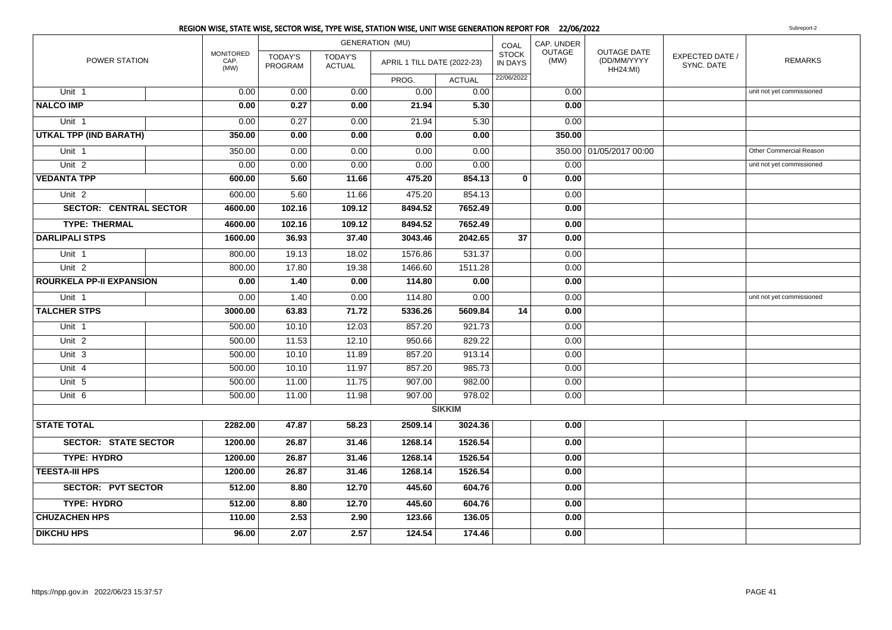|                                 |                                  |                           |                                 | <b>GENERATION (MU)</b>      |               | COAL                           | CAP. UNDER     |                                               |                               |                           |
|---------------------------------|----------------------------------|---------------------------|---------------------------------|-----------------------------|---------------|--------------------------------|----------------|-----------------------------------------------|-------------------------------|---------------------------|
| POWER STATION                   | <b>MONITORED</b><br>CAP.<br>(MW) | <b>TODAY'S</b><br>PROGRAM | <b>TODAY'S</b><br><b>ACTUAL</b> | APRIL 1 TILL DATE (2022-23) |               | <b>STOCK</b><br><b>IN DAYS</b> | OUTAGE<br>(MW) | OUTAGE DATE<br>(DD/MM/YYYY<br><b>HH24:MI)</b> | EXPECTED DATE /<br>SYNC. DATE | <b>REMARKS</b>            |
|                                 |                                  |                           |                                 | PROG.                       | <b>ACTUAL</b> | 22/06/2022                     |                |                                               |                               |                           |
| Unit 1                          | 0.00                             | 0.00                      | 0.00                            | 0.00                        | 0.00          |                                | 0.00           |                                               |                               | unit not yet commissioned |
| <b>NALCO IMP</b>                | 0.00                             | 0.27                      | 0.00                            | 21.94                       | 5.30          |                                | 0.00           |                                               |                               |                           |
| Unit <sub>1</sub>               | 0.00                             | 0.27                      | 0.00                            | 21.94                       | 5.30          |                                | 0.00           |                                               |                               |                           |
| UTKAL TPP (IND BARATH)          | 350.00                           | 0.00                      | 0.00                            | 0.00                        | 0.00          |                                | 350.00         |                                               |                               |                           |
| Unit 1                          | 350.00                           | 0.00                      | 0.00                            | 0.00                        | 0.00          |                                |                | 350.00 01/05/2017 00:00                       |                               | Other Commercial Reason   |
| Unit <sub>2</sub>               | 0.00                             | 0.00                      | 0.00                            | 0.00                        | 0.00          |                                | 0.00           |                                               |                               | unit not yet commissioned |
| <b>VEDANTA TPP</b>              | 600.00                           | 5.60                      | 11.66                           | 475.20                      | 854.13        | $\mathbf{0}$                   | 0.00           |                                               |                               |                           |
| Unit <sub>2</sub>               | 600.00                           | 5.60                      | 11.66                           | 475.20                      | 854.13        |                                | 0.00           |                                               |                               |                           |
| <b>SECTOR: CENTRAL SECTOR</b>   | 4600.00                          | 102.16                    | 109.12                          | 8494.52                     | 7652.49       |                                | 0.00           |                                               |                               |                           |
| <b>TYPE: THERMAL</b>            | 4600.00                          | 102.16                    | 109.12                          | 8494.52                     | 7652.49       |                                | 0.00           |                                               |                               |                           |
| <b>DARLIPALI STPS</b>           | 1600.00                          | 36.93                     | 37.40                           | 3043.46                     | 2042.65       | 37                             | 0.00           |                                               |                               |                           |
| Unit 1                          | 800.00                           | 19.13                     | 18.02                           | 1576.86                     | 531.37        |                                | 0.00           |                                               |                               |                           |
| Unit <sub>2</sub>               | 800.00                           | 17.80                     | 19.38                           | 1466.60                     | 1511.28       |                                | 0.00           |                                               |                               |                           |
| <b>ROURKELA PP-II EXPANSION</b> | 0.00                             | 1.40                      | 0.00                            | 114.80                      | 0.00          |                                | 0.00           |                                               |                               |                           |
| Unit 1                          | 0.00                             | 1.40                      | 0.00                            | 114.80                      | 0.00          |                                | 0.00           |                                               |                               | unit not yet commissioned |
| <b>TALCHER STPS</b>             | 3000.00                          | 63.83                     | 71.72                           | 5336.26                     | 5609.84       | 14                             | 0.00           |                                               |                               |                           |
| Unit 1                          | 500.00                           | 10.10                     | 12.03                           | 857.20                      | 921.73        |                                | 0.00           |                                               |                               |                           |
| Unit <sub>2</sub>               | 500.00                           | 11.53                     | 12.10                           | 950.66                      | 829.22        |                                | 0.00           |                                               |                               |                           |
| Unit <sub>3</sub>               | 500.00                           | 10.10                     | 11.89                           | 857.20                      | 913.14        |                                | 0.00           |                                               |                               |                           |
| Unit 4                          | 500.00                           | 10.10                     | 11.97                           | 857.20                      | 985.73        |                                | 0.00           |                                               |                               |                           |
| Unit 5                          | 500.00                           | 11.00                     | 11.75                           | 907.00                      | 982.00        |                                | 0.00           |                                               |                               |                           |
| Unit <sub>6</sub>               | 500.00                           | 11.00                     | 11.98                           | 907.00                      | 978.02        |                                | 0.00           |                                               |                               |                           |
|                                 |                                  |                           |                                 |                             | <b>SIKKIM</b> |                                |                |                                               |                               |                           |
| <b>STATE TOTAL</b>              | 2282.00                          | 47.87                     | 58.23                           | 2509.14                     | 3024.36       |                                | 0.00           |                                               |                               |                           |
| <b>SECTOR: STATE SECTOR</b>     | 1200.00                          | 26.87                     | 31.46                           | 1268.14                     | 1526.54       |                                | 0.00           |                                               |                               |                           |
| <b>TYPE: HYDRO</b>              | 1200.00                          | 26.87                     | 31.46                           | 1268.14                     | 1526.54       |                                | 0.00           |                                               |                               |                           |
| <b>TEESTA-III HPS</b>           | 1200.00                          | 26.87                     | 31.46                           | 1268.14                     | 1526.54       |                                | 0.00           |                                               |                               |                           |
| <b>SECTOR: PVT SECTOR</b>       | 512.00                           | 8.80                      | 12.70                           | 445.60                      | 604.76        |                                | 0.00           |                                               |                               |                           |
| <b>TYPE: HYDRO</b>              | 512.00                           | 8.80                      | 12.70                           | 445.60                      | 604.76        |                                | 0.00           |                                               |                               |                           |
| <b>CHUZACHEN HPS</b>            | 110.00                           | 2.53                      | 2.90                            | 123.66                      | 136.05        |                                | 0.00           |                                               |                               |                           |
| <b>DIKCHU HPS</b>               | 96.00                            | 2.07                      | 2.57                            | 124.54                      | 174.46        |                                | 0.00           |                                               |                               |                           |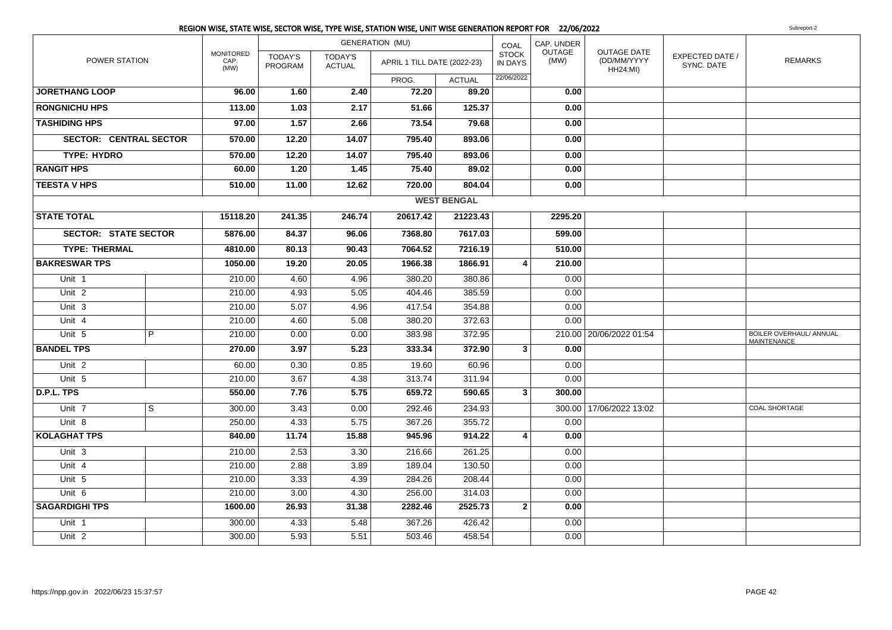|                               |   |                                  |                           | <b>GENERATION (MU)</b>          |                             | COAL               | CAP. UNDER                     |                       |                                                      |                               |                                               |
|-------------------------------|---|----------------------------------|---------------------------|---------------------------------|-----------------------------|--------------------|--------------------------------|-----------------------|------------------------------------------------------|-------------------------------|-----------------------------------------------|
| <b>POWER STATION</b>          |   | <b>MONITORED</b><br>CAP.<br>(MW) | <b>TODAY'S</b><br>PROGRAM | <b>TODAY'S</b><br><b>ACTUAL</b> | APRIL 1 TILL DATE (2022-23) |                    | <b>STOCK</b><br><b>IN DAYS</b> | <b>OUTAGE</b><br>(MW) | <b>OUTAGE DATE</b><br>(DD/MM/YYYY<br><b>HH24:MI)</b> | EXPECTED DATE /<br>SYNC. DATE | <b>REMARKS</b>                                |
|                               |   |                                  |                           |                                 | PROG.                       | <b>ACTUAL</b>      | 22/06/2022                     |                       |                                                      |                               |                                               |
| <b>JORETHANG LOOP</b>         |   | 96.00                            | 1.60                      | 2.40                            | 72.20                       | 89.20              |                                | 0.00                  |                                                      |                               |                                               |
| <b>RONGNICHU HPS</b>          |   | 113.00                           | 1.03                      | 2.17                            | 51.66                       | 125.37             |                                | 0.00                  |                                                      |                               |                                               |
| <b>TASHIDING HPS</b>          |   | 97.00                            | 1.57                      | 2.66                            | 73.54                       | 79.68              |                                | 0.00                  |                                                      |                               |                                               |
| <b>SECTOR: CENTRAL SECTOR</b> |   | 570.00                           | 12.20                     | 14.07                           | 795.40                      | 893.06             |                                | 0.00                  |                                                      |                               |                                               |
| <b>TYPE: HYDRO</b>            |   | 570.00                           | 12.20                     | 14.07                           | 795.40                      | 893.06             |                                | 0.00                  |                                                      |                               |                                               |
| <b>RANGIT HPS</b>             |   | 60.00                            | 1.20                      | 1.45                            | 75.40                       | 89.02              |                                | 0.00                  |                                                      |                               |                                               |
| <b>TEESTA V HPS</b>           |   | 510.00                           | 11.00                     | 12.62                           | 720.00                      | 804.04             |                                | 0.00                  |                                                      |                               |                                               |
|                               |   |                                  |                           |                                 |                             | <b>WEST BENGAL</b> |                                |                       |                                                      |                               |                                               |
| <b>STATE TOTAL</b>            |   | 15118.20                         | 241.35                    | 246.74                          | 20617.42                    | 21223.43           |                                | 2295.20               |                                                      |                               |                                               |
| <b>SECTOR: STATE SECTOR</b>   |   | 5876.00                          | 84.37                     | 96.06                           | 7368.80                     | 7617.03            |                                | 599.00                |                                                      |                               |                                               |
| <b>TYPE: THERMAL</b>          |   | 4810.00                          | 80.13                     | 90.43                           | 7064.52                     | 7216.19            |                                | 510.00                |                                                      |                               |                                               |
| <b>BAKRESWAR TPS</b>          |   | 1050.00                          | 19.20                     | 20.05                           | 1966.38                     | 1866.91            | 4                              | 210.00                |                                                      |                               |                                               |
| Unit 1                        |   | 210.00                           | 4.60                      | 4.96                            | 380.20                      | 380.86             |                                | 0.00                  |                                                      |                               |                                               |
| Unit <sub>2</sub>             |   | 210.00                           | 4.93                      | 5.05                            | 404.46                      | 385.59             |                                | 0.00                  |                                                      |                               |                                               |
| Unit 3                        |   | 210.00                           | 5.07                      | 4.96                            | 417.54                      | 354.88             |                                | 0.00                  |                                                      |                               |                                               |
| Unit 4                        |   | 210.00                           | 4.60                      | 5.08                            | 380.20                      | 372.63             |                                | 0.00                  |                                                      |                               |                                               |
| Unit 5                        | P | 210.00                           | 0.00                      | 0.00                            | 383.98                      | 372.95             |                                |                       | 210.00   20/06/2022 01:54                            |                               | BOILER OVERHAUL/ ANNUAL<br><b>MAINTENANCE</b> |
| <b>BANDEL TPS</b>             |   | 270.00                           | 3.97                      | 5.23                            | 333.34                      | 372.90             | $\mathbf{3}$                   | 0.00                  |                                                      |                               |                                               |
| Unit <sub>2</sub>             |   | 60.00                            | 0.30                      | 0.85                            | 19.60                       | 60.96              |                                | 0.00                  |                                                      |                               |                                               |
| Unit 5                        |   | 210.00                           | 3.67                      | 4.38                            | 313.74                      | 311.94             |                                | 0.00                  |                                                      |                               |                                               |
| D.P.L. TPS                    |   | 550.00                           | 7.76                      | 5.75                            | 659.72                      | 590.65             | 3                              | 300.00                |                                                      |                               |                                               |
| Unit 7                        | S | 300.00                           | 3.43                      | 0.00                            | 292.46                      | 234.93             |                                |                       | 300.00   17/06/2022 13:02                            |                               | COAL SHORTAGE                                 |
| Unit 8                        |   | 250.00                           | 4.33                      | 5.75                            | 367.26                      | 355.72             |                                | 0.00                  |                                                      |                               |                                               |
| <b>KOLAGHAT TPS</b>           |   | 840.00                           | 11.74                     | 15.88                           | 945.96                      | 914.22             | 4                              | 0.00                  |                                                      |                               |                                               |
| Unit 3                        |   | 210.00                           | 2.53                      | 3.30                            | 216.66                      | 261.25             |                                | 0.00                  |                                                      |                               |                                               |
| Unit 4                        |   | 210.00                           | 2.88                      | 3.89                            | 189.04                      | 130.50             |                                | 0.00                  |                                                      |                               |                                               |
| Unit 5                        |   | 210.00                           | 3.33                      | 4.39                            | 284.26                      | 208.44             |                                | 0.00                  |                                                      |                               |                                               |
| Unit 6                        |   | 210.00                           | 3.00                      | 4.30                            | 256.00                      | 314.03             |                                | 0.00                  |                                                      |                               |                                               |
| <b>SAGARDIGHI TPS</b>         |   | 1600.00                          | 26.93                     | 31.38                           | 2282.46                     | 2525.73            | $\mathbf{2}$                   | 0.00                  |                                                      |                               |                                               |
| Unit 1                        |   | 300.00                           | 4.33                      | 5.48                            | 367.26                      | 426.42             |                                | 0.00                  |                                                      |                               |                                               |
| Unit <sub>2</sub>             |   | 300.00                           | 5.93                      | 5.51                            | 503.46                      | 458.54             |                                | 0.00                  |                                                      |                               |                                               |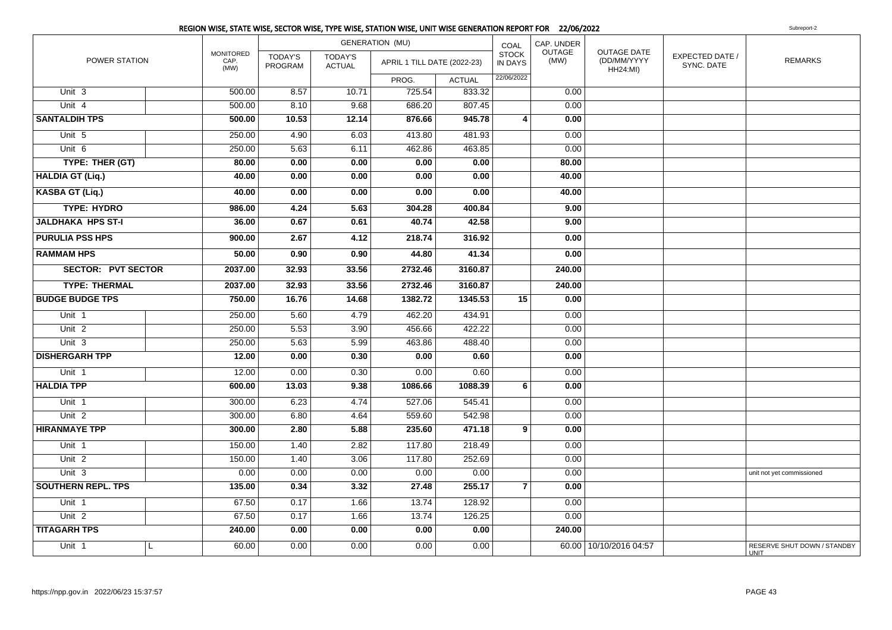|                           |                                  |                           |                                 | <b>GENERATION (MU)</b>      |               | COAL                           | CAP. UNDER     |                                                      |                               |                                      |
|---------------------------|----------------------------------|---------------------------|---------------------------------|-----------------------------|---------------|--------------------------------|----------------|------------------------------------------------------|-------------------------------|--------------------------------------|
| POWER STATION             | <b>MONITORED</b><br>CAP.<br>(MW) | <b>TODAY'S</b><br>PROGRAM | <b>TODAY'S</b><br><b>ACTUAL</b> | APRIL 1 TILL DATE (2022-23) |               | <b>STOCK</b><br><b>IN DAYS</b> | OUTAGE<br>(MW) | <b>OUTAGE DATE</b><br>(DD/MM/YYYY<br><b>HH24:MI)</b> | EXPECTED DATE /<br>SYNC. DATE | <b>REMARKS</b>                       |
|                           |                                  |                           |                                 | PROG.                       | <b>ACTUAL</b> | 22/06/2022                     |                |                                                      |                               |                                      |
| Unit 3                    | 500.00                           | 8.57                      | 10.71                           | 725.54                      | 833.32        |                                | 0.00           |                                                      |                               |                                      |
| Unit 4                    | 500.00                           | 8.10                      | 9.68                            | 686.20                      | 807.45        |                                | 0.00           |                                                      |                               |                                      |
| <b>SANTALDIH TPS</b>      | 500.00                           | 10.53                     | 12.14                           | 876.66                      | 945.78        | 4                              | 0.00           |                                                      |                               |                                      |
| Unit 5                    | 250.00                           | 4.90                      | 6.03                            | 413.80                      | 481.93        |                                | 0.00           |                                                      |                               |                                      |
| Unit 6                    | 250.00                           | 5.63                      | 6.11                            | 462.86                      | 463.85        |                                | 0.00           |                                                      |                               |                                      |
| TYPE: THER (GT)           | 80.00                            | 0.00                      | 0.00                            | 0.00                        | 0.00          |                                | 80.00          |                                                      |                               |                                      |
| <b>HALDIA GT (Liq.)</b>   | 40.00                            | 0.00                      | 0.00                            | 0.00                        | 0.00          |                                | 40.00          |                                                      |                               |                                      |
| <b>KASBA GT (Liq.)</b>    | 40.00                            | 0.00                      | 0.00                            | 0.00                        | 0.00          |                                | 40.00          |                                                      |                               |                                      |
| <b>TYPE: HYDRO</b>        | 986.00                           | 4.24                      | 5.63                            | 304.28                      | 400.84        |                                | 9.00           |                                                      |                               |                                      |
| <b>JALDHAKA HPS ST-I</b>  | 36.00                            | 0.67                      | 0.61                            | 40.74                       | 42.58         |                                | 9.00           |                                                      |                               |                                      |
| <b>PURULIA PSS HPS</b>    | 900.00                           | 2.67                      | 4.12                            | 218.74                      | 316.92        |                                | 0.00           |                                                      |                               |                                      |
| <b>RAMMAM HPS</b>         | 50.00                            | 0.90                      | 0.90                            | 44.80                       | 41.34         |                                | 0.00           |                                                      |                               |                                      |
| <b>SECTOR: PVT SECTOR</b> | 2037.00                          | 32.93                     | 33.56                           | 2732.46                     | 3160.87       |                                | 240.00         |                                                      |                               |                                      |
| <b>TYPE: THERMAL</b>      | 2037.00                          | 32.93                     | 33.56                           | 2732.46                     | 3160.87       |                                | 240.00         |                                                      |                               |                                      |
| <b>BUDGE BUDGE TPS</b>    | 750.00                           | 16.76                     | 14.68                           | 1382.72                     | 1345.53       | 15                             | 0.00           |                                                      |                               |                                      |
| Unit 1                    | 250.00                           | 5.60                      | 4.79                            | 462.20                      | 434.91        |                                | 0.00           |                                                      |                               |                                      |
| Unit <sub>2</sub>         | 250.00                           | 5.53                      | 3.90                            | 456.66                      | 422.22        |                                | 0.00           |                                                      |                               |                                      |
| Unit <sub>3</sub>         | 250.00                           | 5.63                      | 5.99                            | 463.86                      | 488.40        |                                | 0.00           |                                                      |                               |                                      |
| <b>DISHERGARH TPP</b>     | 12.00                            | 0.00                      | 0.30                            | 0.00                        | 0.60          |                                | 0.00           |                                                      |                               |                                      |
| Unit 1                    | 12.00                            | 0.00                      | 0.30                            | 0.00                        | 0.60          |                                | 0.00           |                                                      |                               |                                      |
| <b>HALDIA TPP</b>         | 600.00                           | 13.03                     | 9.38                            | 1086.66                     | 1088.39       | 6                              | 0.00           |                                                      |                               |                                      |
| Unit 1                    | 300.00                           | 6.23                      | 4.74                            | 527.06                      | 545.41        |                                | 0.00           |                                                      |                               |                                      |
| Unit 2                    | 300.00                           | 6.80                      | 4.64                            | 559.60                      | 542.98        |                                | 0.00           |                                                      |                               |                                      |
| <b>HIRANMAYE TPP</b>      | 300.00                           | 2.80                      | 5.88                            | 235.60                      | 471.18        | 9                              | 0.00           |                                                      |                               |                                      |
| Unit 1                    | 150.00                           | 1.40                      | 2.82                            | 117.80                      | 218.49        |                                | 0.00           |                                                      |                               |                                      |
| Unit <sub>2</sub>         | 150.00                           | 1.40                      | 3.06                            | 117.80                      | 252.69        |                                | 0.00           |                                                      |                               |                                      |
| Unit 3                    | 0.00                             | 0.00                      | 0.00                            | 0.00                        | 0.00          |                                | 0.00           |                                                      |                               | unit not yet commissioned            |
| <b>SOUTHERN REPL. TPS</b> | 135.00                           | 0.34                      | 3.32                            | 27.48                       | 255.17        | $\overline{7}$                 | 0.00           |                                                      |                               |                                      |
| Unit 1                    | 67.50                            | 0.17                      | 1.66                            | 13.74                       | 128.92        |                                | 0.00           |                                                      |                               |                                      |
| Unit $2$                  | 67.50                            | 0.17                      | 1.66                            | 13.74                       | 126.25        |                                | 0.00           |                                                      |                               |                                      |
| <b>TITAGARH TPS</b>       | 240.00                           | 0.00                      | 0.00                            | 0.00                        | 0.00          |                                | 240.00         |                                                      |                               |                                      |
| Unit 1                    | 60.00<br>$\mathbf{L}$            | 0.00                      | 0.00                            | 0.00                        | 0.00          |                                |                | 60.00   10/10/2016 04:57                             |                               | RESERVE SHUT DOWN / STANDBY<br>LINIT |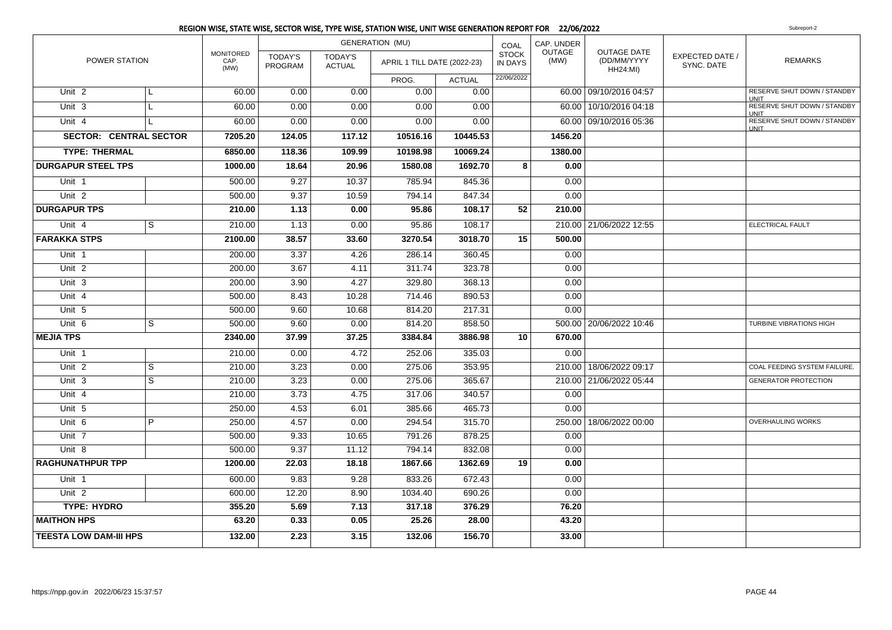|                                         |                |                                  |                           |                                 | REGION WISE, STATE WISE, SECTOR WISE, TYPE WISE, STATION WISE, UNIT WISE GENERATION REPORT FOR 22/06/2022 |                  |                                |                |                                                      |                               | Subreport-2                                |
|-----------------------------------------|----------------|----------------------------------|---------------------------|---------------------------------|-----------------------------------------------------------------------------------------------------------|------------------|--------------------------------|----------------|------------------------------------------------------|-------------------------------|--------------------------------------------|
|                                         |                |                                  |                           |                                 | <b>GENERATION (MU)</b>                                                                                    |                  | COAL                           | CAP. UNDER     |                                                      |                               |                                            |
| POWER STATION                           |                | <b>MONITORED</b><br>CAP.<br>(MW) | <b>TODAY'S</b><br>PROGRAM | <b>TODAY'S</b><br><b>ACTUAL</b> | APRIL 1 TILL DATE (2022-23)                                                                               |                  | <b>STOCK</b><br><b>IN DAYS</b> | OUTAGE<br>(MW) | <b>OUTAGE DATE</b><br>(DD/MM/YYYY<br><b>HH24:MI)</b> | EXPECTED DATE /<br>SYNC. DATE | <b>REMARKS</b>                             |
|                                         |                |                                  |                           |                                 | PROG.                                                                                                     | <b>ACTUAL</b>    | 22/06/2022                     |                |                                                      |                               |                                            |
| Unit <sub>2</sub>                       | L              | 60.00                            | 0.00                      | 0.00                            | 0.00                                                                                                      | 0.00             |                                |                | 60.00 09/10/2016 04:57                               |                               | RESERVE SHUT DOWN / STANDBY<br><b>UNIT</b> |
| Unit <sub>3</sub>                       | L              | 60.00                            | 0.00                      | 0.00                            | 0.00                                                                                                      | 0.00             |                                |                | 60.00   10/10/2016 04:18                             |                               | RESERVE SHUT DOWN / STANDBY<br><b>UNIT</b> |
| Unit 4                                  |                | 60.00                            | 0.00                      | 0.00                            | 0.00                                                                                                      | 0.00             |                                |                | 60.00 09/10/2016 05:36                               |                               | RESERVE SHUT DOWN / STANDBY<br><b>UNIT</b> |
| <b>SECTOR: CENTRAL SECTOR</b>           |                | 7205.20                          | 124.05                    | 117.12                          | 10516.16                                                                                                  | 10445.53         |                                | 1456.20        |                                                      |                               |                                            |
| <b>TYPE: THERMAL</b>                    |                | 6850.00                          | 118.36                    | 109.99                          | 10198.98                                                                                                  | 10069.24         |                                | 1380.00        |                                                      |                               |                                            |
| <b>DURGAPUR STEEL TPS</b>               |                | 1000.00                          | 18.64                     | 20.96                           | 1580.08                                                                                                   | 1692.70          | 8                              | 0.00           |                                                      |                               |                                            |
| Unit <sub>1</sub>                       |                | 500.00                           | 9.27                      | 10.37                           | 785.94                                                                                                    | 845.36           |                                | 0.00           |                                                      |                               |                                            |
| Unit <sub>2</sub>                       |                | 500.00                           | 9.37                      | 10.59                           | 794.14                                                                                                    | 847.34           |                                | 0.00           |                                                      |                               |                                            |
| <b>DURGAPUR TPS</b>                     |                | 210.00                           | 1.13                      | 0.00                            | 95.86                                                                                                     | 108.17           | 52                             | 210.00         |                                                      |                               |                                            |
| Unit 4                                  | $\overline{s}$ | 210.00                           | 1.13                      | 0.00                            | 95.86                                                                                                     | 108.17           |                                |                | 210.00 21/06/2022 12:55                              |                               | ELECTRICAL FAULT                           |
| <b>FARAKKA STPS</b>                     |                | 2100.00                          | 38.57                     | 33.60                           | 3270.54                                                                                                   | 3018.70          | 15                             | 500.00         |                                                      |                               |                                            |
| Unit <sub>1</sub>                       |                | 200.00                           | 3.37                      | 4.26                            | 286.14                                                                                                    | 360.45           |                                | 0.00           |                                                      |                               |                                            |
| Unit <sub>2</sub>                       |                | 200.00                           | 3.67                      | 4.11                            | 311.74                                                                                                    | 323.78           |                                | 0.00           |                                                      |                               |                                            |
| Unit 3                                  |                | 200.00                           | 3.90                      | 4.27                            | 329.80                                                                                                    | 368.13           |                                | 0.00           |                                                      |                               |                                            |
| Unit 4                                  |                | 500.00                           | 8.43                      | 10.28                           | 714.46                                                                                                    | 890.53           |                                | 0.00           |                                                      |                               |                                            |
| Unit 5                                  |                | 500.00                           | 9.60                      | 10.68                           | 814.20                                                                                                    | 217.31           |                                | 0.00           |                                                      |                               |                                            |
| Unit 6                                  | S              | 500.00                           | 9.60                      | 0.00                            | 814.20                                                                                                    | 858.50           |                                |                | 500.00   20/06/2022 10:46                            |                               | TURBINE VIBRATIONS HIGH                    |
| <b>MEJIA TPS</b>                        |                | 2340.00                          | 37.99                     | 37.25                           | 3384.84                                                                                                   | 3886.98          | 10                             | 670.00         |                                                      |                               |                                            |
| Unit 1                                  |                | 210.00                           | 0.00                      | 4.72                            | 252.06                                                                                                    | 335.03           |                                | 0.00           |                                                      |                               |                                            |
| Unit <sub>2</sub>                       | S              | 210.00                           | 3.23                      | 0.00                            | 275.06                                                                                                    | 353.95           |                                |                | 210.00   18/06/2022 09:17                            |                               | COAL FEEDING SYSTEM FAILURE.               |
| Unit 3                                  | $\overline{s}$ | 210.00                           | 3.23                      | 0.00                            | 275.06                                                                                                    | 365.67           |                                |                | 210.00 21/06/2022 05:44                              |                               | <b>GENERATOR PROTECTION</b>                |
| Unit 4                                  |                | 210.00                           | 3.73                      | 4.75                            | 317.06                                                                                                    | 340.57           |                                | 0.00           |                                                      |                               |                                            |
| Unit 5                                  |                | 250.00                           | 4.53                      | 6.01                            | 385.66                                                                                                    | 465.73           |                                | 0.00           |                                                      |                               |                                            |
| Unit <sub>6</sub>                       | $\overline{P}$ | 250.00                           | 4.57                      | 0.00                            | 294.54                                                                                                    | 315.70           |                                |                | 250.00   18/06/2022 00:00                            |                               | OVERHAULING WORKS                          |
| Unit 7                                  |                | 500.00                           | 9.33                      | 10.65                           | 791.26                                                                                                    | 878.25           |                                | 0.00           |                                                      |                               |                                            |
| Unit 8                                  |                | 500.00                           | 9.37                      | 11.12                           | 794.14                                                                                                    | 832.08           |                                | 0.00           |                                                      |                               |                                            |
| <b>RAGHUNATHPUR TPP</b>                 |                | 1200.00                          | 22.03                     | 18.18                           | 1867.66                                                                                                   | 1362.69          | 19                             | 0.00           |                                                      |                               |                                            |
| Unit 1                                  |                | 600.00                           | 9.83                      | 9.28                            | 833.26                                                                                                    | 672.43           |                                | 0.00           |                                                      |                               |                                            |
| Unit <sub>2</sub><br><b>TYPE: HYDRO</b> |                | 600.00<br>355.20                 | 12.20                     | 8.90<br>7.13                    | 1034.40<br>317.18                                                                                         | 690.26<br>376.29 |                                | 0.00<br>76.20  |                                                      |                               |                                            |
| <b>MAITHON HPS</b>                      |                | 63.20                            | 5.69<br>0.33              | 0.05                            | 25.26                                                                                                     | 28.00            |                                | 43.20          |                                                      |                               |                                            |
|                                         |                |                                  |                           |                                 |                                                                                                           |                  |                                |                |                                                      |                               |                                            |
| <b>TEESTA LOW DAM-III HPS</b>           |                | 132.00                           | 2.23                      | 3.15                            | 132.06                                                                                                    | 156.70           |                                | 33.00          |                                                      |                               |                                            |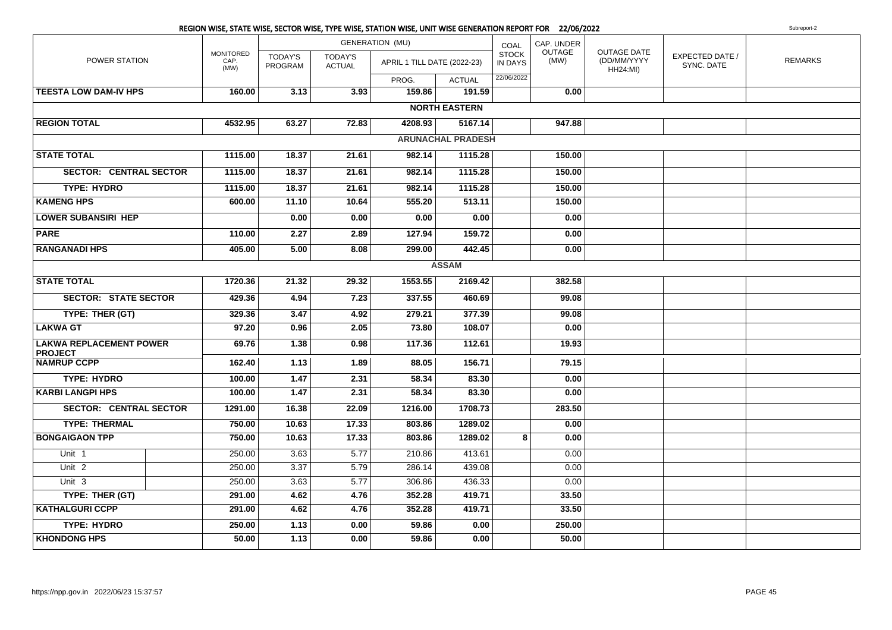|                                                  |                                  |                           |                                 | REGION WISE, STATE WISE, SECTOR WISE, TYPE WISE, STATION WISE, UNIT WISE GENERATION REPORT FOR 22/06/2022 |                          |                         |                |                                                      |                               | Subreport-2    |
|--------------------------------------------------|----------------------------------|---------------------------|---------------------------------|-----------------------------------------------------------------------------------------------------------|--------------------------|-------------------------|----------------|------------------------------------------------------|-------------------------------|----------------|
|                                                  |                                  |                           |                                 | <b>GENERATION (MU)</b>                                                                                    |                          | COAL                    | CAP. UNDER     |                                                      |                               |                |
| POWER STATION                                    | <b>MONITORED</b><br>CAP.<br>(MW) | <b>TODAY'S</b><br>PROGRAM | <b>TODAY'S</b><br><b>ACTUAL</b> | APRIL 1 TILL DATE (2022-23)                                                                               |                          | <b>STOCK</b><br>IN DAYS | OUTAGE<br>(MW) | <b>OUTAGE DATE</b><br>(DD/MM/YYYY<br><b>HH24:MI)</b> | EXPECTED DATE /<br>SYNC. DATE | <b>REMARKS</b> |
|                                                  |                                  |                           |                                 | PROG.                                                                                                     | <b>ACTUAL</b>            | 22/06/2022              |                |                                                      |                               |                |
| <b>TEESTA LOW DAM-IV HPS</b>                     | 160.00                           | 3.13                      | 3.93                            | 159.86                                                                                                    | 191.59                   |                         | 0.00           |                                                      |                               |                |
|                                                  |                                  |                           |                                 |                                                                                                           | <b>NORTH EASTERN</b>     |                         |                |                                                      |                               |                |
| <b>REGION TOTAL</b>                              | 4532.95                          | 63.27                     | 72.83                           | 4208.93                                                                                                   | 5167.14                  |                         | 947.88         |                                                      |                               |                |
|                                                  |                                  |                           |                                 |                                                                                                           | <b>ARUNACHAL PRADESH</b> |                         |                |                                                      |                               |                |
| <b>STATE TOTAL</b>                               | 1115.00                          | 18.37                     | 21.61                           | 982.14                                                                                                    | 1115.28                  |                         | 150.00         |                                                      |                               |                |
| <b>SECTOR: CENTRAL SECTOR</b>                    | 1115.00                          | 18.37                     | 21.61                           | 982.14                                                                                                    | 1115.28                  |                         | 150.00         |                                                      |                               |                |
| <b>TYPE: HYDRO</b>                               | 1115.00                          | 18.37                     | 21.61                           | 982.14                                                                                                    | 1115.28                  |                         | 150.00         |                                                      |                               |                |
| <b>KAMENG HPS</b>                                | 600.00                           | 11.10                     | 10.64                           | 555.20                                                                                                    | 513.11                   |                         | 150.00         |                                                      |                               |                |
| <b>LOWER SUBANSIRI HEP</b>                       |                                  | 0.00                      | 0.00                            | 0.00                                                                                                      | 0.00                     |                         | 0.00           |                                                      |                               |                |
| <b>PARE</b>                                      | 110.00                           | 2.27                      | 2.89                            | 127.94                                                                                                    | 159.72                   |                         | 0.00           |                                                      |                               |                |
| <b>RANGANADI HPS</b>                             | 405.00                           | 5.00                      | 8.08                            | 299.00                                                                                                    | 442.45                   |                         | 0.00           |                                                      |                               |                |
| <b>ASSAM</b>                                     |                                  |                           |                                 |                                                                                                           |                          |                         |                |                                                      |                               |                |
| <b>STATE TOTAL</b>                               | 1720.36                          | 21.32                     | 29.32                           | 1553.55                                                                                                   | 2169.42                  |                         | 382.58         |                                                      |                               |                |
| <b>SECTOR: STATE SECTOR</b>                      | 429.36                           | 4.94                      | 7.23                            | 337.55                                                                                                    | 460.69                   |                         | 99.08          |                                                      |                               |                |
| TYPE: THER (GT)                                  | 329.36                           | 3.47                      | 4.92                            | 279.21                                                                                                    | 377.39                   |                         | 99.08          |                                                      |                               |                |
| <b>LAKWA GT</b>                                  | 97.20                            | 0.96                      | 2.05                            | 73.80                                                                                                     | 108.07                   |                         | 0.00           |                                                      |                               |                |
| <b>LAKWA REPLACEMENT POWER</b><br><b>PROJECT</b> | 69.76                            | $\overline{1.38}$         | 0.98                            | 117.36                                                                                                    | 112.61                   |                         | 19.93          |                                                      |                               |                |
| <b>NAMRUP CCPP</b>                               | 162.40                           | 1.13                      | 1.89                            | 88.05                                                                                                     | 156.71                   |                         | 79.15          |                                                      |                               |                |
| <b>TYPE: HYDRO</b>                               | 100.00                           | 1.47                      | 2.31                            | 58.34                                                                                                     | 83.30                    |                         | 0.00           |                                                      |                               |                |
| <b>KARBI LANGPI HPS</b>                          | 100.00                           | $\frac{1.47}{0.47}$       | 2.31                            | 58.34                                                                                                     | 83.30                    |                         | 0.00           |                                                      |                               |                |
| <b>SECTOR: CENTRAL SECTOR</b>                    | 1291.00                          | 16.38                     | 22.09                           | 1216.00                                                                                                   | 1708.73                  |                         | 283.50         |                                                      |                               |                |
| <b>TYPE: THERMAL</b>                             | 750.00                           | 10.63                     | 17.33                           | 803.86                                                                                                    | 1289.02                  |                         | 0.00           |                                                      |                               |                |
| <b>BONGAIGAON TPP</b>                            | 750.00                           | 10.63                     | 17.33                           | 803.86                                                                                                    | 1289.02                  | 8                       | 0.00           |                                                      |                               |                |
| Unit $1$                                         | 250.00                           | 3.63                      | 5.77                            | 210.86                                                                                                    | 413.61                   |                         | 0.00           |                                                      |                               |                |
| Unit $2$                                         | 250.00                           | 3.37                      | 5.79                            | 286.14                                                                                                    | 439.08                   |                         | 0.00           |                                                      |                               |                |
| Unit 3                                           | 250.00                           | 3.63                      | 5.77                            | 306.86                                                                                                    | 436.33                   |                         | 0.00           |                                                      |                               |                |
| TYPE: THER (GT)                                  | 291.00                           | 4.62                      | 4.76                            | 352.28                                                                                                    | 419.71                   |                         | 33.50          |                                                      |                               |                |
| <b>KATHALGURI CCPP</b>                           | 291.00                           | 4.62                      | 4.76                            | 352.28                                                                                                    | 419.71                   |                         | 33.50          |                                                      |                               |                |
| <b>TYPE: HYDRO</b>                               | 250.00                           | 1.13                      | 0.00                            | 59.86                                                                                                     | 0.00                     |                         | 250.00         |                                                      |                               |                |
| <b>KHONDONG HPS</b>                              | 50.00                            | 1.13                      | 0.00                            | 59.86                                                                                                     | 0.00                     |                         | 50.00          |                                                      |                               |                |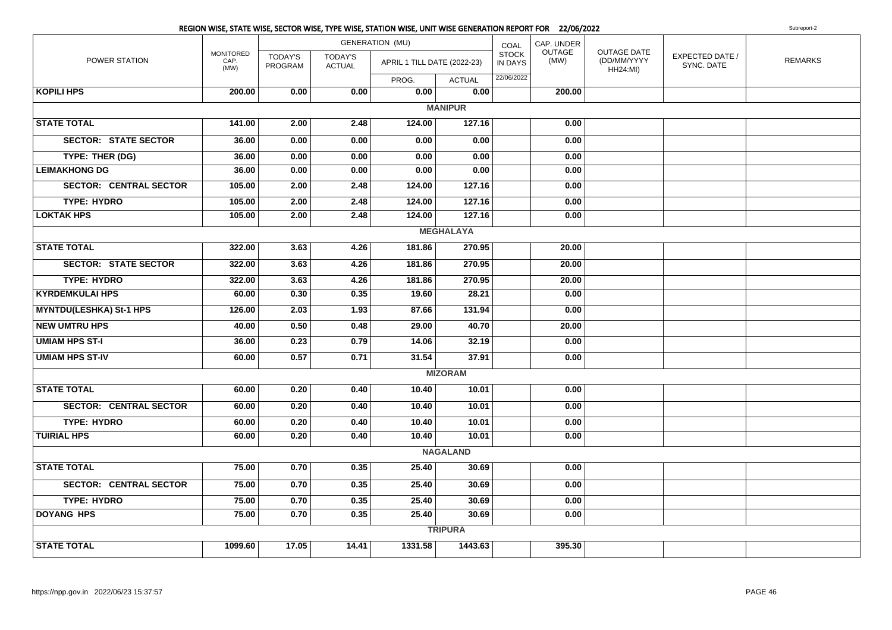|                                |                                  |                           |                                 | REGION WISE, STATE WISE, SECTOR WISE, TYPE WISE, STATION WISE, UNIT WISE GENERATION REPORT FOR 22/06/2022 |                  |                         |                |                                                      |                               | Subreport-2    |
|--------------------------------|----------------------------------|---------------------------|---------------------------------|-----------------------------------------------------------------------------------------------------------|------------------|-------------------------|----------------|------------------------------------------------------|-------------------------------|----------------|
|                                |                                  |                           |                                 | <b>GENERATION (MU)</b>                                                                                    |                  | COAL                    | CAP. UNDER     |                                                      |                               |                |
| POWER STATION                  | <b>MONITORED</b><br>CAP.<br>(MW) | <b>TODAY'S</b><br>PROGRAM | <b>TODAY'S</b><br><b>ACTUAL</b> | APRIL 1 TILL DATE (2022-23)                                                                               |                  | <b>STOCK</b><br>IN DAYS | OUTAGE<br>(MW) | <b>OUTAGE DATE</b><br>(DD/MM/YYYY<br><b>HH24:MI)</b> | EXPECTED DATE /<br>SYNC. DATE | <b>REMARKS</b> |
|                                |                                  |                           |                                 | PROG.                                                                                                     | <b>ACTUAL</b>    | 22/06/2022              |                |                                                      |                               |                |
| <b>KOPILI HPS</b>              | 200.00                           | 0.00                      | 0.00                            | 0.00                                                                                                      | 0.00             |                         | 200.00         |                                                      |                               |                |
|                                |                                  |                           |                                 |                                                                                                           | <b>MANIPUR</b>   |                         |                |                                                      |                               |                |
| <b>STATE TOTAL</b>             | 141.00                           | 2.00                      | 2.48                            | 124.00                                                                                                    | 127.16           |                         | 0.00           |                                                      |                               |                |
| <b>SECTOR: STATE SECTOR</b>    | 36.00                            | 0.00                      | 0.00                            | 0.00                                                                                                      | 0.00             |                         | 0.00           |                                                      |                               |                |
| TYPE: THER (DG)                | 36.00                            | 0.00                      | 0.00                            | 0.00                                                                                                      | 0.00             |                         | 0.00           |                                                      |                               |                |
| <b>LEIMAKHONG DG</b>           | 36.00                            | 0.00                      | 0.00                            | 0.00                                                                                                      | 0.00             |                         | 0.00           |                                                      |                               |                |
| <b>SECTOR: CENTRAL SECTOR</b>  | 105.00                           | 2.00                      | 2.48                            | 124.00                                                                                                    | 127.16           |                         | 0.00           |                                                      |                               |                |
| <b>TYPE: HYDRO</b>             | 105.00                           | 2.00                      | 2.48                            | 124.00                                                                                                    | 127.16           |                         | 0.00           |                                                      |                               |                |
| <b>LOKTAK HPS</b>              | 105.00                           | 2.00                      | 2.48                            | 124.00                                                                                                    | 127.16           |                         | 0.00           |                                                      |                               |                |
|                                |                                  |                           |                                 |                                                                                                           | <b>MEGHALAYA</b> |                         |                |                                                      |                               |                |
| <b>STATE TOTAL</b>             | 322.00                           | 3.63                      | 4.26                            | 181.86                                                                                                    | 270.95           |                         | 20.00          |                                                      |                               |                |
| <b>SECTOR: STATE SECTOR</b>    | 322.00                           | 3.63                      | 4.26                            | 181.86                                                                                                    | 270.95           |                         | 20.00          |                                                      |                               |                |
| <b>TYPE: HYDRO</b>             | 322.00                           | 3.63                      | 4.26                            | 181.86                                                                                                    | 270.95           |                         | 20.00          |                                                      |                               |                |
| <b>KYRDEMKULAI HPS</b>         | 60.00                            | 0.30                      | 0.35                            | 19.60                                                                                                     | 28.21            |                         | 0.00           |                                                      |                               |                |
| <b>MYNTDU(LESHKA) St-1 HPS</b> | 126.00                           | 2.03                      | 1.93                            | 87.66                                                                                                     | 131.94           |                         | 0.00           |                                                      |                               |                |
| <b>NEW UMTRU HPS</b>           | 40.00                            | 0.50                      | 0.48                            | 29.00                                                                                                     | 40.70            |                         | 20.00          |                                                      |                               |                |
| <b>UMIAM HPS ST-I</b>          | 36.00                            | 0.23                      | 0.79                            | 14.06                                                                                                     | 32.19            |                         | 0.00           |                                                      |                               |                |
| <b>UMIAM HPS ST-IV</b>         | 60.00                            | 0.57                      | 0.71                            | 31.54                                                                                                     | 37.91            |                         | 0.00           |                                                      |                               |                |
|                                |                                  |                           |                                 |                                                                                                           | <b>MIZORAM</b>   |                         |                |                                                      |                               |                |
| <b>STATE TOTAL</b>             | 60.00                            | 0.20                      | 0.40                            | 10.40                                                                                                     | 10.01            |                         | 0.00           |                                                      |                               |                |
| <b>SECTOR: CENTRAL SECTOR</b>  | 60.00                            | 0.20                      | 0.40                            | 10.40                                                                                                     | 10.01            |                         | 0.00           |                                                      |                               |                |
| <b>TYPE: HYDRO</b>             | 60.00                            | 0.20                      | 0.40                            | 10.40                                                                                                     | 10.01            |                         | 0.00           |                                                      |                               |                |
| <b>TUIRIAL HPS</b>             | 60.00                            | 0.20                      | 0.40                            | 10.40                                                                                                     | 10.01            |                         | 0.00           |                                                      |                               |                |
|                                |                                  |                           |                                 |                                                                                                           | <b>NAGALAND</b>  |                         |                |                                                      |                               |                |
| <b>STATE TOTAL</b>             | 75.00                            | 0.70                      | 0.35                            | 25.40                                                                                                     | 30.69            |                         | 0.00           |                                                      |                               |                |
| <b>SECTOR: CENTRAL SECTOR</b>  | 75.00                            | 0.70                      | 0.35                            | 25.40                                                                                                     | 30.69            |                         | 0.00           |                                                      |                               |                |
| <b>TYPE: HYDRO</b>             | 75.00                            | 0.70                      | 0.35                            | 25.40                                                                                                     | 30.69            |                         | 0.00           |                                                      |                               |                |
| <b>DOYANG HPS</b>              | 75.00                            | 0.70                      | 0.35                            | 25.40                                                                                                     | 30.69            |                         | 0.00           |                                                      |                               |                |
|                                |                                  |                           |                                 |                                                                                                           | <b>TRIPURA</b>   |                         |                |                                                      |                               |                |
| <b>STATE TOTAL</b>             | 1099.60                          | 17.05                     | 14.41                           | 1331.58                                                                                                   | 1443.63          |                         | 395.30         |                                                      |                               |                |